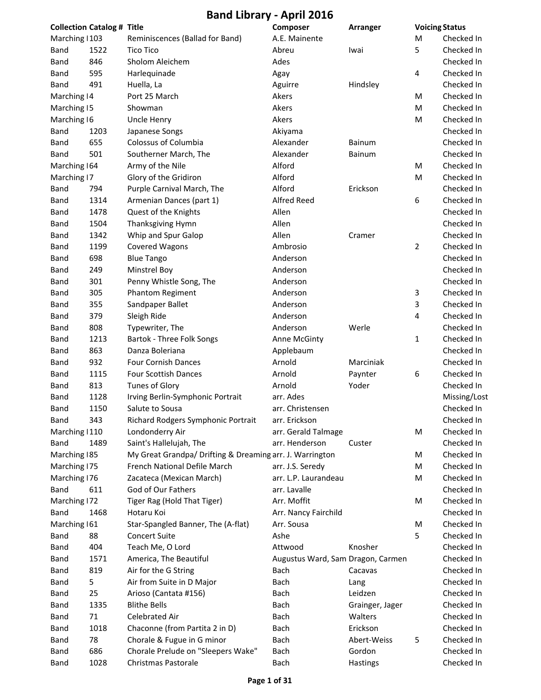|                | <b>Collection Catalog # Title</b> |                                                          | Composer                          | Arranger        | <b>Voicing Status</b> |              |
|----------------|-----------------------------------|----------------------------------------------------------|-----------------------------------|-----------------|-----------------------|--------------|
| Marching   103 |                                   | Reminiscences (Ballad for Band)                          | A.E. Mainente                     |                 | M                     | Checked In   |
| Band           | 1522                              | <b>Tico Tico</b>                                         | Abreu                             | Iwai            | 5                     | Checked In   |
| Band           | 846                               | Sholom Aleichem                                          | Ades                              |                 |                       | Checked In   |
| Band           | 595                               | Harlequinade                                             | Agay                              |                 | 4                     | Checked In   |
| Band           | 491                               | Huella, La                                               | Aguirre                           | Hindsley        |                       | Checked In   |
| Marching   4   |                                   | Port 25 March                                            | Akers                             |                 | М                     | Checked In   |
| Marching 15    |                                   | Showman                                                  | Akers                             |                 | М                     | Checked In   |
| Marching 16    |                                   | Uncle Henry                                              | Akers                             |                 | M                     | Checked In   |
| Band           | 1203                              | Japanese Songs                                           | Akiyama                           |                 |                       | Checked In   |
| Band           | 655                               | Colossus of Columbia                                     | Alexander                         | Bainum          |                       | Checked In   |
| Band           | 501                               | Southerner March, The                                    | Alexander                         | Bainum          |                       | Checked In   |
| Marching 164   |                                   | Army of the Nile                                         | Alford                            |                 | M                     | Checked In   |
| Marching 17    |                                   | Glory of the Gridiron                                    | Alford                            |                 | M                     | Checked In   |
| Band           | 794                               | Purple Carnival March, The                               | Alford                            | Erickson        |                       | Checked In   |
| Band           | 1314                              | Armenian Dances (part 1)                                 | <b>Alfred Reed</b>                |                 | 6                     | Checked In   |
| Band           | 1478                              | Quest of the Knights                                     | Allen                             |                 |                       | Checked In   |
| Band           | 1504                              | Thanksgiving Hymn                                        | Allen                             |                 |                       | Checked In   |
| Band           | 1342                              | Whip and Spur Galop                                      | Allen                             | Cramer          |                       | Checked In   |
| Band           | 1199                              | <b>Covered Wagons</b>                                    | Ambrosio                          |                 | 2                     | Checked In   |
| Band           | 698                               | <b>Blue Tango</b>                                        | Anderson                          |                 |                       | Checked In   |
| Band           | 249                               | <b>Minstrel Boy</b>                                      | Anderson                          |                 |                       | Checked In   |
| Band           | 301                               | Penny Whistle Song, The                                  | Anderson                          |                 |                       | Checked In   |
| Band           | 305                               | Phantom Regiment                                         | Anderson                          |                 | 3                     | Checked In   |
| Band           | 355                               | Sandpaper Ballet                                         | Anderson                          |                 | 3                     | Checked In   |
| Band           | 379                               | Sleigh Ride                                              | Anderson                          |                 | 4                     | Checked In   |
| Band           | 808                               | Typewriter, The                                          | Anderson                          | Werle           |                       | Checked In   |
| Band           | 1213                              | Bartok - Three Folk Songs                                | Anne McGinty                      |                 | 1                     | Checked In   |
| <b>Band</b>    | 863                               | Danza Boleriana                                          | Applebaum                         |                 |                       | Checked In   |
| <b>Band</b>    | 932                               | Four Cornish Dances                                      | Arnold                            | Marciniak       |                       | Checked In   |
| Band           | 1115                              | Four Scottish Dances                                     | Arnold                            | Paynter         | 6                     | Checked In   |
| Band           | 813                               | <b>Tunes of Glory</b>                                    | Arnold                            | Yoder           |                       | Checked In   |
| Band           | 1128                              | Irving Berlin-Symphonic Portrait                         | arr. Ades                         |                 |                       | Missing/Lost |
| Band           | 1150                              | Salute to Sousa                                          | arr. Christensen                  |                 |                       | Checked In   |
| Band           | 343                               | Richard Rodgers Symphonic Portrait                       | arr. Erickson                     |                 |                       | Checked In   |
| Marching   110 |                                   | Londonderry Air                                          | arr. Gerald Talmage               |                 | M                     | Checked In   |
| <b>Band</b>    | 1489                              | Saint's Hallelujah, The                                  | arr. Henderson                    | Custer          |                       | Checked In   |
| Marching 185   |                                   | My Great Grandpa/ Drifting & Dreaming arr. J. Warrington |                                   |                 | М                     | Checked In   |
| Marching 175   |                                   | French National Defile March                             | arr. J.S. Seredy                  |                 | M                     | Checked In   |
| Marching 176   |                                   | Zacateca (Mexican March)                                 | arr. L.P. Laurandeau              |                 | М                     | Checked In   |
| Band           | 611                               | God of Our Fathers                                       | arr. Lavalle                      |                 |                       | Checked In   |
| Marching   72  |                                   | Tiger Rag (Hold That Tiger)                              | Arr. Moffit                       |                 | M                     | Checked In   |
| Band           | 1468                              | Hotaru Koi                                               | Arr. Nancy Fairchild              |                 |                       | Checked In   |
| Marching 161   |                                   | Star-Spangled Banner, The (A-flat)                       | Arr. Sousa                        |                 | M                     | Checked In   |
| Band           | 88                                | <b>Concert Suite</b>                                     | Ashe                              |                 | 5                     | Checked In   |
| Band           | 404                               | Teach Me, O Lord                                         | Attwood                           | Knosher         |                       | Checked In   |
| Band           | 1571                              | America, The Beautiful                                   | Augustus Ward, Sam Dragon, Carmen |                 |                       | Checked In   |
| Band           | 819                               | Air for the G String                                     | Bach                              | Cacavas         |                       | Checked In   |
| Band           | 5                                 | Air from Suite in D Major                                | Bach                              | Lang            |                       | Checked In   |
| Band           | 25                                | Arioso (Cantata #156)                                    | Bach                              | Leidzen         |                       | Checked In   |
| Band           | 1335                              | <b>Blithe Bells</b>                                      | Bach                              | Grainger, Jager |                       | Checked In   |
| Band           | 71                                | Celebrated Air                                           | Bach                              | Walters         |                       | Checked In   |
| Band           | 1018                              | Chaconne (from Partita 2 in D)                           | Bach                              | Erickson        |                       | Checked In   |
| Band           | 78                                | Chorale & Fugue in G minor                               | Bach                              | Abert-Weiss     | 5                     | Checked In   |
| Band           | 686                               | Chorale Prelude on "Sleepers Wake"                       | Bach                              | Gordon          |                       | Checked In   |
| Band           | 1028                              | Christmas Pastorale                                      | Bach                              | Hastings        |                       | Checked In   |
|                |                                   |                                                          |                                   |                 |                       |              |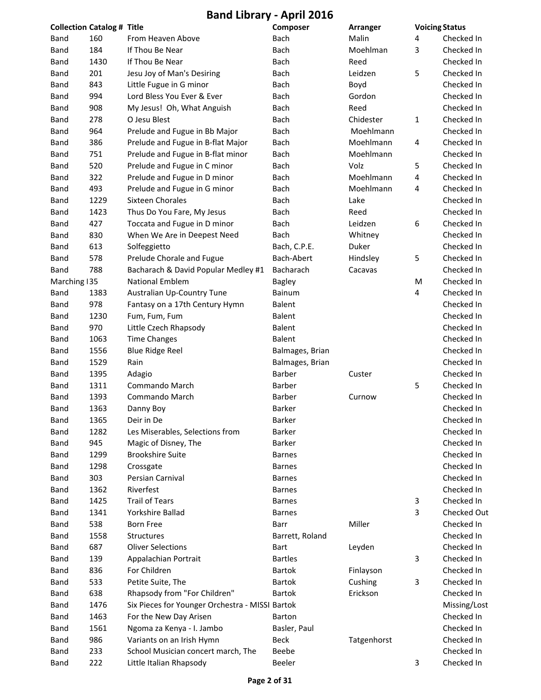|                | <b>Collection Catalog # Title</b> |                                                 | Composer        | Arranger    |   | <b>Voicing Status</b> |
|----------------|-----------------------------------|-------------------------------------------------|-----------------|-------------|---|-----------------------|
| <b>Band</b>    | 160                               | From Heaven Above                               | Bach            | Malin       | 4 | Checked In            |
| <b>Band</b>    | 184                               | If Thou Be Near                                 | <b>Bach</b>     | Moehlman    | 3 | Checked In            |
| Band           | 1430                              | If Thou Be Near                                 | Bach            | Reed        |   | Checked In            |
| Band           | 201                               | Jesu Joy of Man's Desiring                      | Bach            | Leidzen     | 5 | Checked In            |
| <b>Band</b>    | 843                               | Little Fugue in G minor                         | Bach            | Boyd        |   | Checked In            |
| Band           | 994                               | Lord Bless You Ever & Ever                      | Bach            | Gordon      |   | Checked In            |
| Band           | 908                               | My Jesus! Oh, What Anguish                      | Bach            | Reed        |   | Checked In            |
| Band           | 278                               | O Jesu Blest                                    | <b>Bach</b>     | Chidester   | 1 | Checked In            |
| Band           | 964                               | Prelude and Fugue in Bb Major                   | Bach            | Moehlmann   |   | Checked In            |
| Band           | 386                               | Prelude and Fugue in B-flat Major               | Bach            | Moehlmann   | 4 | Checked In            |
| <b>Band</b>    | 751                               | Prelude and Fugue in B-flat minor               | Bach            | Moehlmann   |   | Checked In            |
| Band           | 520                               | Prelude and Fugue in C minor                    | Bach            | Volz        | 5 | Checked In            |
| Band           | 322                               | Prelude and Fugue in D minor                    | Bach            | Moehlmann   | 4 | Checked In            |
| Band           | 493                               | Prelude and Fugue in G minor                    | Bach            | Moehlmann   | 4 | Checked In            |
| Band           | 1229                              | <b>Sixteen Chorales</b>                         | <b>Bach</b>     | Lake        |   | Checked In            |
| Band           | 1423                              | Thus Do You Fare, My Jesus                      | Bach            | Reed        |   | Checked In            |
| Band           | 427                               | Toccata and Fugue in D minor                    | Bach            | Leidzen     | 6 | Checked In            |
| Band           | 830                               | When We Are in Deepest Need                     | Bach            | Whitney     |   | Checked In            |
| Band           | 613                               | Solfeggietto                                    | Bach, C.P.E.    | Duker       |   | Checked In            |
| Band           | 578                               | Prelude Chorale and Fugue                       | Bach-Abert      | Hindsley    | 5 | Checked In            |
| <b>Band</b>    | 788                               | Bacharach & David Popular Medley #1             | Bacharach       | Cacavas     |   | Checked In            |
| Marching $135$ |                                   | <b>National Emblem</b>                          | <b>Bagley</b>   |             | M | Checked In            |
| Band           | 1383                              | Australian Up-Country Tune                      | Bainum          |             | 4 | Checked In            |
| Band           | 978                               | Fantasy on a 17th Century Hymn                  | <b>Balent</b>   |             |   | Checked In            |
| Band           | 1230                              | Fum, Fum, Fum                                   | <b>Balent</b>   |             |   | Checked In            |
| Band           | 970                               | Little Czech Rhapsody                           | <b>Balent</b>   |             |   | Checked In            |
| Band           | 1063                              | <b>Time Changes</b>                             | <b>Balent</b>   |             |   | Checked In            |
| Band           | 1556                              | <b>Blue Ridge Reel</b>                          | Balmages, Brian |             |   | Checked In            |
| Band           | 1529                              | Rain                                            | Balmages, Brian |             |   | Checked In            |
| Band           | 1395                              | Adagio                                          | Barber          | Custer      |   | Checked In            |
| Band           | 1311                              | Commando March                                  | Barber          |             | 5 | Checked In            |
| Band           | 1393                              | Commando March                                  | Barber          | Curnow      |   | Checked In            |
| Band           | 1363                              | Danny Boy                                       | <b>Barker</b>   |             |   | Checked In            |
| Band           | 1365                              | Deir in De                                      | Barker          |             |   | Checked In            |
| <b>Band</b>    | 1282                              | Les Miserables, Selections from                 | Barker          |             |   | Checked In            |
| Band           | 945                               | Magic of Disney, The                            | <b>Barker</b>   |             |   | Checked In            |
| Band           | 1299                              | <b>Brookshire Suite</b>                         | <b>Barnes</b>   |             |   | Checked In            |
| Band           | 1298                              | Crossgate                                       | <b>Barnes</b>   |             |   | Checked In            |
| Band           | 303                               | Persian Carnival                                | <b>Barnes</b>   |             |   | Checked In            |
| Band           | 1362                              | Riverfest                                       | <b>Barnes</b>   |             |   | Checked In            |
| Band           | 1425                              | <b>Trail of Tears</b>                           | <b>Barnes</b>   |             | 3 | Checked In            |
| Band           | 1341                              | Yorkshire Ballad                                | <b>Barnes</b>   |             | 3 | <b>Checked Out</b>    |
| Band           | 538                               | <b>Born Free</b>                                | Barr            | Miller      |   | Checked In            |
| Band           | 1558                              | Structures                                      | Barrett, Roland |             |   | Checked In            |
| Band           | 687                               | <b>Oliver Selections</b>                        | Bart            | Leyden      |   | Checked In            |
|                | 139                               |                                                 | <b>Bartles</b>  |             | 3 | Checked In            |
| Band           | 836                               | Appalachian Portrait<br>For Children            | <b>Bartok</b>   |             |   | Checked In            |
| Band           |                                   |                                                 |                 | Finlayson   |   | Checked In            |
| Band           | 533                               | Petite Suite, The                               | <b>Bartok</b>   | Cushing     | 3 |                       |
| Band           | 638                               | Rhapsody from "For Children"                    | <b>Bartok</b>   | Erickson    |   | Checked In            |
| Band           | 1476                              | Six Pieces for Younger Orchestra - MISSI Bartok |                 |             |   | Missing/Lost          |
| Band           | 1463                              | For the New Day Arisen                          | <b>Barton</b>   |             |   | Checked In            |
| Band           | 1561                              | Ngoma za Kenya - I. Jambo                       | Basler, Paul    |             |   | Checked In            |
| Band           | 986                               | Variants on an Irish Hymn                       | <b>Beck</b>     | Tatgenhorst |   | Checked In            |
| Band           | 233                               | School Musician concert march, The              | Beebe           |             |   | Checked In            |
| <b>Band</b>    | 222                               | Little Italian Rhapsody                         | Beeler          |             | 3 | Checked In            |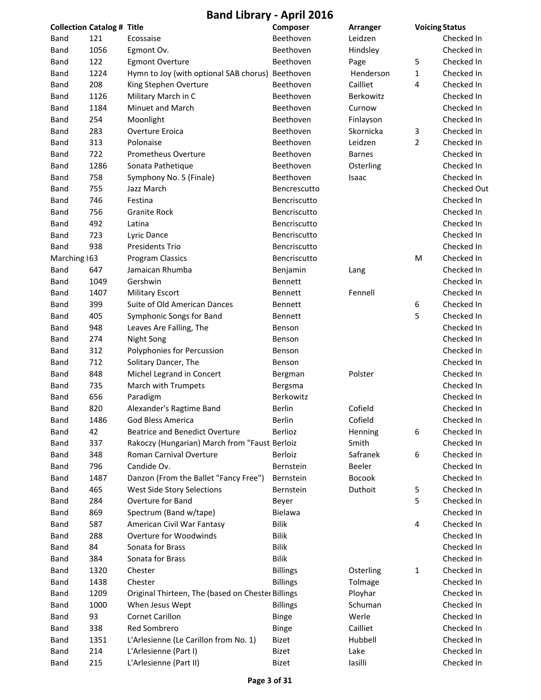**Band Library ‐ April 2016**

| <b>Collection Catalog # Title</b> |      |                                                   | Composer                   | Arranger      | <b>Voicing Status</b> |             |
|-----------------------------------|------|---------------------------------------------------|----------------------------|---------------|-----------------------|-------------|
| Band                              | 121  | Ecossaise                                         | Beethoven                  | Leidzen       |                       | Checked In  |
| <b>Band</b>                       | 1056 | Egmont Ov.                                        | Beethoven                  | Hindsley      |                       | Checked In  |
| <b>Band</b>                       | 122  | <b>Egmont Overture</b>                            | Beethoven                  | Page          | 5                     | Checked In  |
| <b>Band</b>                       | 1224 | Hymn to Joy (with optional SAB chorus) Beethoven  |                            | Henderson     | 1                     | Checked In  |
| Band                              | 208  | King Stephen Overture                             | Beethoven                  | Cailliet      | 4                     | Checked In  |
| <b>Band</b>                       | 1126 | Military March in C                               | Beethoven                  | Berkowitz     |                       | Checked In  |
| Band                              | 1184 | Minuet and March                                  | Beethoven                  | Curnow        |                       | Checked In  |
| Band                              | 254  | Moonlight                                         | Beethoven                  | Finlayson     |                       | Checked In  |
| Band                              | 283  | Overture Eroica                                   | Beethoven                  | Skornicka     | 3                     | Checked In  |
| Band                              | 313  | Polonaise                                         | Beethoven                  | Leidzen       | $\overline{2}$        | Checked In  |
| <b>Band</b>                       | 722  | <b>Prometheus Overture</b>                        | Beethoven                  | <b>Barnes</b> |                       | Checked In  |
| Band                              | 1286 | Sonata Pathetique                                 | Beethoven                  | Osterling     |                       | Checked In  |
| <b>Band</b>                       | 758  | Symphony No. 5 (Finale)                           | Beethoven                  | Isaac         |                       | Checked In  |
| Band                              | 755  | Jazz March                                        | Bencrescutto               |               |                       | Checked Out |
| Band                              | 746  | Festina                                           | Bencriscutto               |               |                       | Checked In  |
| Band                              | 756  | <b>Granite Rock</b>                               | Bencriscutto               |               |                       | Checked In  |
| Band                              | 492  | Latina                                            | Bencriscutto               |               |                       | Checked In  |
| Band                              | 723  | Lyric Dance                                       | Bencriscutto               |               |                       | Checked In  |
| <b>Band</b>                       | 938  | Presidents Trio                                   | Bencriscutto               |               |                       | Checked In  |
| Marching 163                      |      | Program Classics                                  | Bencriscutto               |               | M                     | Checked In  |
| Band                              | 647  | Jamaican Rhumba                                   | Benjamin                   | Lang          |                       | Checked In  |
| Band                              | 1049 | Gershwin                                          | Bennett                    |               |                       | Checked In  |
| <b>Band</b>                       | 1407 | <b>Military Escort</b>                            | Bennett                    | Fennell       |                       | Checked In  |
| Band                              | 399  | Suite of Old American Dances                      | Bennett                    |               | 6                     | Checked In  |
| <b>Band</b>                       | 405  | Symphonic Songs for Band                          | Bennett                    |               | 5                     | Checked In  |
| Band                              | 948  | Leaves Are Falling, The                           | Benson                     |               |                       | Checked In  |
| Band                              | 274  | Night Song                                        | Benson                     |               |                       | Checked In  |
| Band                              | 312  | Polyphonies for Percussion                        | <b>Benson</b>              |               |                       | Checked In  |
| Band                              | 712  | Solitary Dancer, The                              | Benson                     |               |                       | Checked In  |
|                                   | 848  |                                                   |                            | Polster       |                       | Checked In  |
| Band                              |      | Michel Legrand in Concert                         | Bergman                    |               |                       |             |
| <b>Band</b>                       | 735  | March with Trumpets                               | Bergsma                    |               |                       | Checked In  |
| Band                              | 656  | Paradigm                                          | Berkowitz<br><b>Berlin</b> |               |                       | Checked In  |
| <b>Band</b>                       | 820  | Alexander's Ragtime Band                          |                            | Cofield       |                       | Checked In  |
| Band                              | 1486 | God Bless America                                 | Berlin                     | Cofield       |                       | Checked In  |
| Band                              | 42   | <b>Beatrice and Benedict Overture</b>             | Berlioz                    | Henning       | 6                     | Checked In  |
| <b>Band</b>                       | 337  | Rakoczy (Hungarian) March from "Faust Berloiz     |                            | Smith         |                       | Checked In  |
| <b>Band</b>                       | 348  | Roman Carnival Overture                           | Berloiz                    | Safranek      | 6                     | Checked In  |
| Band                              | 796  | Candide Ov.                                       | Bernstein                  | Beeler        |                       | Checked In  |
| Band                              | 1487 | Danzon (From the Ballet "Fancy Free")             | Bernstein                  | <b>Bocook</b> |                       | Checked In  |
| Band                              | 465  | West Side Story Selections                        | Bernstein                  | Duthoit       | 5                     | Checked In  |
| Band                              | 284  | Overture for Band                                 | Beyer                      |               | 5                     | Checked In  |
| <b>Band</b>                       | 869  | Spectrum (Band w/tape)                            | Bielawa                    |               |                       | Checked In  |
| <b>Band</b>                       | 587  | American Civil War Fantasy                        | <b>Bilik</b>               |               | 4                     | Checked In  |
| <b>Band</b>                       | 288  | Overture for Woodwinds                            | Bilik                      |               |                       | Checked In  |
| Band                              | 84   | Sonata for Brass                                  | <b>Bilik</b>               |               |                       | Checked In  |
| <b>Band</b>                       | 384  | Sonata for Brass                                  | <b>Bilik</b>               |               |                       | Checked In  |
| Band                              | 1320 | Chester                                           | <b>Billings</b>            | Osterling     | 1                     | Checked In  |
| <b>Band</b>                       | 1438 | Chester                                           | <b>Billings</b>            | Tolmage       |                       | Checked In  |
| Band                              | 1209 | Original Thirteen, The (based on Chester Billings |                            | Ployhar       |                       | Checked In  |
| Band                              | 1000 | When Jesus Wept                                   | <b>Billings</b>            | Schuman       |                       | Checked In  |
| Band                              | 93   | Cornet Carillon                                   | <b>Binge</b>               | Werle         |                       | Checked In  |
| Band                              | 338  | Red Sombrero                                      | <b>Binge</b>               | Cailliet      |                       | Checked In  |
| <b>Band</b>                       | 1351 | L'Arlesienne (Le Carillon from No. 1)             | <b>Bizet</b>               | Hubbell       |                       | Checked In  |
| <b>Band</b>                       | 214  | L'Arlesienne (Part I)                             | Bizet                      | Lake          |                       | Checked In  |
| <b>Band</b>                       | 215  | L'Arlesienne (Part II)                            | Bizet                      | lasilli       |                       | Checked In  |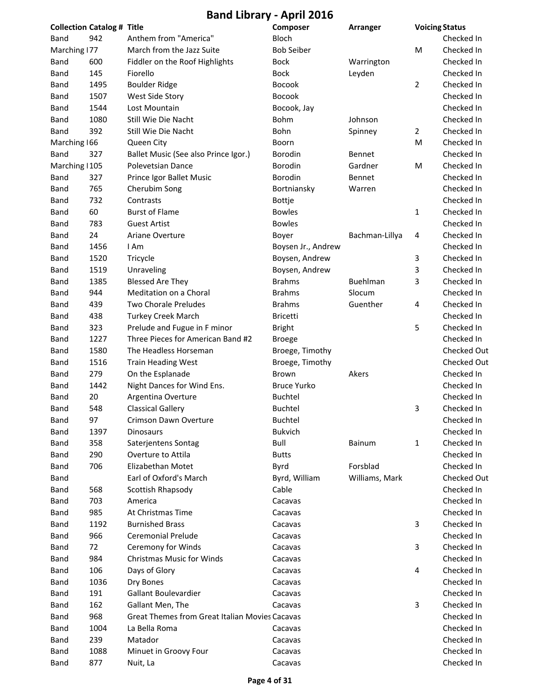|                | <b>Collection Catalog # Title</b> |                                                       | Composer           | Arranger       |                | <b>Voicing Status</b> |
|----------------|-----------------------------------|-------------------------------------------------------|--------------------|----------------|----------------|-----------------------|
| Band           | 942                               | Anthem from "America"                                 | <b>Bloch</b>       |                |                | Checked In            |
| Marching 177   |                                   | March from the Jazz Suite                             | <b>Bob Seiber</b>  |                | M              | Checked In            |
| Band           | 600                               | Fiddler on the Roof Highlights                        | <b>Bock</b>        | Warrington     |                | Checked In            |
| <b>Band</b>    | 145                               | Fiorello                                              | <b>Bock</b>        | Leyden         |                | Checked In            |
| <b>Band</b>    | 1495                              | <b>Boulder Ridge</b>                                  | Bocook             |                | $\overline{2}$ | Checked In            |
| <b>Band</b>    | 1507                              | West Side Story                                       | Bocook             |                |                | Checked In            |
| Band           | 1544                              | Lost Mountain                                         | Bocook, Jay        |                |                | Checked In            |
| Band           | 1080                              | Still Wie Die Nacht                                   | Bohm               | Johnson        |                | Checked In            |
| Band           | 392                               | Still Wie Die Nacht                                   | Bohn               | Spinney        | $\overline{2}$ | Checked In            |
| Marching 166   |                                   | Queen City                                            | Boorn              |                | M              | Checked In            |
| Band           | 327                               | Ballet Music (See also Prince Igor.)                  | Borodin            | Bennet         |                | Checked In            |
| Marching   105 |                                   | Polevetsian Dance                                     | Borodin            | Gardner        | M              | Checked In            |
| <b>Band</b>    | 327                               | Prince Igor Ballet Music                              | Borodin            | Bennet         |                | Checked In            |
| <b>Band</b>    | 765                               | Cherubim Song                                         | Bortniansky        | Warren         |                | Checked In            |
| <b>Band</b>    | 732                               | Contrasts                                             | <b>Bottje</b>      |                |                | Checked In            |
| <b>Band</b>    | 60                                | <b>Burst of Flame</b>                                 | <b>Bowles</b>      |                | 1              | Checked In            |
| <b>Band</b>    | 783                               | <b>Guest Artist</b>                                   | <b>Bowles</b>      |                |                | Checked In            |
| Band           | 24                                | Ariane Overture                                       | Boyer              | Bachman-Lillya | 4              | Checked In            |
| Band           | 1456                              | I Am                                                  | Boysen Jr., Andrew |                |                | Checked In            |
| Band           | 1520                              | Tricycle                                              | Boysen, Andrew     |                | 3              | Checked In            |
| Band           | 1519                              | Unraveling                                            | Boysen, Andrew     |                | 3              | Checked In            |
| Band           | 1385                              | <b>Blessed Are They</b>                               | <b>Brahms</b>      | Buehlman       | 3              | Checked In            |
| Band           | 944                               | Meditation on a Choral                                | <b>Brahms</b>      | Slocum         |                | Checked In            |
| <b>Band</b>    | 439                               | Two Chorale Preludes                                  | <b>Brahms</b>      | Guenther       | 4              | Checked In            |
| <b>Band</b>    | 438                               | <b>Turkey Creek March</b>                             | <b>Bricetti</b>    |                |                | Checked In            |
| <b>Band</b>    | 323                               | Prelude and Fugue in F minor                          | <b>Bright</b>      |                | 5              | Checked In            |
| <b>Band</b>    | 1227                              | Three Pieces for American Band #2                     |                    |                |                | Checked In            |
|                | 1580                              | The Headless Horseman                                 | <b>Broege</b>      |                |                | <b>Checked Out</b>    |
| <b>Band</b>    |                                   |                                                       | Broege, Timothy    |                |                |                       |
| <b>Band</b>    | 1516                              | <b>Train Heading West</b>                             | Broege, Timothy    |                |                | <b>Checked Out</b>    |
| <b>Band</b>    | 279                               | On the Esplanade                                      | Brown              | Akers          |                | Checked In            |
| Band           | 1442                              | Night Dances for Wind Ens.                            | <b>Bruce Yurko</b> |                |                | Checked In            |
| <b>Band</b>    | 20                                | Argentina Overture                                    | <b>Buchtel</b>     |                |                | Checked In            |
| <b>Band</b>    | 548                               | <b>Classical Gallery</b>                              | <b>Buchtel</b>     |                | 3              | Checked In            |
| Band           | 97                                | Crimson Dawn Overture                                 | Buchtel            |                |                | Checked In            |
| <b>Band</b>    | 1397                              | <b>Dinosaurs</b>                                      | <b>Bukvich</b>     |                |                | Checked In            |
| Band           | 358                               | Saterjentens Sontag                                   | Bull               | Bainum         | 1              | Checked In            |
| Band           | 290                               | Overture to Attila                                    | <b>Butts</b>       |                |                | Checked In            |
| <b>Band</b>    | 706                               | Elizabethan Motet                                     | Byrd               | Forsblad       |                | Checked In            |
| Band           |                                   | Earl of Oxford's March                                | Byrd, William      | Williams, Mark |                | <b>Checked Out</b>    |
| Band           | 568                               | Scottish Rhapsody                                     | Cable              |                |                | Checked In            |
| <b>Band</b>    | 703                               | America                                               | Cacavas            |                |                | Checked In            |
| Band           | 985                               | At Christmas Time                                     | Cacavas            |                |                | Checked In            |
| <b>Band</b>    | 1192                              | <b>Burnished Brass</b>                                | Cacavas            |                | 3              | Checked In            |
| <b>Band</b>    | 966                               | <b>Ceremonial Prelude</b>                             | Cacavas            |                |                | Checked In            |
| Band           | 72                                | Ceremony for Winds                                    | Cacavas            |                | 3              | Checked In            |
| Band           | 984                               | <b>Christmas Music for Winds</b>                      | Cacavas            |                |                | Checked In            |
| Band           | 106                               | Days of Glory                                         | Cacavas            |                | 4              | Checked In            |
| Band           | 1036                              | Dry Bones                                             | Cacavas            |                |                | Checked In            |
| Band           | 191                               | Gallant Boulevardier                                  | Cacavas            |                |                | Checked In            |
| Band           | 162                               | Gallant Men, The                                      | Cacavas            |                | 3              | Checked In            |
| <b>Band</b>    | 968                               | <b>Great Themes from Great Italian Movies Cacavas</b> |                    |                |                | Checked In            |
| <b>Band</b>    | 1004                              | La Bella Roma                                         | Cacavas            |                |                | Checked In            |
| Band           | 239                               | Matador                                               | Cacavas            |                |                | Checked In            |
| <b>Band</b>    | 1088                              | Minuet in Groovy Four                                 | Cacavas            |                |                | Checked In            |
| <b>Band</b>    | 877                               | Nuit, La                                              | Cacavas            |                |                | Checked In            |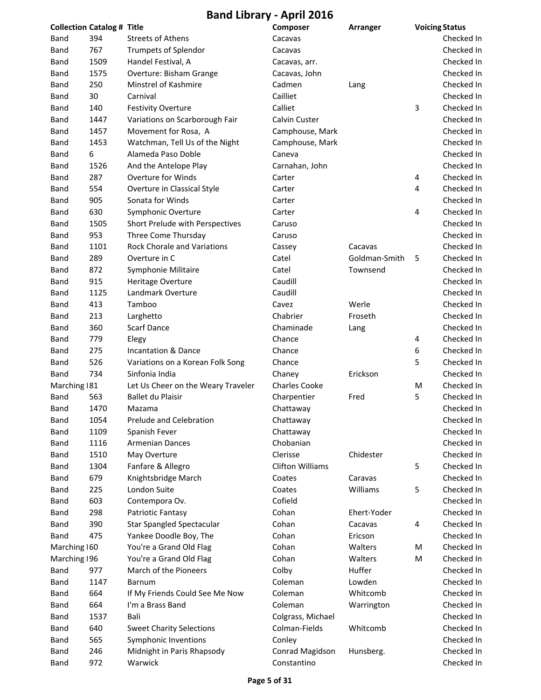|               | <b>Collection Catalog # Title</b> |                                    | Composer                | Arranger      |   | <b>Voicing Status</b> |
|---------------|-----------------------------------|------------------------------------|-------------------------|---------------|---|-----------------------|
| Band          | 394                               | <b>Streets of Athens</b>           | Cacavas                 |               |   | Checked In            |
| Band          | 767                               | Trumpets of Splendor               | Cacavas                 |               |   | Checked In            |
| Band          | 1509                              | Handel Festival, A                 | Cacavas, arr.           |               |   | Checked In            |
| Band          | 1575                              | Overture: Bisham Grange            | Cacavas, John           |               |   | Checked In            |
| Band          | 250                               | Minstrel of Kashmire               | Cadmen                  | Lang          |   | Checked In            |
| Band          | 30                                | Carnival                           | Cailliet                |               |   | Checked In            |
| Band          | 140                               | <b>Festivity Overture</b>          | Calliet                 |               | 3 | Checked In            |
| Band          | 1447                              | Variations on Scarborough Fair     | Calvin Custer           |               |   | Checked In            |
| Band          | 1457                              | Movement for Rosa, A               | Camphouse, Mark         |               |   | Checked In            |
| Band          | 1453                              | Watchman, Tell Us of the Night     | Camphouse, Mark         |               |   | Checked In            |
| Band          | 6                                 | Alameda Paso Doble                 | Caneva                  |               |   | Checked In            |
| Band          | 1526                              | And the Antelope Play              | Carnahan, John          |               |   | Checked In            |
| Band          | 287                               | Overture for Winds                 | Carter                  |               | 4 | Checked In            |
| Band          | 554                               | Overture in Classical Style        | Carter                  |               | 4 | Checked In            |
| Band          | 905                               | Sonata for Winds                   | Carter                  |               |   | Checked In            |
| Band          | 630                               | Symphonic Overture                 | Carter                  |               | 4 | Checked In            |
| Band          | 1505                              | Short Prelude with Perspectives    | Caruso                  |               |   | Checked In            |
| Band          | 953                               | Three Come Thursday                | Caruso                  |               |   | Checked In            |
| Band          | 1101                              | <b>Rock Chorale and Variations</b> | Cassey                  | Cacavas       |   | Checked In            |
| Band          | 289                               | Overture in C                      | Catel                   | Goldman-Smith | 5 | Checked In            |
| Band          | 872                               | Symphonie Militaire                | Catel                   | Townsend      |   | Checked In            |
| Band          | 915                               | Heritage Overture                  | Caudill                 |               |   | Checked In            |
| Band          | 1125                              | Landmark Overture                  | Caudill                 |               |   | Checked In            |
| Band          | 413                               | Tamboo                             | Cavez                   | Werle         |   | Checked In            |
| Band          | 213                               | Larghetto                          | Chabrier                | Froseth       |   | Checked In            |
| Band          | 360                               | <b>Scarf Dance</b>                 | Chaminade               | Lang          |   | Checked In            |
| Band          | 779                               | Elegy                              | Chance                  |               | 4 | Checked In            |
| Band          | 275                               | Incantation & Dance                | Chance                  |               | 6 | Checked In            |
| Band          | 526                               | Variations on a Korean Folk Song   | Chance                  |               | 5 | Checked In            |
| Band          | 734                               | Sinfonia India                     | Chaney                  | Erickson      |   | Checked In            |
| Marching   81 |                                   | Let Us Cheer on the Weary Traveler | <b>Charles Cooke</b>    |               | M | Checked In            |
| Band          | 563                               | Ballet du Plaisir                  | Charpentier             | Fred          | 5 | Checked In            |
| Band          | 1470                              | Mazama                             | Chattaway               |               |   | Checked In            |
| <b>Band</b>   | 1054                              | Prelude and Celebration            | Chattaway               |               |   | Checked In            |
| Band          | 1109                              | Spanish Fever                      | Chattaway               |               |   | Checked In            |
| Band          | 1116                              | <b>Armenian Dances</b>             | Chobanian               |               |   | Checked In            |
| Band          | 1510                              | May Overture                       | Clerisse                | Chidester     |   | Checked In            |
| Band          | 1304                              | Fanfare & Allegro                  | <b>Clifton Williams</b> |               | 5 | Checked In            |
| Band          | 679                               | Knightsbridge March                | Coates                  | Caravas       |   | Checked In            |
| Band          | 225                               | London Suite                       | Coates                  | Williams      | 5 | Checked In            |
| Band          | 603                               | Contempora Ov.                     | Cofield                 |               |   | Checked In            |
| Band          | 298                               | Patriotic Fantasy                  | Cohan                   | Ehert-Yoder   |   | Checked In            |
| Band          | 390                               | <b>Star Spangled Spectacular</b>   | Cohan                   | Cacavas       | 4 | Checked In            |
| Band          | 475                               | Yankee Doodle Boy, The             | Cohan                   | Ericson       |   | Checked In            |
| Marching 160  |                                   | You're a Grand Old Flag            | Cohan                   | Walters       | M | Checked In            |
| Marching 196  |                                   | You're a Grand Old Flag            | Cohan                   | Walters       | M | Checked In            |
| Band          | 977                               | March of the Pioneers              | Colby                   | Huffer        |   | Checked In            |
| Band          | 1147                              | Barnum                             | Coleman                 | Lowden        |   | Checked In            |
| Band          | 664                               | If My Friends Could See Me Now     | Coleman                 | Whitcomb      |   | Checked In            |
| Band          | 664                               | I'm a Brass Band                   | Coleman                 | Warrington    |   | Checked In            |
| Band          | 1537                              | Bali                               | Colgrass, Michael       |               |   | Checked In            |
| Band          | 640                               | <b>Sweet Charity Selections</b>    | Colman-Fields           | Whitcomb      |   | Checked In            |
| Band          | 565                               | Symphonic Inventions               | Conley                  |               |   | Checked In            |
| Band          | 246                               | Midnight in Paris Rhapsody         | Conrad Magidson         | Hunsberg.     |   | Checked In            |
| Band          | 972                               | Warwick                            | Constantino             |               |   | Checked In            |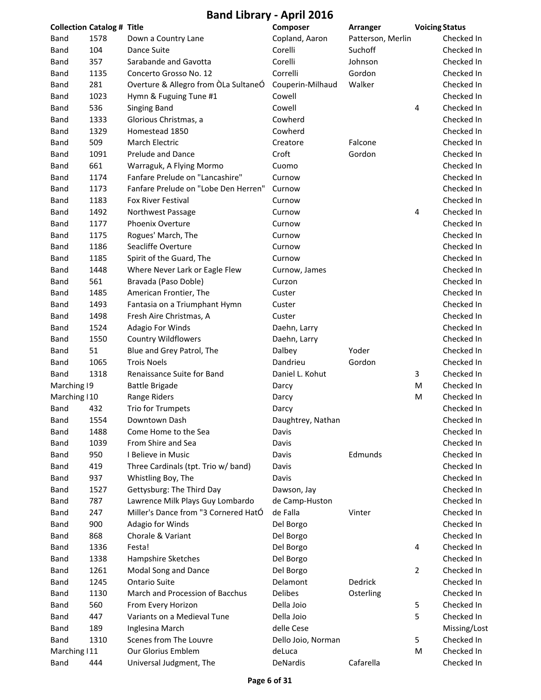**Band Library ‐ April 2016**

| <b>Collection Catalog # Title</b> |      |                                      | Composer           | Arranger          | <b>Voicing Status</b> |              |
|-----------------------------------|------|--------------------------------------|--------------------|-------------------|-----------------------|--------------|
| Band                              | 1578 | Down a Country Lane                  | Copland, Aaron     | Patterson, Merlin |                       | Checked In   |
| Band                              | 104  | Dance Suite                          | Corelli            | Suchoff           |                       | Checked In   |
| <b>Band</b>                       | 357  | Sarabande and Gavotta                | Corelli            | Johnson           |                       | Checked In   |
| Band                              | 1135 | Concerto Grosso No. 12               | Correlli           | Gordon            |                       | Checked In   |
| Band                              | 281  | Overture & Allegro from OLa SultaneÓ | Couperin-Milhaud   | Walker            |                       | Checked In   |
| Band                              | 1023 | Hymn & Fuguing Tune #1               | Cowell             |                   |                       | Checked In   |
| Band                              | 536  | <b>Singing Band</b>                  | Cowell             |                   | 4                     | Checked In   |
| Band                              | 1333 | Glorious Christmas, a                | Cowherd            |                   |                       | Checked In   |
| Band                              | 1329 | Homestead 1850                       | Cowherd            |                   |                       | Checked In   |
| <b>Band</b>                       | 509  | March Electric                       | Creatore           | Falcone           |                       | Checked In   |
| Band                              | 1091 | Prelude and Dance                    | Croft              | Gordon            |                       | Checked In   |
| Band                              | 661  | Warraguk, A Flying Mormo             | Cuomo              |                   |                       | Checked In   |
| Band                              | 1174 | Fanfare Prelude on "Lancashire"      | Curnow             |                   |                       | Checked In   |
| Band                              | 1173 | Fanfare Prelude on "Lobe Den Herren" | Curnow             |                   |                       | Checked In   |
| Band                              | 1183 | Fox River Festival                   | Curnow             |                   |                       | Checked In   |
| Band                              | 1492 | Northwest Passage                    | Curnow             |                   | 4                     | Checked In   |
| Band                              | 1177 | Phoenix Overture                     | Curnow             |                   |                       | Checked In   |
| <b>Band</b>                       | 1175 | Rogues' March, The                   | Curnow             |                   |                       | Checked In   |
| Band                              | 1186 | Seacliffe Overture                   | Curnow             |                   |                       | Checked In   |
| Band                              | 1185 | Spirit of the Guard, The             | Curnow             |                   |                       | Checked In   |
| Band                              | 1448 | Where Never Lark or Eagle Flew       | Curnow, James      |                   |                       | Checked In   |
| Band                              | 561  | Bravada (Paso Doble)                 | Curzon             |                   |                       | Checked In   |
| <b>Band</b>                       | 1485 | American Frontier, The               | Custer             |                   |                       | Checked In   |
| <b>Band</b>                       | 1493 | Fantasia on a Triumphant Hymn        | Custer             |                   |                       | Checked In   |
| Band                              | 1498 | Fresh Aire Christmas, A              | Custer             |                   |                       | Checked In   |
| <b>Band</b>                       | 1524 | Adagio For Winds                     | Daehn, Larry       |                   |                       | Checked In   |
| Band                              | 1550 | <b>Country Wildflowers</b>           | Daehn, Larry       |                   |                       | Checked In   |
| Band                              | 51   | Blue and Grey Patrol, The            | Dalbey             | Yoder             |                       | Checked In   |
| Band                              | 1065 | <b>Trois Noels</b>                   | Dandrieu           | Gordon            |                       | Checked In   |
| Band                              | 1318 | Renaissance Suite for Band           | Daniel L. Kohut    |                   | 3                     | Checked In   |
| Marching 19                       |      | <b>Battle Brigade</b>                | Darcy              |                   | M                     | Checked In   |
| Marching   10                     |      | Range Riders                         | Darcy              |                   | M                     | Checked In   |
| Band                              | 432  | Trio for Trumpets                    | Darcy              |                   |                       | Checked In   |
| Band                              | 1554 | Downtown Dash                        | Daughtrey, Nathan  |                   |                       | Checked In   |
| Band                              | 1488 | Come Home to the Sea                 | Davis              |                   |                       | Checked In   |
| <b>Band</b>                       | 1039 | From Shire and Sea                   | Davis              |                   |                       | Checked In   |
| Band                              | 950  | I Believe in Music                   | Davis              | Edmunds           |                       | Checked In   |
| <b>Band</b>                       | 419  | Three Cardinals (tpt. Trio w/ band)  | Davis              |                   |                       | Checked In   |
| <b>Band</b>                       | 937  | Whistling Boy, The                   | Davis              |                   |                       | Checked In   |
| Band                              | 1527 | Gettysburg: The Third Day            | Dawson, Jay        |                   |                       | Checked In   |
| <b>Band</b>                       | 787  | Lawrence Milk Plays Guy Lombardo     | de Camp-Huston     |                   |                       | Checked In   |
| <b>Band</b>                       | 247  | Miller's Dance from "3 Cornered HatÓ | de Falla           | Vinter            |                       | Checked In   |
| <b>Band</b>                       | 900  | Adagio for Winds                     | Del Borgo          |                   |                       | Checked In   |
| <b>Band</b>                       | 868  | Chorale & Variant                    | Del Borgo          |                   |                       | Checked In   |
| Band                              | 1336 | Festa!                               | Del Borgo          |                   | 4                     | Checked In   |
| <b>Band</b>                       | 1338 | Hampshire Sketches                   | Del Borgo          |                   |                       | Checked In   |
| <b>Band</b>                       | 1261 | Modal Song and Dance                 | Del Borgo          |                   | 2                     | Checked In   |
| <b>Band</b>                       | 1245 | <b>Ontario Suite</b>                 | Delamont           | Dedrick           |                       | Checked In   |
| <b>Band</b>                       | 1130 | March and Procession of Bacchus      | Delibes            | Osterling         |                       | Checked In   |
| <b>Band</b>                       | 560  | From Every Horizon                   | Della Joio         |                   | 5                     | Checked In   |
| Band                              | 447  | Variants on a Medieval Tune          | Della Joio         |                   | 5                     | Checked In   |
| <b>Band</b>                       | 189  | Inglesina March                      | delle Cese         |                   |                       | Missing/Lost |
| <b>Band</b>                       | 1310 | Scenes from The Louvre               | Dello Joio, Norman |                   | 5                     | Checked In   |
| Marching   11                     |      | Our Glorius Emblem                   | deLuca             |                   | M                     | Checked In   |
| Band                              | 444  | Universal Judgment, The              | DeNardis           | Cafarella         |                       | Checked In   |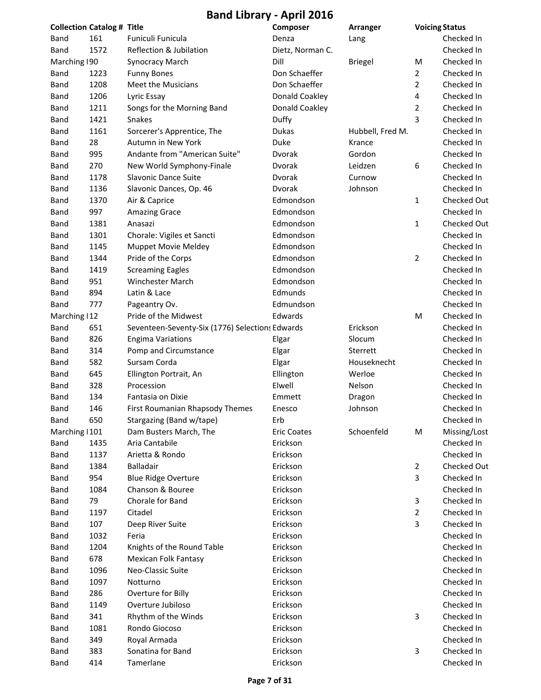| <b>Collection Catalog # Title</b> |      |                                                 | Composer           | Arranger         | <b>Voicing Status</b> |              |
|-----------------------------------|------|-------------------------------------------------|--------------------|------------------|-----------------------|--------------|
| Band                              | 161  | Funiculi Funicula                               | Denza              | Lang             |                       | Checked In   |
| Band                              | 1572 | Reflection & Jubilation                         | Dietz, Norman C.   |                  |                       | Checked In   |
| Marching 190                      |      | <b>Synocracy March</b>                          | Dill               | <b>Briegel</b>   | M                     | Checked In   |
| Band                              | 1223 | <b>Funny Bones</b>                              | Don Schaeffer      |                  | $\overline{2}$        | Checked In   |
| <b>Band</b>                       | 1208 | Meet the Musicians                              | Don Schaeffer      |                  | $\overline{2}$        | Checked In   |
| <b>Band</b>                       | 1206 | Lyric Essay                                     | Donald Coakley     |                  | 4                     | Checked In   |
| Band                              | 1211 | Songs for the Morning Band                      | Donald Coakley     |                  | 2                     | Checked In   |
| Band                              | 1421 | Snakes                                          | Duffy              |                  | 3                     | Checked In   |
| Band                              | 1161 | Sorcerer's Apprentice, The                      | Dukas              | Hubbell, Fred M. |                       | Checked In   |
| Band                              | 28   | Autumn in New York                              | Duke               | Krance           |                       | Checked In   |
| Band                              | 995  | Andante from "American Suite"                   | Dvorak             | Gordon           |                       | Checked In   |
| Band                              | 270  | New World Symphony-Finale                       | Dvorak             | Leidzen          | 6                     | Checked In   |
| Band                              | 1178 | Slavonic Dance Suite                            | Dvorak             | Curnow           |                       | Checked In   |
| Band                              | 1136 | Slavonic Dances, Op. 46                         | Dvorak             | Johnson          |                       | Checked In   |
| Band                              | 1370 | Air & Caprice                                   | Edmondson          |                  | 1                     | Checked Out  |
| <b>Band</b>                       | 997  | <b>Amazing Grace</b>                            | Edmondson          |                  |                       | Checked In   |
| Band                              | 1381 | Anasazi                                         | Edmondson          |                  | 1                     | Checked Out  |
| Band                              | 1301 | Chorale: Vigiles et Sancti                      | Edmondson          |                  |                       | Checked In   |
| Band                              | 1145 | <b>Muppet Movie Meldey</b>                      | Edmondson          |                  |                       | Checked In   |
| Band                              | 1344 | Pride of the Corps                              | Edmondson          |                  | 2                     | Checked In   |
| Band                              | 1419 | <b>Screaming Eagles</b>                         | Edmondson          |                  |                       | Checked In   |
| Band                              | 951  | Winchester March                                | Edmondson          |                  |                       | Checked In   |
| Band                              | 894  | Latin & Lace                                    | Edmunds            |                  |                       | Checked In   |
| Band                              | 777  | Pageantry Ov.                                   | Edmundson          |                  |                       | Checked In   |
| Marching   12                     |      | Pride of the Midwest                            | Edwards            |                  | M                     | Checked In   |
| Band                              | 651  | Seventeen-Seventy-Six (1776) Selections Edwards |                    | Erickson         |                       | Checked In   |
| <b>Band</b>                       | 826  | <b>Engima Variations</b>                        | Elgar              | Slocum           |                       | Checked In   |
| Band                              | 314  | Pomp and Circumstance                           | Elgar              | Sterrett         |                       | Checked In   |
| Band                              | 582  | Sursam Corda                                    | Elgar              | Houseknecht      |                       | Checked In   |
| Band                              | 645  | Ellington Portrait, An                          | Ellington          | Werloe           |                       | Checked In   |
| Band                              | 328  | Procession                                      | Elwell             | Nelson           |                       | Checked In   |
| <b>Band</b>                       | 134  | Fantasia on Dixie                               | Emmett             | Dragon           |                       | Checked In   |
| <b>Band</b>                       | 146  | First Roumanian Rhapsody Themes                 | Enesco             | Johnson          |                       | Checked In   |
| Band                              | 650  | Stargazing (Band w/tape)                        | Erb                |                  |                       | Checked In   |
| Marching   101                    |      | Dam Busters March, The                          | <b>Eric Coates</b> | Schoenfeld       | M                     | Missing/Lost |
| <b>Band</b>                       | 1435 | Aria Cantabile                                  | Erickson           |                  |                       | Checked In   |
| Band                              | 1137 | Arietta & Rondo                                 | Erickson           |                  |                       | Checked In   |
| Band                              | 1384 | <b>Balladair</b>                                | Erickson           |                  | 2                     | Checked Out  |
| Band                              | 954  | <b>Blue Ridge Overture</b>                      | Erickson           |                  | 3                     | Checked In   |
| Band                              | 1084 | Chanson & Bouree                                | Erickson           |                  |                       | Checked In   |
| Band                              | 79   | Chorale for Band                                | Erickson           |                  | 3                     | Checked In   |
| Band                              | 1197 | Citadel                                         | Erickson           |                  | $\overline{2}$        | Checked In   |
| Band                              | 107  | Deep River Suite                                | Erickson           |                  | 3                     | Checked In   |
| Band                              | 1032 | Feria                                           | Erickson           |                  |                       | Checked In   |
| Band                              | 1204 | Knights of the Round Table                      | Erickson           |                  |                       | Checked In   |
| Band                              | 678  | Mexican Folk Fantasy                            | Erickson           |                  |                       | Checked In   |
| Band                              | 1096 | Neo-Classic Suite                               | Erickson           |                  |                       | Checked In   |
| Band                              | 1097 | Notturno                                        | Erickson           |                  |                       | Checked In   |
| Band                              | 286  | Overture for Billy                              | Erickson           |                  |                       | Checked In   |
| Band                              | 1149 | Overture Jubiloso                               | Erickson           |                  |                       | Checked In   |
| Band                              | 341  | Rhythm of the Winds                             | Erickson           |                  | 3                     | Checked In   |
| <b>Band</b>                       | 1081 | Rondo Giocoso                                   | Erickson           |                  |                       | Checked In   |
| Band                              | 349  | Royal Armada                                    | Erickson           |                  |                       | Checked In   |
| <b>Band</b>                       | 383  | Sonatina for Band                               | Erickson           |                  | 3                     | Checked In   |
| <b>Band</b>                       | 414  | Tamerlane                                       | Erickson           |                  |                       | Checked In   |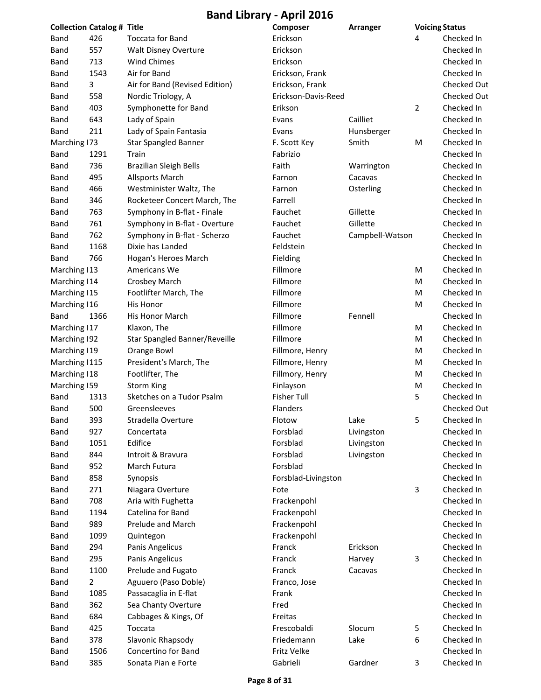|                | <b>Collection Catalog # Title</b> |                                | Composer            | Arranger        |                | <b>Voicing Status</b> |
|----------------|-----------------------------------|--------------------------------|---------------------|-----------------|----------------|-----------------------|
| Band           | 426                               | <b>Toccata for Band</b>        | Erickson            |                 | 4              | Checked In            |
| <b>Band</b>    | 557                               | Walt Disney Overture           | Erickson            |                 |                | Checked In            |
| Band           | 713                               | <b>Wind Chimes</b>             | Erickson            |                 |                | Checked In            |
| Band           | 1543                              | Air for Band                   | Erickson, Frank     |                 |                | Checked In            |
| Band           | 3                                 | Air for Band (Revised Edition) | Erickson, Frank     |                 |                | Checked Out           |
| Band           | 558                               | Nordic Triology, A             | Erickson-Davis-Reed |                 |                | Checked Out           |
| Band           | 403                               | Symphonette for Band           | Erikson             |                 | $\overline{2}$ | Checked In            |
| Band           | 643                               | Lady of Spain                  | Evans               | Cailliet        |                | Checked In            |
| Band           | 211                               | Lady of Spain Fantasia         | Evans               | Hunsberger      |                | Checked In            |
| Marching 173   |                                   | <b>Star Spangled Banner</b>    | F. Scott Key        | Smith           | M              | Checked In            |
| Band           | 1291                              | Train                          | Fabrizio            |                 |                | Checked In            |
| <b>Band</b>    | 736                               | <b>Brazilian Sleigh Bells</b>  | Faith               | Warrington      |                | Checked In            |
| <b>Band</b>    | 495                               | <b>Allsports March</b>         | Farnon              | Cacavas         |                | Checked In            |
| <b>Band</b>    | 466                               | Westminister Waltz, The        | Farnon              | Osterling       |                | Checked In            |
| Band           | 346                               | Rocketeer Concert March, The   | Farrell             |                 |                | Checked In            |
| Band           | 763                               | Symphony in B-flat - Finale    | Fauchet             | Gillette        |                | Checked In            |
| Band           | 761                               | Symphony in B-flat - Overture  | Fauchet             | Gillette        |                | Checked In            |
| Band           | 762                               | Symphony in B-flat - Scherzo   | Fauchet             | Campbell-Watson |                | Checked In            |
| Band           | 1168                              | Dixie has Landed               | Feldstein           |                 |                | Checked In            |
| Band           | 766                               | Hogan's Heroes March           | Fielding            |                 |                | Checked In            |
| Marching   13  |                                   | Americans We                   | Fillmore            |                 | M              | Checked In            |
| Marching   14  |                                   | Crosbey March                  | Fillmore            |                 | M              | Checked In            |
| Marching   15  |                                   | Footlifter March, The          | Fillmore            |                 | M              | Checked In            |
| Marching   16  |                                   | His Honor                      | Fillmore            |                 | M              | Checked In            |
| Band           | 1366                              | His Honor March                | Fillmore            | Fennell         |                | Checked In            |
| Marching   17  |                                   | Klaxon, The                    | Fillmore            |                 | M              | Checked In            |
| Marching 192   |                                   | Star Spangled Banner/Reveille  | Fillmore            |                 | M              | Checked In            |
| Marching   19  |                                   | Orange Bowl                    | Fillmore, Henry     |                 | M              | Checked In            |
| Marching   115 |                                   | President's March, The         | Fillmore, Henry     |                 | M              | Checked In            |
| Marching   18  |                                   | Footlifter, The                | Fillmory, Henry     |                 | M              | Checked In            |
| Marching 159   |                                   | <b>Storm King</b>              | Finlayson           |                 | M              | Checked In            |
| Band           | 1313                              | Sketches on a Tudor Psalm      | <b>Fisher Tull</b>  |                 | 5              | Checked In            |
| <b>Band</b>    | 500                               | Greensleeves                   | Flanders            |                 |                | Checked Out           |
| Band           | 393                               | Stradella Overture             | Flotow              | Lake            | 5              | Checked In            |
| <b>Band</b>    | 927                               | Concertata                     | Forsblad            | Livingston      |                | Checked In            |
| Band           | 1051                              | Edifice                        | Forsblad            | Livingston      |                | Checked In            |
| Band           | 844                               | Introit & Bravura              | Forsblad            | Livingston      |                | Checked In            |
| Band           | 952                               | March Futura                   | Forsblad            |                 |                | Checked In            |
| Band           | 858                               | Synopsis                       | Forsblad-Livingston |                 |                | Checked In            |
| Band           | 271                               | Niagara Overture               | Fote                |                 | 3              | Checked In            |
| Band           | 708                               | Aria with Fughetta             | Frackenpohl         |                 |                | Checked In            |
| Band           | 1194                              | Catelina for Band              | Frackenpohl         |                 |                | Checked In            |
| Band           | 989                               | Prelude and March              | Frackenpohl         |                 |                | Checked In            |
| Band           | 1099                              | Quintegon                      | Frackenpohl         |                 |                | Checked In            |
| Band           | 294                               | Panis Angelicus                | Franck              | Erickson        |                | Checked In            |
| Band           | 295                               | Panis Angelicus                | Franck              | Harvey          | 3              | Checked In            |
| Band           | 1100                              | Prelude and Fugato             | Franck              | Cacavas         |                | Checked In            |
| Band           | $\overline{2}$                    | Aguuero (Paso Doble)           | Franco, Jose        |                 |                | Checked In            |
| Band           | 1085                              | Passacaglia in E-flat          | Frank               |                 |                | Checked In            |
| <b>Band</b>    | 362                               | Sea Chanty Overture            | Fred                |                 |                | Checked In            |
| Band           | 684                               | Cabbages & Kings, Of           | Freitas             |                 |                | Checked In            |
| <b>Band</b>    | 425                               | Toccata                        | Frescobaldi         | Slocum          | 5              | Checked In            |
| Band           | 378                               | Slavonic Rhapsody              | Friedemann          | Lake            | 6              | Checked In            |
| Band           | 1506                              | Concertino for Band            | Fritz Velke         |                 |                | Checked In            |
| Band           | 385                               | Sonata Pian e Forte            | Gabrieli            | Gardner         | 3              | Checked In            |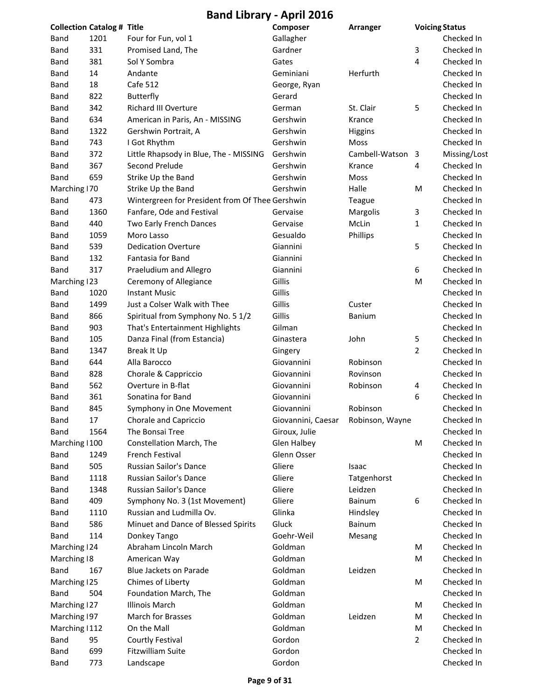| <b>Collection Catalog # Title</b> |      |                                                 | Composer                           | Arranger       | <b>Voicing Status</b>   |              |
|-----------------------------------|------|-------------------------------------------------|------------------------------------|----------------|-------------------------|--------------|
| Band                              | 1201 | Four for Fun, vol 1                             | Gallagher                          |                |                         | Checked In   |
| <b>Band</b>                       | 331  | Promised Land, The                              | Gardner                            |                | 3                       | Checked In   |
| Band                              | 381  | Sol Y Sombra                                    | Gates                              |                | 4                       | Checked In   |
| Band                              | 14   | Andante                                         | Geminiani                          | Herfurth       |                         | Checked In   |
| Band                              | 18   | Cafe 512                                        | George, Ryan                       |                |                         | Checked In   |
| Band                              | 822  | Butterfly                                       | Gerard                             |                |                         | Checked In   |
| Band                              | 342  | <b>Richard III Overture</b>                     | German                             | St. Clair      | 5                       | Checked In   |
| Band                              | 634  | American in Paris, An - MISSING                 | Gershwin                           | Krance         |                         | Checked In   |
| Band                              | 1322 | Gershwin Portrait, A                            | Gershwin                           | <b>Higgins</b> |                         | Checked In   |
| Band                              | 743  | I Got Rhythm                                    | Gershwin                           | Moss           |                         | Checked In   |
| Band                              | 372  | Little Rhapsody in Blue, The - MISSING          | Gershwin                           | Cambell-Watson | $\overline{\mathbf{3}}$ | Missing/Lost |
| Band                              | 367  | Second Prelude                                  | Gershwin                           | Krance         | 4                       | Checked In   |
| Band                              | 659  | Strike Up the Band                              | Gershwin                           | Moss           |                         | Checked In   |
| Marching   70                     |      | Strike Up the Band                              | Gershwin                           | Halle          | M                       | Checked In   |
| Band                              | 473  | Wintergreen for President from Of Thee Gershwin |                                    | Teague         |                         | Checked In   |
| Band                              | 1360 | Fanfare, Ode and Festival                       | Gervaise                           | Margolis       | 3                       | Checked In   |
| Band                              | 440  | Two Early French Dances                         | Gervaise                           | McLin          | 1                       | Checked In   |
| Band                              | 1059 | Moro Lasso                                      | Gesualdo                           | Phillips       |                         | Checked In   |
| Band                              | 539  | <b>Dedication Overture</b>                      | Giannini                           |                | 5                       | Checked In   |
| Band                              | 132  | Fantasia for Band                               | Giannini                           |                |                         | Checked In   |
| Band                              | 317  | Praeludium and Allegro                          | Giannini                           |                | 6                       | Checked In   |
| Marching 123                      |      | Ceremony of Allegiance                          | Gillis                             |                | M                       | Checked In   |
| Band                              | 1020 | <b>Instant Music</b>                            | Gillis                             |                |                         | Checked In   |
| <b>Band</b>                       | 1499 | Just a Colser Walk with Thee                    | Gillis                             | Custer         |                         | Checked In   |
| Band                              | 866  | Spiritual from Symphony No. 5 1/2               | Gillis                             | Banium         |                         | Checked In   |
| Band                              | 903  | That's Entertainment Highlights                 | Gilman                             |                |                         | Checked In   |
| Band                              | 105  | Danza Final (from Estancia)                     | Ginastera                          | John           | 5                       | Checked In   |
| Band                              | 1347 | Break It Up                                     | Gingery                            |                | $\overline{2}$          | Checked In   |
| Band                              | 644  | Alla Barocco                                    | Giovannini                         | Robinson       |                         | Checked In   |
| Band                              | 828  | Chorale & Cappriccio                            | Giovannini                         | Rovinson       |                         | Checked In   |
| Band                              | 562  | Overture in B-flat                              | Giovannini                         | Robinson       | 4                       | Checked In   |
| Band                              | 361  | Sonatina for Band                               | Giovannini                         |                | 6                       | Checked In   |
| <b>Band</b>                       | 845  | Symphony in One Movement                        | Giovannini                         | Robinson       |                         | Checked In   |
| Band                              | 17   | Chorale and Capriccio                           | Giovannini, Caesar Robinson, Wayne |                |                         | Checked In   |
| Band                              | 1564 | The Bonsai Tree                                 | Giroux, Julie                      |                |                         | Checked In   |
| Marching   100                    |      | Constellation March, The                        | <b>Glen Halbey</b>                 |                | M                       | Checked In   |
| Band                              | 1249 | French Festival                                 | Glenn Osser                        |                |                         | Checked In   |
| Band                              | 505  | Russian Sailor's Dance                          | Gliere                             | Isaac          |                         | Checked In   |
| Band                              | 1118 | Russian Sailor's Dance                          | Gliere                             | Tatgenhorst    |                         | Checked In   |
| Band                              | 1348 | Russian Sailor's Dance                          | Gliere                             | Leidzen        |                         | Checked In   |
| Band                              | 409  | Symphony No. 3 (1st Movement)                   | Gliere                             | Bainum         | 6                       | Checked In   |
| Band                              | 1110 | Russian and Ludmilla Ov.                        | Glinka                             | Hindsley       |                         | Checked In   |
| Band                              | 586  | Minuet and Dance of Blessed Spirits             | Gluck                              | Bainum         |                         | Checked In   |
| Band                              | 114  | Donkey Tango                                    | Goehr-Weil                         | Mesang         |                         | Checked In   |
| Marching   24                     |      | Abraham Lincoln March                           | Goldman                            |                | M                       | Checked In   |
| Marching 18                       |      | American Way                                    | Goldman                            |                | M                       | Checked In   |
| <b>Band</b>                       | 167  | Blue Jackets on Parade                          | Goldman                            | Leidzen        |                         | Checked In   |
| Marching 125                      |      | Chimes of Liberty                               | Goldman                            |                | M                       | Checked In   |
| Band                              | 504  | Foundation March, The                           | Goldman                            |                |                         | Checked In   |
| Marching 127                      |      | <b>Illinois March</b>                           | Goldman                            |                | M                       | Checked In   |
| Marching 197                      |      | March for Brasses                               | Goldman                            | Leidzen        | M                       | Checked In   |
| Marching   112                    |      | On the Mall                                     | Goldman                            |                | M                       | Checked In   |
| Band                              | 95   | Courtly Festival                                | Gordon                             |                | 2                       | Checked In   |
| Band                              | 699  | <b>Fitzwilliam Suite</b>                        | Gordon                             |                |                         | Checked In   |
| <b>Band</b>                       | 773  | Landscape                                       | Gordon                             |                |                         | Checked In   |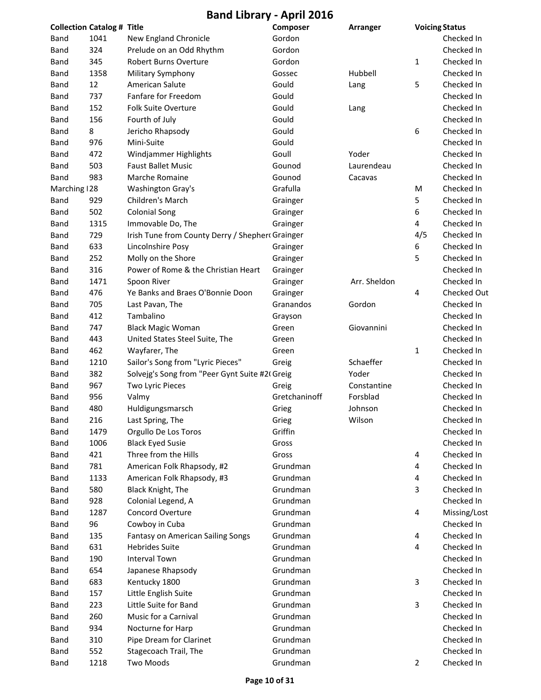|               | <b>Collection Catalog # Title</b> |                                                 | Composer      | Arranger     |                | <b>Voicing Status</b> |
|---------------|-----------------------------------|-------------------------------------------------|---------------|--------------|----------------|-----------------------|
| Band          | 1041                              | New England Chronicle                           | Gordon        |              |                | Checked In            |
| <b>Band</b>   | 324                               | Prelude on an Odd Rhythm                        | Gordon        |              |                | Checked In            |
| Band          | 345                               | Robert Burns Overture                           | Gordon        |              | $\mathbf{1}$   | Checked In            |
| Band          | 1358                              | Military Symphony                               | Gossec        | Hubbell      |                | Checked In            |
| Band          | 12                                | American Salute                                 | Gould         | Lang         | 5              | Checked In            |
| <b>Band</b>   | 737                               | Fanfare for Freedom                             | Gould         |              |                | Checked In            |
| Band          | 152                               | <b>Folk Suite Overture</b>                      | Gould         | Lang         |                | Checked In            |
| Band          | 156                               | Fourth of July                                  | Gould         |              |                | Checked In            |
| Band          | 8                                 | Jericho Rhapsody                                | Gould         |              | 6              | Checked In            |
| Band          | 976                               | Mini-Suite                                      | Gould         |              |                | Checked In            |
| <b>Band</b>   | 472                               | Windjammer Highlights                           | Goull         | Yoder        |                | Checked In            |
| Band          | 503                               | <b>Faust Ballet Music</b>                       | Gounod        | Laurendeau   |                | Checked In            |
| <b>Band</b>   | 983                               | Marche Romaine                                  | Gounod        | Cacavas      |                | Checked In            |
| Marching   28 |                                   | Washington Gray's                               | Grafulla      |              | M              | Checked In            |
| Band          | 929                               | Children's March                                | Grainger      |              | 5              | Checked In            |
| <b>Band</b>   | 502                               | <b>Colonial Song</b>                            | Grainger      |              | 6              | Checked In            |
| <b>Band</b>   | 1315                              | Immovable Do, The                               | Grainger      |              | 4              | Checked In            |
| <b>Band</b>   | 729                               | Irish Tune from County Derry / Shepher Grainger |               |              | 4/5            | Checked In            |
| <b>Band</b>   | 633                               | Lincolnshire Posy                               | Grainger      |              | 6              | Checked In            |
| <b>Band</b>   | 252                               | Molly on the Shore                              | Grainger      |              | 5              | Checked In            |
| <b>Band</b>   | 316                               | Power of Rome & the Christian Heart             | Grainger      |              |                | Checked In            |
| <b>Band</b>   | 1471                              | Spoon River                                     | Grainger      | Arr. Sheldon |                | Checked In            |
| <b>Band</b>   | 476                               | Ye Banks and Braes O'Bonnie Doon                | Grainger      |              | $\overline{4}$ | Checked Out           |
| Band          | 705                               | Last Pavan, The                                 | Granandos     | Gordon       |                | Checked In            |
| Band          | 412                               | Tambalino                                       | Grayson       |              |                | Checked In            |
| Band          | 747                               | <b>Black Magic Woman</b>                        | Green         | Giovannini   |                | Checked In            |
| Band          | 443                               | United States Steel Suite, The                  | Green         |              |                | Checked In            |
| Band          | 462                               | Wayfarer, The                                   | Green         |              | 1              | Checked In            |
| Band          | 1210                              | Sailor's Song from "Lyric Pieces"               | Greig         | Schaeffer    |                | Checked In            |
| Band          | 382                               | Solveig's Song from "Peer Gynt Suite #2(Greig   |               | Yoder        |                | Checked In            |
| Band          | 967                               | Two Lyric Pieces                                | Greig         | Constantine  |                | Checked In            |
| <b>Band</b>   | 956                               | Valmy                                           | Gretchaninoff | Forsblad     |                | Checked In            |
| <b>Band</b>   | 480                               | Huldigungsmarsch                                | Grieg         | Johnson      |                | Checked In            |
| Band          | 216                               | Last Spring, The                                | Grieg         | Wilson       |                | Checked In            |
| <b>Band</b>   | 1479                              | Orgullo De Los Toros                            | Griffin       |              |                | Checked In            |
| Band          | 1006                              | <b>Black Eyed Susie</b>                         | Gross         |              |                | Checked In            |
| Band          | 421                               | Three from the Hills                            | Gross         |              | 4              | Checked In            |
| Band          | 781                               | American Folk Rhapsody, #2                      | Grundman      |              | 4              | Checked In            |
| Band          | 1133                              | American Folk Rhapsody, #3                      | Grundman      |              | $\overline{a}$ | Checked In            |
| Band          | 580                               | Black Knight, The                               | Grundman      |              | 3              | Checked In            |
| Band          | 928                               | Colonial Legend, A                              | Grundman      |              |                | Checked In            |
| Band          | 1287                              | Concord Overture                                | Grundman      |              | $\overline{a}$ | Missing/Lost          |
| Band          | 96                                | Cowboy in Cuba                                  | Grundman      |              |                | Checked In            |
| Band          | 135                               | Fantasy on American Sailing Songs               | Grundman      |              | 4              | Checked In            |
| Band          | 631                               | <b>Hebrides Suite</b>                           | Grundman      |              | $\overline{a}$ | Checked In            |
| Band          | 190                               | <b>Interval Town</b>                            | Grundman      |              |                | Checked In            |
| Band          | 654                               | Japanese Rhapsody                               | Grundman      |              |                | Checked In            |
| Band          | 683                               | Kentucky 1800                                   | Grundman      |              | 3              | Checked In            |
| Band          | 157                               | Little English Suite                            | Grundman      |              |                | Checked In            |
| Band          | 223                               | Little Suite for Band                           | Grundman      |              | 3              | Checked In            |
| Band          | 260                               | Music for a Carnival                            | Grundman      |              |                | Checked In            |
| Band          | 934                               | Nocturne for Harp                               | Grundman      |              |                | Checked In            |
| Band          | 310                               | Pipe Dream for Clarinet                         | Grundman      |              |                | Checked In            |
| Band          | 552                               | Stagecoach Trail, The                           | Grundman      |              |                | Checked In            |
| <b>Band</b>   | 1218                              | Two Moods                                       | Grundman      |              | $\overline{2}$ | Checked In            |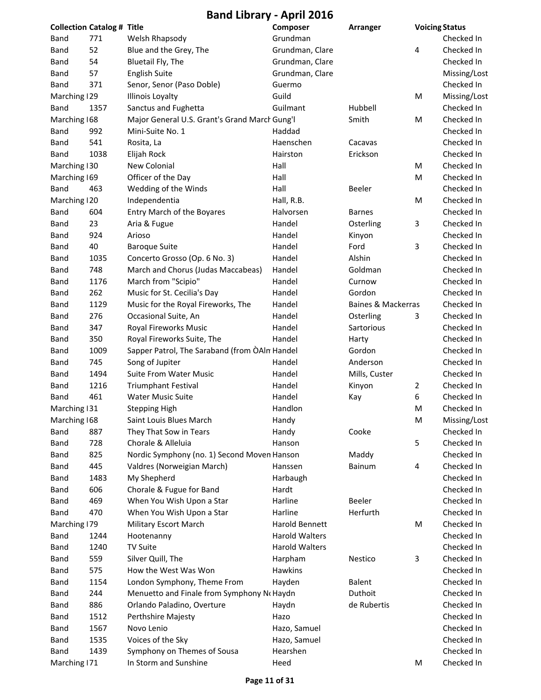| <b>Collection Catalog # Title</b> |      |                                               | Composer              | <b>Arranger</b>    |   | <b>Voicing Status</b> |
|-----------------------------------|------|-----------------------------------------------|-----------------------|--------------------|---|-----------------------|
| Band                              | 771  | Welsh Rhapsody                                | Grundman              |                    |   | Checked In            |
| Band                              | 52   | Blue and the Grey, The                        | Grundman, Clare       |                    | 4 | Checked In            |
| Band                              | 54   | Bluetail Fly, The                             | Grundman, Clare       |                    |   | Checked In            |
| <b>Band</b>                       | 57   | <b>English Suite</b>                          | Grundman, Clare       |                    |   | Missing/Lost          |
| <b>Band</b>                       | 371  | Senor, Senor (Paso Doble)                     | Guermo                |                    |   | Checked In            |
| Marching 129                      |      | <b>Illinois Loyalty</b>                       | Guild                 |                    | M | Missing/Lost          |
| Band                              | 1357 | Sanctus and Fughetta                          | Guilmant              | Hubbell            |   | Checked In            |
| Marching 168                      |      | Major General U.S. Grant's Grand March Gung'l |                       | Smith              | M | Checked In            |
| Band                              | 992  | Mini-Suite No. 1                              | Haddad                |                    |   | Checked In            |
| <b>Band</b>                       | 541  | Rosita, La                                    | Haenschen             | Cacavas            |   | Checked In            |
| <b>Band</b>                       | 1038 | Elijah Rock                                   | Hairston              | Erickson           |   | Checked In            |
| Marching 130                      |      | New Colonial                                  | Hall                  |                    | M | Checked In            |
| Marching 169                      |      | Officer of the Day                            | Hall                  |                    | M | Checked In            |
| Band                              | 463  | Wedding of the Winds                          | Hall                  | Beeler             |   | Checked In            |
| Marching   20                     |      | Independentia                                 | Hall, R.B.            |                    | M | Checked In            |
| Band                              | 604  | Entry March of the Boyares                    | Halvorsen             | <b>Barnes</b>      |   | Checked In            |
| Band                              | 23   | Aria & Fugue                                  | Handel                | Osterling          | 3 | Checked In            |
| <b>Band</b>                       | 924  | Arioso                                        | Handel                | Kinyon             |   | Checked In            |
| Band                              | 40   | <b>Baroque Suite</b>                          | Handel                | Ford               | 3 | Checked In            |
| Band                              | 1035 | Concerto Grosso (Op. 6 No. 3)                 | Handel                | Alshin             |   | Checked In            |
| <b>Band</b>                       | 748  | March and Chorus (Judas Maccabeas)            | Handel                | Goldman            |   | Checked In            |
| <b>Band</b>                       | 1176 | March from "Scipio"                           | Handel                | Curnow             |   | Checked In            |
| Band                              | 262  | Music for St. Cecilia's Day                   | Handel                | Gordon             |   | Checked In            |
| Band                              | 1129 | Music for the Royal Fireworks, The            | Handel                | Baines & Mackerras |   | Checked In            |
| Band                              | 276  | Occasional Suite, An                          | Handel                | Osterling          | 3 | Checked In            |
| Band                              | 347  | Royal Fireworks Music                         | Handel                | Sartorious         |   | Checked In            |
| <b>Band</b>                       | 350  | Royal Fireworks Suite, The                    | Handel                | Harty              |   | Checked In            |
| Band                              | 1009 | Sapper Patrol, The Saraband (from OAIn Handel |                       | Gordon             |   | Checked In            |
| Band                              | 745  | Song of Jupiter                               | Handel                | Anderson           |   | Checked In            |
| Band                              | 1494 | <b>Suite From Water Music</b>                 | Handel                | Mills, Custer      |   | Checked In            |
| Band                              | 1216 | <b>Triumphant Festival</b>                    | Handel                | Kinyon             | 2 | Checked In            |
| <b>Band</b>                       | 461  | <b>Water Music Suite</b>                      | Handel                | Kay                | 6 | Checked In            |
| Marching 131                      |      | <b>Stepping High</b>                          | Handlon               |                    | M | Checked In            |
| Marching 168                      |      | Saint Louis Blues March                       | Handy                 |                    | M | Missing/Lost          |
| <b>Band</b>                       | 887  | They That Sow in Tears                        | Handy                 | Cooke              |   | Checked In            |
| Band                              | 728  | Chorale & Alleluia                            | Hanson                |                    | 5 | Checked In            |
| <b>Band</b>                       | 825  | Nordic Symphony (no. 1) Second Moven Hanson   |                       | Maddy              |   | Checked In            |
| <b>Band</b>                       | 445  | Valdres (Norweigian March)                    | Hanssen               | <b>Bainum</b>      | 4 | Checked In            |
| Band                              | 1483 | My Shepherd                                   | Harbaugh              |                    |   | Checked In            |
| Band                              | 606  | Chorale & Fugue for Band                      | Hardt                 |                    |   | Checked In            |
| Band                              | 469  | When You Wish Upon a Star                     | Harline               | Beeler             |   | Checked In            |
|                                   | 470  |                                               | Harline               | Herfurth           |   | Checked In            |
| Band                              |      | When You Wish Upon a Star                     |                       |                    |   | Checked In            |
| Marching 179                      |      | Military Escort March                         | Harold Bennett        |                    | M |                       |
| <b>Band</b>                       | 1244 | Hootenanny                                    | <b>Harold Walters</b> |                    |   | Checked In            |
| Band                              | 1240 | <b>TV Suite</b>                               | <b>Harold Walters</b> |                    |   | Checked In            |
| Band                              | 559  | Silver Quill, The                             | Harpham               | Nestico            | 3 | Checked In            |
| <b>Band</b>                       | 575  | How the West Was Won                          | <b>Hawkins</b>        |                    |   | Checked In            |
| <b>Band</b>                       | 1154 | London Symphony, Theme From                   | Hayden                | Balent             |   | Checked In            |
| Band                              | 244  | Menuetto and Finale from Symphony No Haydn    |                       | Duthoit            |   | Checked In            |
| Band                              | 886  | Orlando Paladino, Overture                    | Haydn                 | de Rubertis        |   | Checked In            |
| Band                              | 1512 | Perthshire Majesty                            | Hazo                  |                    |   | Checked In            |
| Band                              | 1567 | Novo Lenio                                    | Hazo, Samuel          |                    |   | Checked In            |
| Band                              | 1535 | Voices of the Sky                             | Hazo, Samuel          |                    |   | Checked In            |
| Band                              | 1439 | Symphony on Themes of Sousa                   | Hearshen              |                    |   | Checked In            |
| Marching   71                     |      | In Storm and Sunshine                         | Heed                  |                    | M | Checked In            |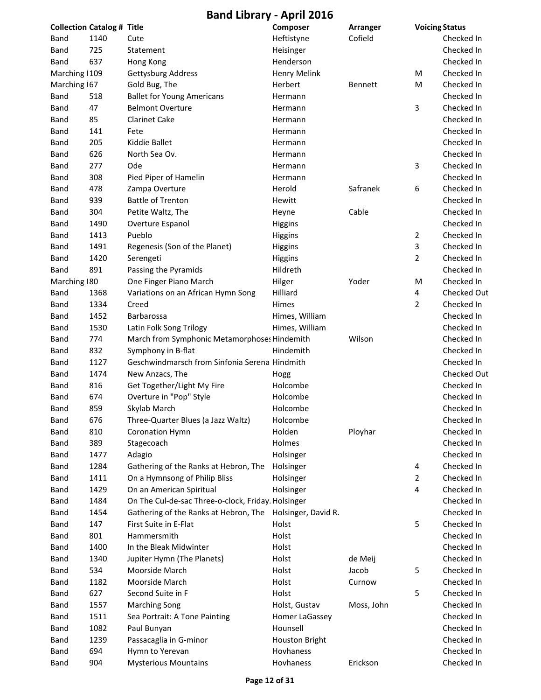|                | <b>Collection Catalog # Title</b> |                                                    | Composer              | <b>Arranger</b> |                | <b>Voicing Status</b> |
|----------------|-----------------------------------|----------------------------------------------------|-----------------------|-----------------|----------------|-----------------------|
| Band           | 1140                              | Cute                                               | Heftistyne            | Cofield         |                | Checked In            |
| Band           | 725                               | Statement                                          | Heisinger             |                 |                | Checked In            |
| Band           | 637                               | Hong Kong                                          | Henderson             |                 |                | Checked In            |
| Marching   109 |                                   | Gettysburg Address                                 | <b>Henry Melink</b>   |                 | M              | Checked In            |
| Marching 167   |                                   | Gold Bug, The                                      | Herbert               | Bennett         | M              | Checked In            |
| Band           | 518                               | <b>Ballet for Young Americans</b>                  | Hermann               |                 |                | Checked In            |
| Band           | 47                                | <b>Belmont Overture</b>                            | Hermann               |                 | 3              | Checked In            |
| Band           | 85                                | <b>Clarinet Cake</b>                               | Hermann               |                 |                | Checked In            |
| Band           | 141                               | Fete                                               | Hermann               |                 |                | Checked In            |
| Band           | 205                               | Kiddie Ballet                                      | Hermann               |                 |                | Checked In            |
| Band           | 626                               | North Sea Ov.                                      | Hermann               |                 |                | Checked In            |
| Band           | 277                               | Ode                                                | Hermann               |                 | 3              | Checked In            |
| Band           | 308                               | Pied Piper of Hamelin                              | Hermann               |                 |                | Checked In            |
| Band           | 478                               | Zampa Overture                                     | Herold                | Safranek        | 6              | Checked In            |
| Band           | 939                               | <b>Battle of Trenton</b>                           | Hewitt                |                 |                | Checked In            |
| Band           | 304                               | Petite Waltz, The                                  | Heyne                 | Cable           |                | Checked In            |
| Band           | 1490                              | Overture Espanol                                   | <b>Higgins</b>        |                 |                | Checked In            |
| Band           | 1413                              | Pueblo                                             | Higgins               |                 | $\overline{2}$ | Checked In            |
| Band           | 1491                              | Regenesis (Son of the Planet)                      | <b>Higgins</b>        |                 | 3              | Checked In            |
| Band           | 1420                              | Serengeti                                          | <b>Higgins</b>        |                 | 2              | Checked In            |
| Band           | 891                               | Passing the Pyramids                               | Hildreth              |                 |                | Checked In            |
| Marching   80  |                                   | One Finger Piano March                             | Hilger                | Yoder           | M              | Checked In            |
| Band           | 1368                              | Variations on an African Hymn Song                 | Hilliard              |                 | 4              | Checked Out           |
| Band           | 1334                              | Creed                                              | Himes                 |                 | 2              | Checked In            |
| Band           | 1452                              | Barbarossa                                         | Himes, William        |                 |                | Checked In            |
| Band           | 1530                              | Latin Folk Song Trilogy                            | Himes, William        |                 |                | Checked In            |
| Band           | 774                               | March from Symphonic Metamorphoses Hindemith       |                       | Wilson          |                | Checked In            |
| <b>Band</b>    | 832                               | Symphony in B-flat                                 | Hindemith             |                 |                | Checked In            |
| Band           | 1127                              | Geschwindmarsch from Sinfonia Serena Hindmith      |                       |                 |                | Checked In            |
| Band           | 1474                              | New Anzacs, The                                    | Hogg                  |                 |                | <b>Checked Out</b>    |
| Band           | 816                               | Get Together/Light My Fire                         | Holcombe              |                 |                | Checked In            |
| Band           | 674                               | Overture in "Pop" Style                            | Holcombe              |                 |                | Checked In            |
| Band           | 859                               | Skylab March                                       | Holcombe              |                 |                | Checked In            |
| Band           | 676                               | Three-Quarter Blues (a Jazz Waltz)                 | Holcombe              |                 |                | Checked In            |
| Band           | 810                               | <b>Coronation Hymn</b>                             | Holden                | Ployhar         |                | Checked In            |
| Band           | 389                               | Stagecoach                                         | Holmes                |                 |                | Checked In            |
| Band           | 1477                              | Adagio                                             | Holsinger             |                 |                | Checked In            |
| Band           | 1284                              | Gathering of the Ranks at Hebron, The              | Holsinger             |                 | 4              | Checked In            |
| Band           | 1411                              | On a Hymnsong of Philip Bliss                      | Holsinger             |                 | $\overline{2}$ | Checked In            |
| Band           | 1429                              | On an American Spiritual                           | Holsinger             |                 | 4              | Checked In            |
| Band           | 1484                              | On The Cul-de-sac Three-o-clock, Friday. Holsinger |                       |                 |                | Checked In            |
| Band           | 1454                              | Gathering of the Ranks at Hebron, The              | Holsinger, David R.   |                 |                | Checked In            |
| Band           | 147                               | First Suite in E-Flat                              | Holst                 |                 | 5              | Checked In            |
| Band           | 801                               | Hammersmith                                        | Holst                 |                 |                | Checked In            |
| Band           | 1400                              | In the Bleak Midwinter                             | Holst                 |                 |                | Checked In            |
| Band           | 1340                              | Jupiter Hymn (The Planets)                         | Holst                 | de Meij         |                | Checked In            |
| Band           | 534                               | Moorside March                                     | Holst                 | Jacob           | 5              | Checked In            |
| Band           | 1182                              | Moorside March                                     | Holst                 | Curnow          |                | Checked In            |
| Band           | 627                               | Second Suite in F                                  | Holst                 |                 | 5              | Checked In            |
| Band           | 1557                              | <b>Marching Song</b>                               | Holst, Gustav         | Moss, John      |                | Checked In            |
| Band           | 1511                              | Sea Portrait: A Tone Painting                      | Homer LaGassey        |                 |                | Checked In            |
| Band           | 1082                              | Paul Bunyan                                        | Hounsell              |                 |                | Checked In            |
| Band           | 1239                              | Passacaglia in G-minor                             | <b>Houston Bright</b> |                 |                | Checked In            |
| Band           | 694                               | Hymn to Yerevan                                    | Hovhaness             |                 |                | Checked In            |
| Band           | 904                               | <b>Mysterious Mountains</b>                        | Hovhaness             | Erickson        |                | Checked In            |
|                |                                   |                                                    |                       |                 |                |                       |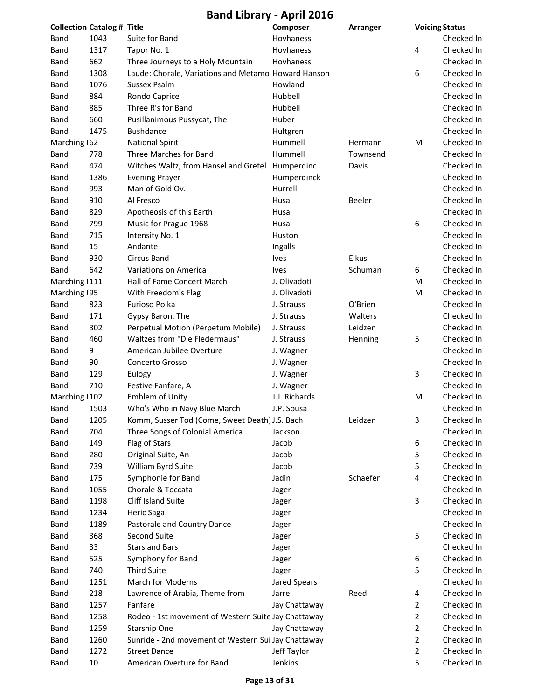|                | <b>Collection Catalog # Title</b> |                                                      | Composer      | Arranger |                | <b>Voicing Status</b> |
|----------------|-----------------------------------|------------------------------------------------------|---------------|----------|----------------|-----------------------|
| Band           | 1043                              | Suite for Band                                       | Hovhaness     |          |                | Checked In            |
| Band           | 1317                              | Tapor No. 1                                          | Hovhaness     |          | 4              | Checked In            |
| Band           | 662                               | Three Journeys to a Holy Mountain                    | Hovhaness     |          |                | Checked In            |
| Band           | 1308                              | Laude: Chorale, Variations and Metamor Howard Hanson |               |          | 6              | Checked In            |
| Band           | 1076                              | Sussex Psalm                                         | Howland       |          |                | Checked In            |
| Band           | 884                               | Rondo Caprice                                        | Hubbell       |          |                | Checked In            |
| Band           | 885                               | Three R's for Band                                   | Hubbell       |          |                | Checked In            |
| Band           | 660                               | Pusillanimous Pussycat, The                          | Huber         |          |                | Checked In            |
| Band           | 1475                              | <b>Bushdance</b>                                     | Hultgren      |          |                | Checked In            |
| Marching 162   |                                   | <b>National Spirit</b>                               | Hummell       | Hermann  | M              | Checked In            |
| Band           | 778                               | Three Marches for Band                               | Hummell       | Townsend |                | Checked In            |
| Band           | 474                               | Witches Waltz, from Hansel and Gretel Humperdinc     |               | Davis    |                | Checked In            |
| Band           | 1386                              | <b>Evening Prayer</b>                                | Humperdinck   |          |                | Checked In            |
| Band           | 993                               | Man of Gold Ov.                                      | Hurrell       |          |                | Checked In            |
| Band           | 910                               | Al Fresco                                            | Husa          | Beeler   |                | Checked In            |
| Band           | 829                               | Apotheosis of this Earth                             | Husa          |          |                | Checked In            |
| Band           | 799                               | Music for Prague 1968                                | Husa          |          | 6              | Checked In            |
| Band           | 715                               | Intensity No. 1                                      | Huston        |          |                | Checked In            |
| Band           | 15                                | Andante                                              | Ingalls       |          |                | Checked In            |
| Band           | 930                               | <b>Circus Band</b>                                   | <b>Ives</b>   | Elkus    |                | Checked In            |
| Band           | 642                               | Variations on America                                | <b>lves</b>   | Schuman  | 6              | Checked In            |
| Marching   111 |                                   | Hall of Fame Concert March                           | J. Olivadoti  |          | м              | Checked In            |
| Marching 195   |                                   | With Freedom's Flag                                  | J. Olivadoti  |          | M              | Checked In            |
| Band           | 823                               | Furioso Polka                                        | J. Strauss    | O'Brien  |                | Checked In            |
| Band           | 171                               | Gypsy Baron, The                                     | J. Strauss    | Walters  |                | Checked In            |
| Band           | 302                               | Perpetual Motion (Perpetum Mobile)                   | J. Strauss    | Leidzen  |                | Checked In            |
| Band           | 460                               | Waltzes from "Die Fledermaus"                        | J. Strauss    | Henning  | 5              | Checked In            |
| Band           | 9                                 | American Jubilee Overture                            | J. Wagner     |          |                | Checked In            |
| Band           | 90                                | Concerto Grosso                                      | J. Wagner     |          |                | Checked In            |
| Band           | 129                               | Eulogy                                               | J. Wagner     |          | 3              | Checked In            |
| Band           | 710                               | Festive Fanfare, A                                   | J. Wagner     |          |                | Checked In            |
| Marching   102 |                                   | <b>Emblem of Unity</b>                               | J.J. Richards |          | M              | Checked In            |
| Band           | 1503                              | Who's Who in Navy Blue March                         | J.P. Sousa    |          |                | Checked In            |
| <b>Band</b>    | 1205                              | Komm, Susser Tod (Come, Sweet Death) J.S. Bach       |               | Leidzen  | 3              | Checked In            |
| Band           | 704                               | Three Songs of Colonial America                      | Jackson       |          |                | Checked In            |
| Band           | 149                               | Flag of Stars                                        | Jacob         |          | 6              | Checked In            |
| Band           | 280                               | Original Suite, An                                   | Jacob         |          | 5              | Checked In            |
| Band           | 739                               | William Byrd Suite                                   | Jacob         |          | 5              | Checked In            |
| Band           | 175                               | Symphonie for Band                                   | Jadin         | Schaefer | 4              | Checked In            |
| Band           | 1055                              | Chorale & Toccata                                    | Jager         |          |                | Checked In            |
| Band           | 1198                              | Cliff Island Suite                                   | Jager         |          | 3              | Checked In            |
| Band           | 1234                              | <b>Heric Saga</b>                                    | Jager         |          |                | Checked In            |
| Band           | 1189                              | Pastorale and Country Dance                          | Jager         |          |                | Checked In            |
| Band           | 368                               | Second Suite                                         | Jager         |          | 5              | Checked In            |
| Band           | 33                                | <b>Stars and Bars</b>                                | Jager         |          |                | Checked In            |
| Band           | 525                               | Symphony for Band                                    | Jager         |          | 6              | Checked In            |
| Band           | 740                               | <b>Third Suite</b>                                   | Jager         |          | 5              | Checked In            |
| Band           | 1251                              | <b>March for Moderns</b>                             | Jared Spears  |          |                | Checked In            |
| Band           | 218                               | Lawrence of Arabia, Theme from                       | Jarre         | Reed     | 4              | Checked In            |
| Band           | 1257                              | Fanfare                                              | Jay Chattaway |          | 2              | Checked In            |
| Band           | 1258                              | Rodeo - 1st movement of Western Suite Jay Chattaway  |               |          | $\overline{2}$ | Checked In            |
| Band           | 1259                              | Starship One                                         | Jay Chattaway |          | 2              | Checked In            |
| Band           | 1260                              | Sunride - 2nd movement of Western Sui Jay Chattaway  |               |          | 2              | Checked In            |
| Band           | 1272                              | <b>Street Dance</b>                                  | Jeff Taylor   |          | 2              | Checked In            |
| Band           | 10                                | American Overture for Band                           | Jenkins       |          | 5              | Checked In            |
|                |                                   |                                                      |               |          |                |                       |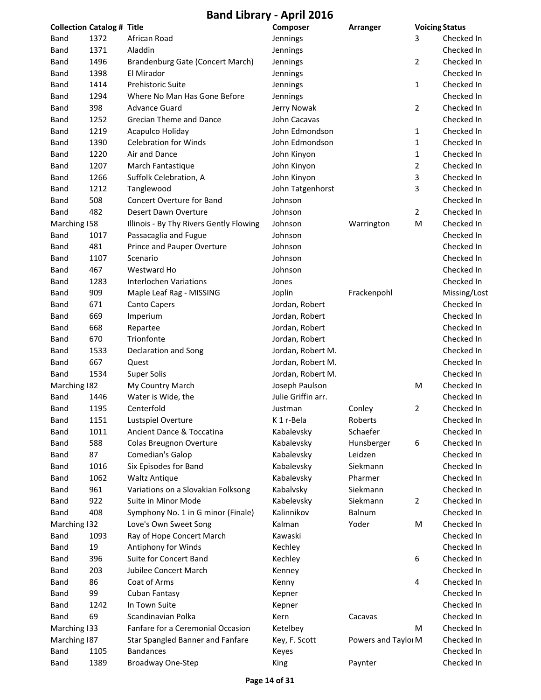|              | <b>Collection Catalog # Title</b> |                                         | Composer           | Arranger            | <b>Voicing Status</b> |              |
|--------------|-----------------------------------|-----------------------------------------|--------------------|---------------------|-----------------------|--------------|
| Band         | 1372                              | African Road                            | Jennings           |                     | 3                     | Checked In   |
| Band         | 1371                              | Aladdin                                 | Jennings           |                     |                       | Checked In   |
| Band         | 1496                              | Brandenburg Gate (Concert March)        | Jennings           |                     | 2                     | Checked In   |
| Band         | 1398                              | El Mirador                              | Jennings           |                     |                       | Checked In   |
| Band         | 1414                              | Prehistoric Suite                       | Jennings           |                     | 1                     | Checked In   |
| Band         | 1294                              | Where No Man Has Gone Before            | Jennings           |                     |                       | Checked In   |
| <b>Band</b>  | 398                               | <b>Advance Guard</b>                    | Jerry Nowak        |                     | 2                     | Checked In   |
| Band         | 1252                              | <b>Grecian Theme and Dance</b>          | John Cacavas       |                     |                       | Checked In   |
| Band         | 1219                              | Acapulco Holiday                        | John Edmondson     |                     | 1                     | Checked In   |
| Band         | 1390                              | <b>Celebration for Winds</b>            | John Edmondson     |                     | 1                     | Checked In   |
| Band         | 1220                              | Air and Dance                           | John Kinyon        |                     | 1                     | Checked In   |
| Band         | 1207                              | March Fantastique                       | John Kinyon        |                     | 2                     | Checked In   |
| Band         | 1266                              | Suffolk Celebration, A                  | John Kinyon        |                     | 3                     | Checked In   |
| Band         | 1212                              | Tanglewood                              | John Tatgenhorst   |                     | 3                     | Checked In   |
| Band         | 508                               | Concert Overture for Band               | Johnson            |                     |                       | Checked In   |
| Band         | 482                               | Desert Dawn Overture                    | Johnson            |                     | $\overline{2}$        | Checked In   |
| Marching 158 |                                   | Illinois - By Thy Rivers Gently Flowing | Johnson            | Warrington          | M                     | Checked In   |
| Band         | 1017                              | Passacaglia and Fugue                   | Johnson            |                     |                       | Checked In   |
| Band         | 481                               | Prince and Pauper Overture              | Johnson            |                     |                       | Checked In   |
| Band         | 1107                              | Scenario                                | Johnson            |                     |                       | Checked In   |
| Band         | 467                               | Westward Ho                             | Johnson            |                     |                       | Checked In   |
| Band         | 1283                              | <b>Interlochen Variations</b>           | Jones              |                     |                       | Checked In   |
| <b>Band</b>  | 909                               | Maple Leaf Rag - MISSING                | Joplin             | Frackenpohl         |                       | Missing/Lost |
| Band         | 671                               | Canto Capers                            | Jordan, Robert     |                     |                       | Checked In   |
| Band         | 669                               | Imperium                                | Jordan, Robert     |                     |                       | Checked In   |
| Band         | 668                               | Repartee                                | Jordan, Robert     |                     |                       | Checked In   |
| Band         | 670                               | Trionfonte                              | Jordan, Robert     |                     |                       | Checked In   |
| Band         | 1533                              | Declaration and Song                    | Jordan, Robert M.  |                     |                       | Checked In   |
| Band         | 667                               | Quest                                   | Jordan, Robert M.  |                     |                       | Checked In   |
| Band         | 1534                              | <b>Super Solis</b>                      | Jordan, Robert M.  |                     |                       | Checked In   |
| Marching 182 |                                   | My Country March                        | Joseph Paulson     |                     | M                     | Checked In   |
| Band         | 1446                              | Water is Wide, the                      | Julie Griffin arr. |                     |                       | Checked In   |
| Band         | 1195                              | Centerfold                              | Justman            | Conley              | $\overline{2}$        | Checked In   |
| Band         | 1151                              | Lustspiel Overture                      | K 1 r-Bela         | Roberts             |                       | Checked In   |
| Band         | 1011                              | Ancient Dance & Toccatina               | Kabalevsky         | Schaefer            |                       | Checked In   |
| Band         | 588                               | Colas Breugnon Overture                 | Kabalevsky         | Hunsberger          | 6                     | Checked In   |
| Band         | 87                                | Comedian's Galop                        | Kabalevsky         | Leidzen             |                       | Checked In   |
| Band         | 1016                              | Six Episodes for Band                   | Kabalevsky         | Siekmann            |                       | Checked In   |
| Band         | 1062                              | <b>Waltz Antique</b>                    | Kabalevsky         | Pharmer             |                       | Checked In   |
| Band         | 961                               | Variations on a Slovakian Folksong      | Kabalvsky          | Siekmann            |                       | Checked In   |
| Band         | 922                               | Suite in Minor Mode                     | Kabelevsky         | Siekmann            | 2                     | Checked In   |
| Band         | 408                               | Symphony No. 1 in G minor (Finale)      | Kalinnikov         | Balnum              |                       | Checked In   |
| Marching 132 |                                   | Love's Own Sweet Song                   | Kalman             | Yoder               | M                     | Checked In   |
| Band         | 1093                              | Ray of Hope Concert March               | Kawaski            |                     |                       | Checked In   |
| Band         | 19                                | Antiphony for Winds                     | Kechley            |                     |                       | Checked In   |
| Band         | 396                               | Suite for Concert Band                  | Kechley            |                     | 6                     | Checked In   |
| Band         | 203                               | Jubilee Concert March                   | Kenney             |                     |                       | Checked In   |
| Band         | 86                                | Coat of Arms                            | Kenny              |                     | 4                     | Checked In   |
| Band         | 99                                | Cuban Fantasy                           | Kepner             |                     |                       | Checked In   |
| Band         | 1242                              | In Town Suite                           | Kepner             |                     |                       | Checked In   |
| Band         | 69                                | Scandinavian Polka                      | Kern               | Cacavas             |                       | Checked In   |
| Marching 133 |                                   | Fanfare for a Ceremonial Occasion       | Ketelbey           |                     | M                     | Checked In   |
| Marching 187 |                                   | Star Spangled Banner and Fanfare        | Key, F. Scott      | Powers and Taylor M |                       | Checked In   |
| Band         | 1105                              | <b>Bandances</b>                        | Keyes              |                     |                       | Checked In   |
| <b>Band</b>  | 1389                              | Broadway One-Step                       | King               | Paynter             |                       | Checked In   |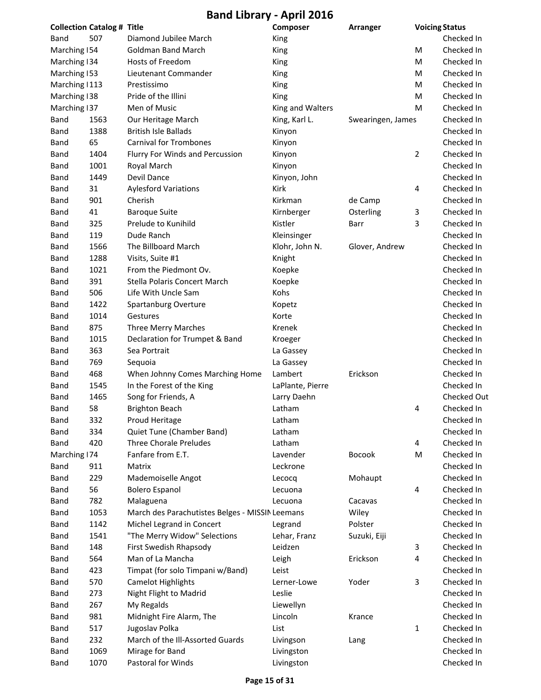|                | <b>Collection Catalog # Title</b> |                                                 | Composer         | Arranger          |   | <b>Voicing Status</b>    |
|----------------|-----------------------------------|-------------------------------------------------|------------------|-------------------|---|--------------------------|
| Band           | 507                               | Diamond Jubilee March                           | King             |                   |   | Checked In               |
| Marching 154   |                                   | <b>Goldman Band March</b>                       | King             |                   | м | Checked In               |
| Marching 134   |                                   | Hosts of Freedom                                | King             |                   | M | Checked In               |
| Marching 153   |                                   | Lieutenant Commander                            | King             |                   | м | Checked In               |
| Marching   113 |                                   | Prestissimo                                     | King             |                   | м | Checked In               |
| Marching 138   |                                   | Pride of the Illini                             | King             |                   | м | Checked In               |
| Marching 137   |                                   | Men of Music                                    | King and Walters |                   | м | Checked In               |
| Band           | 1563                              | Our Heritage March                              | King, Karl L.    | Swearingen, James |   | Checked In               |
| Band           | 1388                              | <b>British Isle Ballads</b>                     | Kinyon           |                   |   | Checked In               |
| Band           | 65                                | <b>Carnival for Trombones</b>                   | Kinyon           |                   |   | Checked In               |
| Band           | 1404                              | Flurry For Winds and Percussion                 | Kinyon           |                   | 2 | Checked In               |
| Band           | 1001                              | Royal March                                     | Kinyon           |                   |   | Checked In               |
| Band           | 1449                              | Devil Dance                                     | Kinyon, John     |                   |   | Checked In               |
| Band           | 31                                | <b>Aylesford Variations</b>                     | Kirk             |                   | 4 | Checked In               |
| Band           | 901                               | Cherish                                         | Kirkman          | de Camp           |   | Checked In               |
| Band           | 41                                | <b>Baroque Suite</b>                            | Kirnberger       | Osterling         | 3 | Checked In               |
| Band           | 325                               | Prelude to Kunihild                             | Kistler          | Barr              | 3 | Checked In               |
| Band           | 119                               | Dude Ranch                                      | Kleinsinger      |                   |   | Checked In               |
| Band           | 1566                              | The Billboard March                             | Klohr, John N.   | Glover, Andrew    |   | Checked In               |
| Band           | 1288                              | Visits, Suite #1                                | Knight           |                   |   | Checked In               |
| <b>Band</b>    | 1021                              | From the Piedmont Ov.                           | Koepke           |                   |   | Checked In               |
| <b>Band</b>    | 391                               | Stella Polaris Concert March                    | Koepke           |                   |   | Checked In               |
| <b>Band</b>    | 506                               | Life With Uncle Sam                             | Kohs             |                   |   | Checked In               |
| Band           | 1422                              | Spartanburg Overture                            | Kopetz           |                   |   | Checked In               |
| Band           | 1014                              | Gestures                                        | Korte            |                   |   | Checked In               |
| Band           | 875                               | Three Merry Marches                             | Krenek           |                   |   | Checked In               |
| Band           | 1015                              | Declaration for Trumpet & Band                  | Kroeger          |                   |   | Checked In               |
| Band           | 363                               | Sea Portrait                                    | La Gassey        |                   |   | Checked In               |
| Band           | 769                               | Sequoia                                         | La Gassey        |                   |   | Checked In               |
| Band           | 468                               | When Johnny Comes Marching Home                 | Lambert          | Erickson          |   | Checked In               |
| Band           | 1545                              | In the Forest of the King                       | LaPlante, Pierre |                   |   | Checked In               |
| <b>Band</b>    | 1465                              | Song for Friends, A                             | Larry Daehn      |                   |   | <b>Checked Out</b>       |
| <b>Band</b>    | 58                                | <b>Brighton Beach</b>                           | Latham           |                   | 4 | Checked In               |
| Band           | 332                               | Proud Heritage                                  | Latham           |                   |   | Checked In               |
| <b>Band</b>    | 334                               | Quiet Tune (Chamber Band)                       | Latham           |                   |   | Checked In               |
| Band           | 420                               | <b>Three Chorale Preludes</b>                   | Latham           |                   | 4 | Checked In               |
| Marching   74  |                                   | Fanfare from E.T.                               | Lavender         | <b>Bocook</b>     | M | Checked In               |
| Band           | 911                               | Matrix                                          | Leckrone         |                   |   | Checked In               |
| Band           | 229                               | Mademoiselle Angot                              | Lecocq           | Mohaupt           |   | Checked In               |
| Band           | 56                                | <b>Bolero Espanol</b>                           | Lecuona          |                   | 4 | Checked In               |
| Band           | 782                               | Malaguena                                       | Lecuona          | Cacavas           |   | Checked In               |
| Band           | 1053                              | March des Parachutistes Belges - MISSIN Leemans |                  | Wiley             |   | Checked In               |
| Band           | 1142                              | Michel Legrand in Concert                       | Legrand          | Polster           |   | Checked In               |
| Band           | 1541                              | "The Merry Widow" Selections                    | Lehar, Franz     | Suzuki, Eiji      |   | Checked In               |
| Band           | 148                               | First Swedish Rhapsody                          | Leidzen          |                   | 3 | Checked In               |
| Band           | 564                               | Man of La Mancha                                | Leigh            | Erickson          | 4 | Checked In               |
| Band           | 423                               | Timpat (for solo Timpani w/Band)                | Leist            |                   |   | Checked In               |
| Band           | 570                               | <b>Camelot Highlights</b>                       | Lerner-Lowe      | Yoder             | 3 | Checked In               |
|                |                                   |                                                 |                  |                   |   |                          |
| Band           | 273<br>267                        | Night Flight to Madrid                          | Leslie           |                   |   | Checked In<br>Checked In |
| <b>Band</b>    |                                   | My Regalds                                      | Liewellyn        |                   |   |                          |
| Band           | 981                               | Midnight Fire Alarm, The                        | Lincoln          | Krance            |   | Checked In               |
| Band           | 517                               | Jugoslav Polka                                  | List             |                   | 1 | Checked In               |
| Band           | 232                               | March of the Ill-Assorted Guards                | Livingson        | Lang              |   | Checked In               |
| Band           | 1069                              | Mirage for Band                                 | Livingston       |                   |   | Checked In               |
| Band           | 1070                              | Pastoral for Winds                              | Livingston       |                   |   | Checked In               |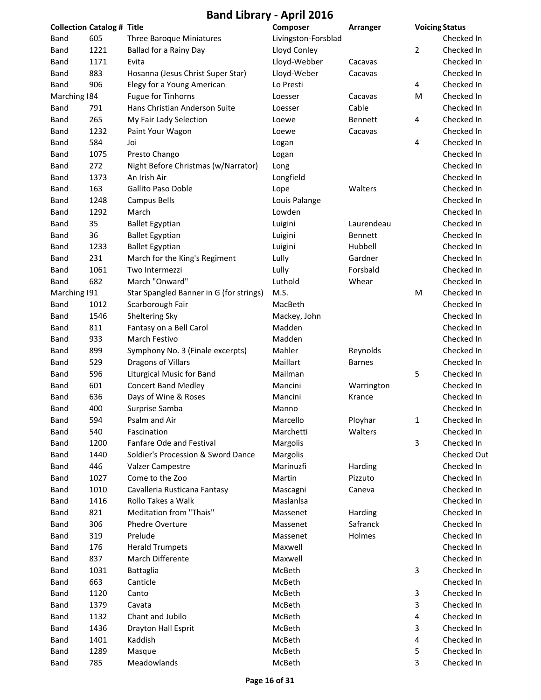|               | <b>Collection Catalog # Title</b> |                                         | Composer            | <b>Arranger</b> |   | <b>Voicing Status</b> |
|---------------|-----------------------------------|-----------------------------------------|---------------------|-----------------|---|-----------------------|
| Band          | 605                               | Three Baroque Miniatures                | Livingston-Forsblad |                 |   | Checked In            |
| <b>Band</b>   | 1221                              | Ballad for a Rainy Day                  | Lloyd Conley        |                 | 2 | Checked In            |
| Band          | 1171                              | Evita                                   | Lloyd-Webber        | Cacavas         |   | Checked In            |
| Band          | 883                               | Hosanna (Jesus Christ Super Star)       | Lloyd-Weber         | Cacavas         |   | Checked In            |
| Band          | 906                               | Elegy for a Young American              | Lo Presti           |                 | 4 | Checked In            |
| Marching 184  |                                   | Fugue for Tinhorns                      | Loesser             | Cacavas         | M | Checked In            |
| Band          | 791                               | Hans Christian Anderson Suite           | Loesser             | Cable           |   | Checked In            |
| Band          | 265                               | My Fair Lady Selection                  | Loewe               | Bennett         | 4 | Checked In            |
| Band          | 1232                              | Paint Your Wagon                        | Loewe               | Cacavas         |   | Checked In            |
| Band          | 584                               | Joi                                     | Logan               |                 | 4 | Checked In            |
| Band          | 1075                              | Presto Chango                           | Logan               |                 |   | Checked In            |
| Band          | 272                               | Night Before Christmas (w/Narrator)     | Long                |                 |   | Checked In            |
| Band          | 1373                              | An Irish Air                            | Longfield           |                 |   | Checked In            |
| Band          | 163                               | <b>Gallito Paso Doble</b>               | Lope                | Walters         |   | Checked In            |
| Band          | 1248                              | <b>Campus Bells</b>                     | Louis Palange       |                 |   | Checked In            |
| Band          | 1292                              | March                                   | Lowden              |                 |   | Checked In            |
| Band          | 35                                | <b>Ballet Egyptian</b>                  | Luigini             | Laurendeau      |   | Checked In            |
| Band          | 36                                | <b>Ballet Egyptian</b>                  | Luigini             | Bennett         |   | Checked In            |
| Band          | 1233                              | <b>Ballet Egyptian</b>                  | Luigini             | Hubbell         |   | Checked In            |
| Band          | 231                               | March for the King's Regiment           | Lully               | Gardner         |   | Checked In            |
| Band          | 1061                              | Two Intermezzi                          | Lully               | Forsbald        |   | Checked In            |
| Band          | 682                               | March "Onward"                          | Luthold             | Whear           |   | Checked In            |
| Marching   91 |                                   | Star Spangled Banner in G (for strings) | M.S.                |                 | M | Checked In            |
| Band          | 1012                              | Scarborough Fair                        | MacBeth             |                 |   | Checked In            |
| <b>Band</b>   | 1546                              | Sheltering Sky                          | Mackey, John        |                 |   | Checked In            |
| Band          | 811                               | Fantasy on a Bell Carol                 | Madden              |                 |   | Checked In            |
| Band          | 933                               | March Festivo                           | Madden              |                 |   | Checked In            |
| Band          | 899                               | Symphony No. 3 (Finale excerpts)        | Mahler              | Reynolds        |   | Checked In            |
| Band          | 529                               | Dragons of Villars                      | Maillart            | <b>Barnes</b>   |   | Checked In            |
| Band          | 596                               | Liturgical Music for Band               | Mailman             |                 | 5 | Checked In            |
| Band          | 601                               | <b>Concert Band Medley</b>              | Mancini             | Warrington      |   | Checked In            |
| Band          | 636                               | Days of Wine & Roses                    | Mancini             | Krance          |   | Checked In            |
| Band          | 400                               | Surprise Samba                          | Manno               |                 |   | Checked In            |
| Band          | 594                               | Psalm and Air                           | Marcello            | Ployhar         | 1 | Checked In            |
| Band          | 540                               | Fascination                             | Marchetti           | Walters         |   | Checked In            |
| Band          | 1200                              | Fanfare Ode and Festival                | Margolis            |                 | 3 | Checked In            |
| Band          | 1440                              | Soldier's Procession & Sword Dance      | Margolis            |                 |   | <b>Checked Out</b>    |
| Band          | 446                               | Valzer Campestre                        | Marinuzfi           | Harding         |   | Checked In            |
| Band          | 1027                              | Come to the Zoo                         | Martin              | Pizzuto         |   | Checked In            |
| Band          | 1010                              | Cavalleria Rusticana Fantasy            | Mascagni            | Caneva          |   | Checked In            |
| Band          | 1416                              | Rollo Takes a Walk                      | Maslanlsa           |                 |   | Checked In            |
| Band          | 821                               | Meditation from "Thais"                 | Massenet            | Harding         |   | Checked In            |
| Band          | 306                               | Phedre Overture                         | Massenet            | Safranck        |   | Checked In            |
| Band          | 319                               | Prelude                                 | Massenet            | Holmes          |   | Checked In            |
| Band          | 176                               | <b>Herald Trumpets</b>                  | Maxwell             |                 |   | Checked In            |
| Band          | 837                               | March Differente                        | Maxwell             |                 |   | Checked In            |
| Band          | 1031                              | Battaglia                               | McBeth              |                 | 3 | Checked In            |
| Band          | 663                               | Canticle                                | McBeth              |                 |   | Checked In            |
| Band          | 1120                              | Canto                                   | McBeth              |                 | 3 | Checked In            |
| Band          | 1379                              | Cavata                                  | McBeth              |                 | 3 | Checked In            |
| Band          | 1132                              | Chant and Jubilo                        | McBeth              |                 | 4 | Checked In            |
| Band          | 1436                              | Drayton Hall Esprit                     | McBeth              |                 | 3 | Checked In            |
| Band          | 1401                              | Kaddish                                 | McBeth              |                 | 4 | Checked In            |
| <b>Band</b>   | 1289                              | Masque                                  | McBeth              |                 | 5 | Checked In            |
| Band          | 785                               | Meadowlands                             | McBeth              |                 | 3 | Checked In            |
|               |                                   |                                         |                     |                 |   |                       |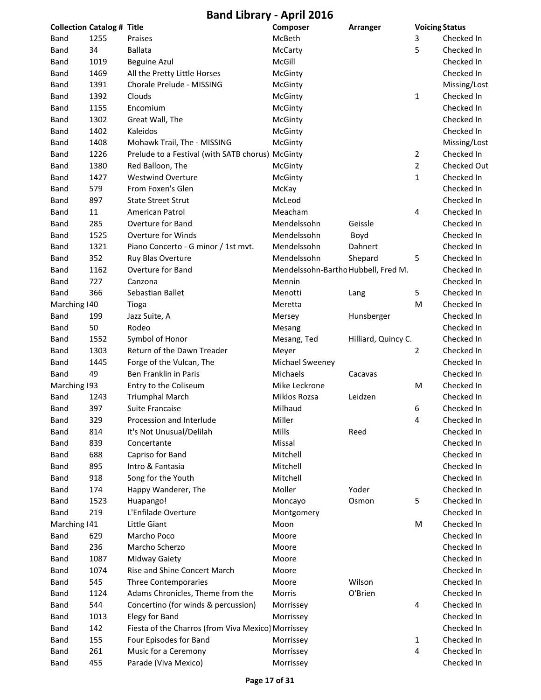|               | <b>Collection Catalog # Title</b> |                                                    | Composer                            | <b>Arranger</b>     | <b>Voicing Status</b> |              |
|---------------|-----------------------------------|----------------------------------------------------|-------------------------------------|---------------------|-----------------------|--------------|
| Band          | 1255                              | Praises                                            | McBeth                              |                     | 3                     | Checked In   |
| <b>Band</b>   | 34                                | <b>Ballata</b>                                     | McCarty                             |                     | 5                     | Checked In   |
| Band          | 1019                              | <b>Beguine Azul</b>                                | McGill                              |                     |                       | Checked In   |
| Band          | 1469                              | All the Pretty Little Horses                       | McGinty                             |                     |                       | Checked In   |
| Band          | 1391                              | Chorale Prelude - MISSING                          | McGinty                             |                     |                       | Missing/Lost |
| Band          | 1392                              | Clouds                                             | McGinty                             |                     | 1                     | Checked In   |
| <b>Band</b>   | 1155                              | Encomium                                           | McGinty                             |                     |                       | Checked In   |
| <b>Band</b>   | 1302                              | Great Wall, The                                    | McGinty                             |                     |                       | Checked In   |
| Band          | 1402                              | Kaleidos                                           | McGinty                             |                     |                       | Checked In   |
| Band          | 1408                              | Mohawk Trail, The - MISSING                        | McGinty                             |                     |                       | Missing/Lost |
| Band          | 1226                              | Prelude to a Festival (with SATB chorus) McGinty   |                                     |                     | $\overline{2}$        | Checked In   |
| <b>Band</b>   | 1380                              | Red Balloon, The                                   | McGinty                             |                     | $\overline{2}$        | Checked Out  |
| Band          | 1427                              | <b>Westwind Overture</b>                           | McGinty                             |                     | $\mathbf{1}$          | Checked In   |
| Band          | 579                               | From Foxen's Glen                                  | McKay                               |                     |                       | Checked In   |
| Band          | 897                               | <b>State Street Strut</b>                          | McLeod                              |                     |                       | Checked In   |
| Band          | 11                                | American Patrol                                    | Meacham                             |                     | 4                     | Checked In   |
| Band          | 285                               | Overture for Band                                  | Mendelssohn                         | Geissle             |                       | Checked In   |
| <b>Band</b>   | 1525                              | <b>Overture for Winds</b>                          | Mendelssohn                         | Boyd                |                       | Checked In   |
| <b>Band</b>   | 1321                              | Piano Concerto - G minor / 1st mvt.                | Mendelssohn                         | Dahnert             |                       | Checked In   |
| Band          | 352                               | Ruy Blas Overture                                  | Mendelssohn                         | Shepard             | 5                     | Checked In   |
| Band          | 1162                              | Overture for Band                                  | Mendelssohn-Bartho Hubbell, Fred M. |                     |                       | Checked In   |
| Band          | 727                               | Canzona                                            | Mennin                              |                     |                       | Checked In   |
| Band          | 366                               | Sebastian Ballet                                   | Menotti                             | Lang                | 5                     | Checked In   |
| Marching   40 |                                   | Tioga                                              | Meretta                             |                     | M                     | Checked In   |
| <b>Band</b>   | 199                               | Jazz Suite, A                                      | Mersey                              | Hunsberger          |                       | Checked In   |
| Band          | 50                                | Rodeo                                              | Mesang                              |                     |                       | Checked In   |
| Band          | 1552                              | Symbol of Honor                                    | Mesang, Ted                         | Hilliard, Quincy C. |                       | Checked In   |
| <b>Band</b>   | 1303                              | Return of the Dawn Treader                         | Meyer                               |                     | 2                     | Checked In   |
| Band          | 1445                              | Forge of the Vulcan, The                           | Michael Sweeney                     |                     |                       | Checked In   |
| Band          | 49                                | Ben Franklin in Paris                              | Michaels                            | Cacavas             |                       | Checked In   |
| Marching 193  |                                   | Entry to the Coliseum                              | Mike Leckrone                       |                     | M                     | Checked In   |
| Band          | 1243                              | <b>Triumphal March</b>                             | Miklos Rozsa                        | Leidzen             |                       | Checked In   |
| Band          | 397                               | <b>Suite Francaise</b>                             | Milhaud                             |                     | 6                     | Checked In   |
| Band          | 329                               | Procession and Interlude                           | Miller                              |                     | 4                     | Checked In   |
| Band          | 814                               | It's Not Unusual/Delilah                           | Mills                               | Reed                |                       | Checked In   |
| Band          | 839                               | Concertante                                        | Missal                              |                     |                       | Checked In   |
| Band          | 688                               | Capriso for Band                                   | Mitchell                            |                     |                       | Checked In   |
| Band          | 895                               | Intro & Fantasia                                   | Mitchell                            |                     |                       | Checked In   |
| Band          | 918                               | Song for the Youth                                 | Mitchell                            |                     |                       | Checked In   |
| Band          | 174                               | Happy Wanderer, The                                | Moller                              | Yoder               |                       | Checked In   |
| Band          | 1523                              | Huapango!                                          | Moncayo                             | Osmon               | 5                     | Checked In   |
| Band          | 219                               | L'Enfilade Overture                                | Montgomery                          |                     |                       | Checked In   |
| Marching   41 |                                   | Little Giant                                       | Moon                                |                     | M                     | Checked In   |
| Band          | 629                               | Marcho Poco                                        | Moore                               |                     |                       | Checked In   |
| Band          | 236                               | Marcho Scherzo                                     | Moore                               |                     |                       | Checked In   |
| Band          | 1087                              | Midway Gaiety                                      | Moore                               |                     |                       | Checked In   |
| Band          | 1074                              | Rise and Shine Concert March                       | Moore                               |                     |                       | Checked In   |
| Band          | 545                               | Three Contemporaries                               | Moore                               | Wilson              |                       | Checked In   |
| Band          | 1124                              | Adams Chronicles, Theme from the                   | Morris                              | O'Brien             |                       | Checked In   |
| Band          | 544                               | Concertino (for winds & percussion)                | Morrissey                           |                     | 4                     | Checked In   |
| <b>Band</b>   | 1013                              | Elegy for Band                                     | Morrissey                           |                     |                       | Checked In   |
| Band          | 142                               | Fiesta of the Charros (from Viva Mexico) Morrissey |                                     |                     |                       | Checked In   |
|               | 155                               | Four Episodes for Band                             |                                     |                     |                       | Checked In   |
| Band          | 261                               | Music for a Ceremony                               | Morrissey                           |                     | 1<br>4                | Checked In   |
| Band          |                                   |                                                    | Morrissey                           |                     |                       |              |
| Band          | 455                               | Parade (Viva Mexico)                               | Morrissey                           |                     |                       | Checked In   |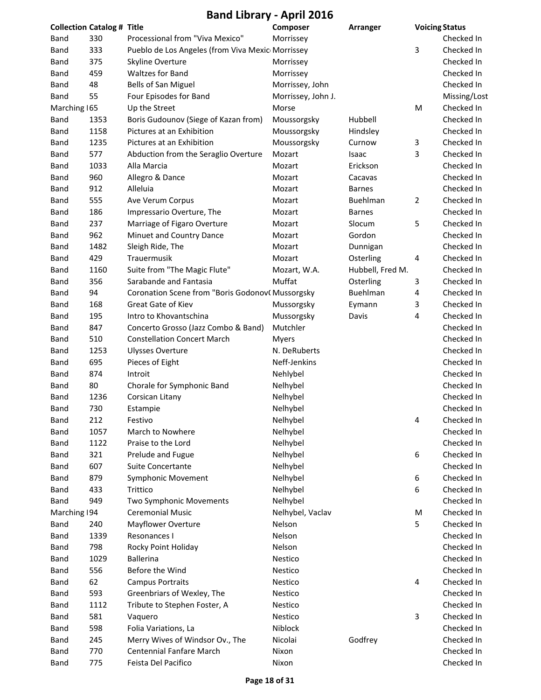| <b>Band Library - April 2016</b> |                                   |                                                  |                    |                  |   |                       |
|----------------------------------|-----------------------------------|--------------------------------------------------|--------------------|------------------|---|-----------------------|
|                                  | <b>Collection Catalog # Title</b> |                                                  | Composer           | Arranger         |   | <b>Voicing Status</b> |
| Band                             | 330                               | Processional from "Viva Mexico"                  | Morrissey          |                  |   | Checked In            |
| <b>Band</b>                      | 333                               | Pueblo de Los Angeles (from Viva Mexic Morrissey |                    |                  | 3 | Checked In            |
| Band                             | 375                               | Skyline Overture                                 | Morrissey          |                  |   | Checked In            |
| Band                             | 459                               | <b>Waltzes for Band</b>                          | Morrissey          |                  |   | Checked In            |
| Band                             | 48                                | <b>Bells of San Miguel</b>                       | Morrissey, John    |                  |   | Checked In            |
| <b>Band</b>                      | 55                                | Four Episodes for Band                           | Morrissey, John J. |                  |   | Missing/Lost          |
| Marching 165                     |                                   | Up the Street                                    | Morse              |                  | M | Checked In            |
| Band                             | 1353                              | Boris Gudounov (Siege of Kazan from)             | Moussorgsky        | Hubbell          |   | Checked In            |
| Band                             | 1158                              | Pictures at an Exhibition                        | Moussorgsky        | Hindsley         |   | Checked In            |
| Band                             | 1235                              | Pictures at an Exhibition                        | Moussorgsky        | Curnow           | 3 | Checked In            |
| Band                             | 577                               | Abduction from the Seraglio Overture             | Mozart             | Isaac            | 3 | Checked In            |
| <b>Band</b>                      | 1033                              | Alla Marcia                                      | Mozart             | Erickson         |   | Checked In            |
| Band                             | 960                               | Allegro & Dance                                  | Mozart             | Cacavas          |   | Checked In            |
| Band                             | 912                               | Alleluia                                         | Mozart             | <b>Barnes</b>    |   | Checked In            |
| Band                             | 555                               | Ave Verum Corpus                                 | Mozart             | Buehlman         | 2 | Checked In            |
| Band                             | 186                               | Impressario Overture, The                        | Mozart             | <b>Barnes</b>    |   | Checked In            |
| Band                             | 237                               | Marriage of Figaro Overture                      | Mozart             | Slocum           | 5 | Checked In            |
| Band                             | 962                               | Minuet and Country Dance                         | Mozart             | Gordon           |   | Checked In            |
| Band                             | 1482                              | Sleigh Ride, The                                 | Mozart             | Dunnigan         |   | Checked In            |
| Band                             | 429                               | Trauermusik                                      | Mozart             | Osterling        | 4 | Checked In            |
| <b>Band</b>                      | 1160                              | Suite from "The Magic Flute"                     | Mozart, W.A.       | Hubbell, Fred M. |   | Checked In            |
| Band                             | 356                               | Sarabande and Fantasia                           | Muffat             | Osterling        | 3 | Checked In            |
| <b>Band</b>                      | 94                                | Coronation Scene from "Boris GodonovC Mussorgsky |                    | Buehlman         | 4 | Checked In            |
| <b>Band</b>                      | 168                               | Great Gate of Kiev                               | Mussorgsky         | Eymann           | 3 | Checked In            |
| Band                             | 195                               | Intro to Khovantschina                           | Mussorgsky         | Davis            | 4 | Checked In            |
| Band                             | 847                               | Concerto Grosso (Jazz Combo & Band)              | Mutchler           |                  |   | Checked In            |
| Band                             | 510                               | <b>Constellation Concert March</b>               | Myers              |                  |   | Checked In            |
| Band                             | 1253                              | <b>Ulysses Overture</b>                          | N. DeRuberts       |                  |   | Checked In            |
| <b>Band</b>                      | 695                               | Pieces of Eight                                  | Neff-Jenkins       |                  |   | Checked In            |
| Band                             | 874                               | Introit                                          | Nehlybel           |                  |   | Checked In            |
| Band                             | 80                                | Chorale for Symphonic Band                       | Nelhybel           |                  |   | Checked In            |
| Band                             | 1236                              | Corsican Litany                                  | Nelhybel           |                  |   | Checked In            |
| <b>Band</b>                      | 730                               | Estampie                                         | Nelhybel           |                  |   | Checked In            |
| Band                             | 212                               | Festivo                                          | Nelhybel           |                  | 4 | Checked In            |
| Band                             | 1057                              | March to Nowhere                                 | Nelhybel           |                  |   | Checked In            |
| Band                             | 1122                              | Praise to the Lord                               | Nelhybel           |                  |   | Checked In            |
| Band                             | 321                               | Prelude and Fugue                                | Nelhybel           |                  | 6 | Checked In            |
| Band                             | 607                               | <b>Suite Concertante</b>                         | Nelhybel           |                  |   | Checked In            |
| Band                             | 879                               | <b>Symphonic Movement</b>                        | Nelhybel           |                  | 6 | Checked In            |
| Band                             | 433                               | Trittico                                         | Nelhybel           |                  | 6 | Checked In            |
| Band                             | 949                               | Two Symphonic Movements                          | Nelhybel           |                  |   | Checked In            |
| Marching 194                     |                                   | <b>Ceremonial Music</b>                          | Nelhybel, Vaclav   |                  | M | Checked In            |
| Band                             | 240                               | Mayflower Overture                               | Nelson             |                  | 5 | Checked In            |
| Band                             | 1339                              | Resonances I                                     | Nelson             |                  |   | Checked In            |
| Band                             | 798                               | Rocky Point Holiday                              | Nelson             |                  |   | Checked In            |
| Band                             | 1029                              | <b>Ballerina</b>                                 | Nestico            |                  |   | Checked In            |
| Band                             | 556                               | Before the Wind                                  | Nestico            |                  |   | Checked In            |
| Band                             | 62                                | <b>Campus Portraits</b>                          | Nestico            |                  | 4 | Checked In            |
| Band                             | 593                               | Greenbriars of Wexley, The                       | Nestico            |                  |   | Checked In            |
| Band                             | 1112                              | Tribute to Stephen Foster, A                     | Nestico            |                  |   | Checked In            |
| Band                             | 581                               | Vaquero                                          | Nestico            |                  | 3 | Checked In            |
| Band                             | 598                               | Folia Variations, La                             | Niblock            |                  |   | Checked In            |
| Band                             | 245                               | Merry Wives of Windsor Ov., The                  | Nicolai            | Godfrey          |   | Checked In            |
| Band                             | 770                               | Centennial Fanfare March                         | Nixon              |                  |   | Checked In            |
| <b>Band</b>                      | 775                               | Feista Del Pacifico                              | Nixon              |                  |   | Checked In            |
|                                  |                                   |                                                  |                    |                  |   |                       |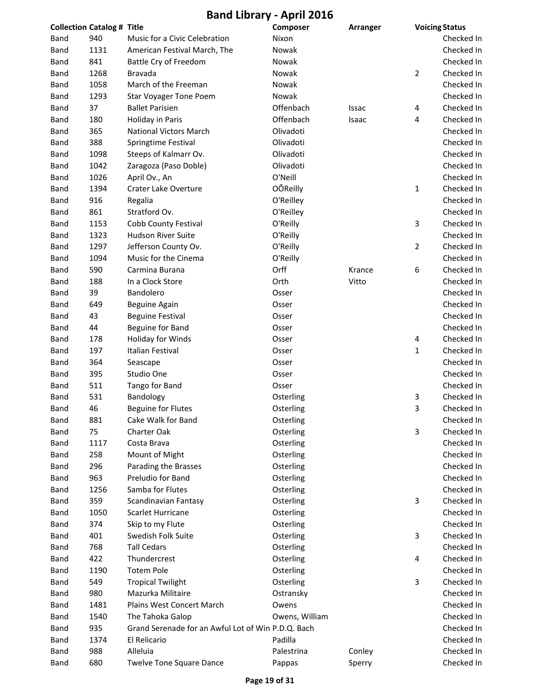|      |                                                                        | Composer                                                                                                                                                                                                                                                                                                                                                                                                                                                                                                                                                                                         | Arranger                                                                                                                                                                                                                                                                                                                                                           | <b>Voicing Status</b> |                  |
|------|------------------------------------------------------------------------|--------------------------------------------------------------------------------------------------------------------------------------------------------------------------------------------------------------------------------------------------------------------------------------------------------------------------------------------------------------------------------------------------------------------------------------------------------------------------------------------------------------------------------------------------------------------------------------------------|--------------------------------------------------------------------------------------------------------------------------------------------------------------------------------------------------------------------------------------------------------------------------------------------------------------------------------------------------------------------|-----------------------|------------------|
| 940  | Music for a Civic Celebration                                          | Nixon                                                                                                                                                                                                                                                                                                                                                                                                                                                                                                                                                                                            |                                                                                                                                                                                                                                                                                                                                                                    |                       | Checked In       |
| 1131 | American Festival March, The                                           | Nowak                                                                                                                                                                                                                                                                                                                                                                                                                                                                                                                                                                                            |                                                                                                                                                                                                                                                                                                                                                                    |                       | Checked In       |
| 841  | Battle Cry of Freedom                                                  | Nowak                                                                                                                                                                                                                                                                                                                                                                                                                                                                                                                                                                                            |                                                                                                                                                                                                                                                                                                                                                                    |                       | Checked In       |
| 1268 | <b>Bravada</b>                                                         | Nowak                                                                                                                                                                                                                                                                                                                                                                                                                                                                                                                                                                                            |                                                                                                                                                                                                                                                                                                                                                                    | 2                     | Checked In       |
| 1058 | March of the Freeman                                                   | Nowak                                                                                                                                                                                                                                                                                                                                                                                                                                                                                                                                                                                            |                                                                                                                                                                                                                                                                                                                                                                    |                       | Checked In       |
| 1293 | <b>Star Voyager Tone Poem</b>                                          | Nowak                                                                                                                                                                                                                                                                                                                                                                                                                                                                                                                                                                                            |                                                                                                                                                                                                                                                                                                                                                                    |                       | Checked In       |
| 37   | <b>Ballet Parisien</b>                                                 | Offenbach                                                                                                                                                                                                                                                                                                                                                                                                                                                                                                                                                                                        | Issac                                                                                                                                                                                                                                                                                                                                                              | 4                     | Checked In       |
| 180  | Holiday in Paris                                                       | Offenbach                                                                                                                                                                                                                                                                                                                                                                                                                                                                                                                                                                                        | Isaac                                                                                                                                                                                                                                                                                                                                                              | 4                     | Checked In       |
| 365  | <b>National Victors March</b>                                          | Olivadoti                                                                                                                                                                                                                                                                                                                                                                                                                                                                                                                                                                                        |                                                                                                                                                                                                                                                                                                                                                                    |                       | Checked In       |
| 388  | Springtime Festival                                                    | Olivadoti                                                                                                                                                                                                                                                                                                                                                                                                                                                                                                                                                                                        |                                                                                                                                                                                                                                                                                                                                                                    |                       | Checked In       |
| 1098 | Steeps of Kalmarr Ov.                                                  | Olivadoti                                                                                                                                                                                                                                                                                                                                                                                                                                                                                                                                                                                        |                                                                                                                                                                                                                                                                                                                                                                    |                       | Checked In       |
| 1042 | Zaragoza (Paso Doble)                                                  | Olivadoti                                                                                                                                                                                                                                                                                                                                                                                                                                                                                                                                                                                        |                                                                                                                                                                                                                                                                                                                                                                    |                       | Checked In       |
| 1026 | April Ov., An                                                          | O'Neill                                                                                                                                                                                                                                                                                                                                                                                                                                                                                                                                                                                          |                                                                                                                                                                                                                                                                                                                                                                    |                       | Checked In       |
| 1394 | Crater Lake Overture                                                   | <b>OÕReilly</b>                                                                                                                                                                                                                                                                                                                                                                                                                                                                                                                                                                                  |                                                                                                                                                                                                                                                                                                                                                                    | $\mathbf{1}$          | Checked In       |
| 916  | Regalia                                                                | O'Reilley                                                                                                                                                                                                                                                                                                                                                                                                                                                                                                                                                                                        |                                                                                                                                                                                                                                                                                                                                                                    |                       | Checked In       |
| 861  | Stratford Ov.                                                          | O'Reilley                                                                                                                                                                                                                                                                                                                                                                                                                                                                                                                                                                                        |                                                                                                                                                                                                                                                                                                                                                                    |                       | Checked In       |
| 1153 | Cobb County Festival                                                   | O'Reilly                                                                                                                                                                                                                                                                                                                                                                                                                                                                                                                                                                                         |                                                                                                                                                                                                                                                                                                                                                                    | 3                     | Checked In       |
| 1323 | <b>Hudson River Suite</b>                                              | O'Reilly                                                                                                                                                                                                                                                                                                                                                                                                                                                                                                                                                                                         |                                                                                                                                                                                                                                                                                                                                                                    |                       | Checked In       |
| 1297 | Jefferson County Ov.                                                   | O'Reilly                                                                                                                                                                                                                                                                                                                                                                                                                                                                                                                                                                                         |                                                                                                                                                                                                                                                                                                                                                                    | $\overline{2}$        | Checked In       |
| 1094 | Music for the Cinema                                                   | O'Reilly                                                                                                                                                                                                                                                                                                                                                                                                                                                                                                                                                                                         |                                                                                                                                                                                                                                                                                                                                                                    |                       | Checked In       |
| 590  | Carmina Burana                                                         | Orff                                                                                                                                                                                                                                                                                                                                                                                                                                                                                                                                                                                             | Krance                                                                                                                                                                                                                                                                                                                                                             | 6                     | Checked In       |
| 188  | In a Clock Store                                                       | Orth                                                                                                                                                                                                                                                                                                                                                                                                                                                                                                                                                                                             | Vitto                                                                                                                                                                                                                                                                                                                                                              |                       | Checked In       |
| 39   | Bandolero                                                              | Osser                                                                                                                                                                                                                                                                                                                                                                                                                                                                                                                                                                                            |                                                                                                                                                                                                                                                                                                                                                                    |                       | Checked In       |
| 649  |                                                                        | Osser                                                                                                                                                                                                                                                                                                                                                                                                                                                                                                                                                                                            |                                                                                                                                                                                                                                                                                                                                                                    |                       | Checked In       |
| 43   |                                                                        | Osser                                                                                                                                                                                                                                                                                                                                                                                                                                                                                                                                                                                            |                                                                                                                                                                                                                                                                                                                                                                    |                       | Checked In       |
| 44   |                                                                        | Osser                                                                                                                                                                                                                                                                                                                                                                                                                                                                                                                                                                                            |                                                                                                                                                                                                                                                                                                                                                                    |                       | Checked In       |
| 178  |                                                                        | Osser                                                                                                                                                                                                                                                                                                                                                                                                                                                                                                                                                                                            |                                                                                                                                                                                                                                                                                                                                                                    | 4                     | Checked In       |
| 197  | Italian Festival                                                       | Osser                                                                                                                                                                                                                                                                                                                                                                                                                                                                                                                                                                                            |                                                                                                                                                                                                                                                                                                                                                                    | 1                     | Checked In       |
| 364  |                                                                        |                                                                                                                                                                                                                                                                                                                                                                                                                                                                                                                                                                                                  |                                                                                                                                                                                                                                                                                                                                                                    |                       | Checked In       |
| 395  |                                                                        |                                                                                                                                                                                                                                                                                                                                                                                                                                                                                                                                                                                                  |                                                                                                                                                                                                                                                                                                                                                                    |                       | Checked In       |
| 511  |                                                                        | Osser                                                                                                                                                                                                                                                                                                                                                                                                                                                                                                                                                                                            |                                                                                                                                                                                                                                                                                                                                                                    |                       | Checked In       |
| 531  |                                                                        |                                                                                                                                                                                                                                                                                                                                                                                                                                                                                                                                                                                                  |                                                                                                                                                                                                                                                                                                                                                                    | 3                     | Checked In       |
| 46   |                                                                        |                                                                                                                                                                                                                                                                                                                                                                                                                                                                                                                                                                                                  |                                                                                                                                                                                                                                                                                                                                                                    | 3                     | Checked In       |
| 881  |                                                                        |                                                                                                                                                                                                                                                                                                                                                                                                                                                                                                                                                                                                  |                                                                                                                                                                                                                                                                                                                                                                    |                       | Checked In       |
| 75   |                                                                        |                                                                                                                                                                                                                                                                                                                                                                                                                                                                                                                                                                                                  |                                                                                                                                                                                                                                                                                                                                                                    | 3                     | Checked In       |
| 1117 | Costa Brava                                                            |                                                                                                                                                                                                                                                                                                                                                                                                                                                                                                                                                                                                  |                                                                                                                                                                                                                                                                                                                                                                    |                       | Checked In       |
| 258  |                                                                        |                                                                                                                                                                                                                                                                                                                                                                                                                                                                                                                                                                                                  |                                                                                                                                                                                                                                                                                                                                                                    |                       | Checked In       |
| 296  |                                                                        |                                                                                                                                                                                                                                                                                                                                                                                                                                                                                                                                                                                                  |                                                                                                                                                                                                                                                                                                                                                                    |                       | Checked In       |
| 963  |                                                                        |                                                                                                                                                                                                                                                                                                                                                                                                                                                                                                                                                                                                  |                                                                                                                                                                                                                                                                                                                                                                    |                       | Checked In       |
| 1256 | Samba for Flutes                                                       |                                                                                                                                                                                                                                                                                                                                                                                                                                                                                                                                                                                                  |                                                                                                                                                                                                                                                                                                                                                                    |                       | Checked In       |
|      |                                                                        |                                                                                                                                                                                                                                                                                                                                                                                                                                                                                                                                                                                                  |                                                                                                                                                                                                                                                                                                                                                                    |                       | Checked In       |
| 1050 |                                                                        |                                                                                                                                                                                                                                                                                                                                                                                                                                                                                                                                                                                                  |                                                                                                                                                                                                                                                                                                                                                                    |                       | Checked In       |
|      |                                                                        |                                                                                                                                                                                                                                                                                                                                                                                                                                                                                                                                                                                                  |                                                                                                                                                                                                                                                                                                                                                                    |                       | Checked In       |
| 401  |                                                                        |                                                                                                                                                                                                                                                                                                                                                                                                                                                                                                                                                                                                  |                                                                                                                                                                                                                                                                                                                                                                    |                       | Checked In       |
| 768  |                                                                        |                                                                                                                                                                                                                                                                                                                                                                                                                                                                                                                                                                                                  |                                                                                                                                                                                                                                                                                                                                                                    |                       | Checked In       |
|      |                                                                        |                                                                                                                                                                                                                                                                                                                                                                                                                                                                                                                                                                                                  |                                                                                                                                                                                                                                                                                                                                                                    |                       | Checked In       |
|      |                                                                        |                                                                                                                                                                                                                                                                                                                                                                                                                                                                                                                                                                                                  |                                                                                                                                                                                                                                                                                                                                                                    |                       | Checked In       |
|      |                                                                        |                                                                                                                                                                                                                                                                                                                                                                                                                                                                                                                                                                                                  |                                                                                                                                                                                                                                                                                                                                                                    |                       | Checked In       |
|      |                                                                        |                                                                                                                                                                                                                                                                                                                                                                                                                                                                                                                                                                                                  |                                                                                                                                                                                                                                                                                                                                                                    |                       | Checked In       |
|      |                                                                        |                                                                                                                                                                                                                                                                                                                                                                                                                                                                                                                                                                                                  |                                                                                                                                                                                                                                                                                                                                                                    |                       | Checked In       |
|      |                                                                        |                                                                                                                                                                                                                                                                                                                                                                                                                                                                                                                                                                                                  |                                                                                                                                                                                                                                                                                                                                                                    |                       | Checked In       |
| 935  |                                                                        |                                                                                                                                                                                                                                                                                                                                                                                                                                                                                                                                                                                                  |                                                                                                                                                                                                                                                                                                                                                                    |                       | Checked In       |
|      |                                                                        |                                                                                                                                                                                                                                                                                                                                                                                                                                                                                                                                                                                                  |                                                                                                                                                                                                                                                                                                                                                                    |                       | Checked In       |
|      |                                                                        |                                                                                                                                                                                                                                                                                                                                                                                                                                                                                                                                                                                                  |                                                                                                                                                                                                                                                                                                                                                                    |                       | Checked In       |
|      |                                                                        |                                                                                                                                                                                                                                                                                                                                                                                                                                                                                                                                                                                                  |                                                                                                                                                                                                                                                                                                                                                                    |                       |                  |
|      | 359<br>374<br>422<br>1190<br>549<br>980<br>1481<br>1540<br>1374<br>988 | <b>Collection Catalog # Title</b><br>Beguine Again<br><b>Beguine Festival</b><br>Beguine for Band<br>Holiday for Winds<br>Seascape<br>Studio One<br>Tango for Band<br>Bandology<br><b>Beguine for Flutes</b><br>Cake Walk for Band<br>Charter Oak<br>Mount of Might<br>Parading the Brasses<br>Preludio for Band<br>Scandinavian Fantasy<br>Scarlet Hurricane<br>Skip to my Flute<br>Swedish Folk Suite<br><b>Tall Cedars</b><br>Thundercrest<br><b>Totem Pole</b><br><b>Tropical Twilight</b><br>Mazurka Militaire<br>Plains West Concert March<br>The Tahoka Galop<br>El Relicario<br>Alleluia | Osser<br>Osser<br>Osterling<br>Osterling<br>Osterling<br>Osterling<br>Osterling<br>Osterling<br>Osterling<br>Osterling<br>Osterling<br>Osterling<br>Osterling<br>Osterling<br>Osterling<br>Osterling<br>Osterling<br>Osterling<br>Osterling<br>Ostransky<br>Owens<br>Owens, William<br>Grand Serenade for an Awful Lot of Win P.D.Q. Bach<br>Padilla<br>Palestrina | Conley                | 3<br>3<br>4<br>3 |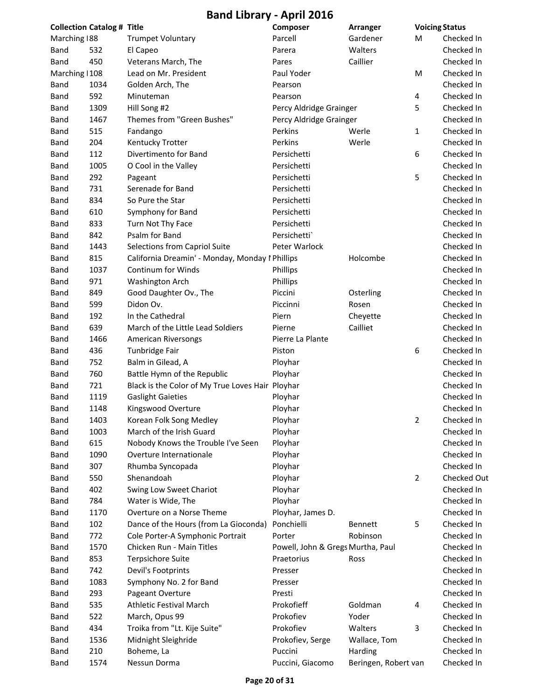| <b>Collection Catalog # Title</b> |      |                                                  | Composer                          | <b>Arranger</b>      | <b>Voicing Status</b> |             |
|-----------------------------------|------|--------------------------------------------------|-----------------------------------|----------------------|-----------------------|-------------|
| Marching 188                      |      | <b>Trumpet Voluntary</b>                         | Parcell                           | Gardener             | М                     | Checked In  |
| Band                              | 532  | El Capeo                                         | Parera                            | Walters              |                       | Checked In  |
| Band                              | 450  | Veterans March, The                              | Pares                             | Caillier             |                       | Checked In  |
| Marching   108                    |      | Lead on Mr. President                            | Paul Yoder                        |                      | M                     | Checked In  |
| Band                              | 1034 | Golden Arch, The                                 | Pearson                           |                      |                       | Checked In  |
| Band                              | 592  | Minuteman                                        | Pearson                           |                      | 4                     | Checked In  |
| Band                              | 1309 | Hill Song #2                                     | Percy Aldridge Grainger           |                      | 5                     | Checked In  |
| Band                              | 1467 | Themes from "Green Bushes"                       | Percy Aldridge Grainger           |                      |                       | Checked In  |
| Band                              | 515  | Fandango                                         | Perkins                           | Werle                | 1                     | Checked In  |
| Band                              | 204  | Kentucky Trotter                                 | Perkins                           | Werle                |                       | Checked In  |
| Band                              | 112  | Divertimento for Band                            | Persichetti                       |                      | 6                     | Checked In  |
| Band                              | 1005 | O Cool in the Valley                             | Persichetti                       |                      |                       | Checked In  |
| Band                              | 292  | Pageant                                          | Persichetti                       |                      | 5                     | Checked In  |
| Band                              | 731  | Serenade for Band                                | Persichetti                       |                      |                       | Checked In  |
| Band                              | 834  | So Pure the Star                                 | Persichetti                       |                      |                       | Checked In  |
| Band                              | 610  | Symphony for Band                                | Persichetti                       |                      |                       | Checked In  |
| Band                              | 833  | Turn Not Thy Face                                | Persichetti                       |                      |                       | Checked In  |
| Band                              | 842  | Psalm for Band                                   | Persichetti`                      |                      |                       | Checked In  |
| Band                              | 1443 | Selections from Capriol Suite                    | Peter Warlock                     |                      |                       | Checked In  |
| Band                              | 815  | California Dreamin' - Monday, Monday I Phillips  |                                   | Holcombe             |                       | Checked In  |
| Band                              | 1037 | Continum for Winds                               | Phillips                          |                      |                       | Checked In  |
| Band                              | 971  | Washington Arch                                  | Phillips                          |                      |                       | Checked In  |
| Band                              | 849  | Good Daughter Ov., The                           | Piccini                           | Osterling            |                       | Checked In  |
| Band                              | 599  | Didon Ov.                                        | Piccinni                          | Rosen                |                       | Checked In  |
| Band                              | 192  | In the Cathedral                                 | Piern                             | Cheyette             |                       | Checked In  |
| Band                              | 639  | March of the Little Lead Soldiers                | Pierne                            | Cailliet             |                       | Checked In  |
| Band                              | 1466 | American Riversongs                              | Pierre La Plante                  |                      |                       | Checked In  |
| Band                              | 436  | Tunbridge Fair                                   | Piston                            |                      | 6                     | Checked In  |
| Band                              | 752  | Balm in Gilead, A                                | Ployhar                           |                      |                       | Checked In  |
| Band                              | 760  | Battle Hymn of the Republic                      | Ployhar                           |                      |                       | Checked In  |
| Band                              | 721  | Black is the Color of My True Loves Hair Ployhar |                                   |                      |                       | Checked In  |
| Band                              | 1119 | <b>Gaslight Gaieties</b>                         | Ployhar                           |                      |                       | Checked In  |
| Band                              | 1148 | Kingswood Overture                               | Ployhar                           |                      |                       | Checked In  |
| Band                              | 1403 | Korean Folk Song Medley                          | Ployhar                           |                      | 2                     | Checked In  |
| Band                              | 1003 | March of the Irish Guard                         | Ployhar                           |                      |                       | Checked In  |
| Band                              | 615  | Nobody Knows the Trouble I've Seen               | Ployhar                           |                      |                       | Checked In  |
| Band                              | 1090 | Overture Internationale                          | Ployhar                           |                      |                       | Checked In  |
| Band                              | 307  | Rhumba Syncopada                                 | Ployhar                           |                      |                       | Checked In  |
| Band                              | 550  | Shenandoah                                       | Ployhar                           |                      | $\overline{2}$        | Checked Out |
| Band                              | 402  | Swing Low Sweet Chariot                          | Ployhar                           |                      |                       | Checked In  |
| Band                              | 784  | Water is Wide, The                               | Ployhar                           |                      |                       | Checked In  |
| Band                              | 1170 | Overture on a Norse Theme                        | Ployhar, James D.                 |                      |                       | Checked In  |
| Band                              | 102  | Dance of the Hours (from La Gioconda)            | Ponchielli                        | Bennett              | 5                     | Checked In  |
| Band                              | 772  | Cole Porter-A Symphonic Portrait                 | Porter                            | Robinson             |                       | Checked In  |
| Band                              | 1570 | Chicken Run - Main Titles                        | Powell, John & Gregs Murtha, Paul |                      |                       | Checked In  |
| Band                              | 853  | <b>Terpsichore Suite</b>                         | Praetorius                        | Ross                 |                       | Checked In  |
| Band                              | 742  | Devil's Footprints                               | Presser                           |                      |                       | Checked In  |
| Band                              | 1083 | Symphony No. 2 for Band                          | Presser                           |                      |                       | Checked In  |
| Band                              | 293  | Pageant Overture                                 | Presti                            |                      |                       | Checked In  |
| Band                              | 535  | <b>Athletic Festival March</b>                   | Prokofieff                        | Goldman              | 4                     | Checked In  |
| Band                              | 522  | March, Opus 99                                   | Prokofiev                         | Yoder                |                       | Checked In  |
| Band                              | 434  | Troika from "Lt. Kije Suite"                     | Prokofiev                         | Walters              | 3                     | Checked In  |
| Band                              | 1536 | Midnight Sleighride                              | Prokofiev, Serge                  | Wallace, Tom         |                       | Checked In  |
| Band                              | 210  | Boheme, La                                       | Puccini                           | Harding              |                       | Checked In  |
| Band                              | 1574 | Nessun Dorma                                     | Puccini, Giacomo                  | Beringen, Robert van |                       | Checked In  |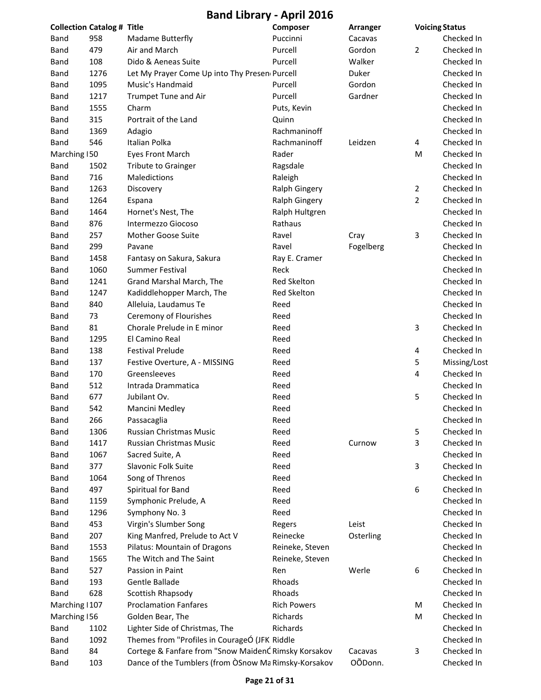| <b>Collection Catalog # Title</b> |      |                                                      | Composer             | Arranger  | <b>Voicing Status</b> |              |
|-----------------------------------|------|------------------------------------------------------|----------------------|-----------|-----------------------|--------------|
| Band                              | 958  | Madame Butterfly                                     | Puccinni             | Cacavas   |                       | Checked In   |
| Band                              | 479  | Air and March                                        | Purcell              | Gordon    | 2                     | Checked In   |
| Band                              | 108  | Dido & Aeneas Suite                                  | Purcell              | Walker    |                       | Checked In   |
| Band                              | 1276 | Let My Prayer Come Up into Thy Presen Purcell        |                      | Duker     |                       | Checked In   |
| Band                              | 1095 | Music's Handmaid                                     | Purcell              | Gordon    |                       | Checked In   |
| Band                              | 1217 | Trumpet Tune and Air                                 | Purcell              | Gardner   |                       | Checked In   |
| <b>Band</b>                       | 1555 | Charm                                                | Puts, Kevin          |           |                       | Checked In   |
| Band                              | 315  | Portrait of the Land                                 | Quinn                |           |                       | Checked In   |
| Band                              | 1369 | Adagio                                               | Rachmaninoff         |           |                       | Checked In   |
| Band                              | 546  | Italian Polka                                        | Rachmaninoff         | Leidzen   | 4                     | Checked In   |
| Marching 150                      |      | <b>Eyes Front March</b>                              | Rader                |           | M                     | Checked In   |
| Band                              | 1502 | <b>Tribute to Grainger</b>                           | Ragsdale             |           |                       | Checked In   |
| Band                              | 716  | Maledictions                                         | Raleigh              |           |                       | Checked In   |
| Band                              | 1263 | Discovery                                            | <b>Ralph Gingery</b> |           | 2                     | Checked In   |
| Band                              | 1264 | Espana                                               | <b>Ralph Gingery</b> |           | $\overline{2}$        | Checked In   |
| Band                              | 1464 | Hornet's Nest, The                                   | Ralph Hultgren       |           |                       | Checked In   |
| <b>Band</b>                       | 876  | Intermezzo Giocoso                                   | Rathaus              |           |                       | Checked In   |
| <b>Band</b>                       | 257  | <b>Mother Goose Suite</b>                            | Ravel                | Cray      | 3                     | Checked In   |
| Band                              | 299  | Pavane                                               | Ravel                | Fogelberg |                       | Checked In   |
| Band                              | 1458 | Fantasy on Sakura, Sakura                            | Ray E. Cramer        |           |                       | Checked In   |
| Band                              | 1060 | Summer Festival                                      | Reck                 |           |                       | Checked In   |
| <b>Band</b>                       | 1241 | Grand Marshal March, The                             | Red Skelton          |           |                       | Checked In   |
| <b>Band</b>                       | 1247 | Kadiddlehopper March, The                            | Red Skelton          |           |                       | Checked In   |
| Band                              | 840  | Alleluia, Laudamus Te                                | Reed                 |           |                       | Checked In   |
| Band                              | 73   | Ceremony of Flourishes                               | Reed                 |           |                       | Checked In   |
| Band                              | 81   | Chorale Prelude in E minor                           | Reed                 |           | 3                     | Checked In   |
| Band                              | 1295 | El Camino Real                                       | Reed                 |           |                       | Checked In   |
| Band                              | 138  | <b>Festival Prelude</b>                              | Reed                 |           | 4                     | Checked In   |
| <b>Band</b>                       | 137  | Festive Overture, A - MISSING                        | Reed                 |           | 5                     | Missing/Lost |
| Band                              | 170  | Greensleeves                                         | Reed                 |           | 4                     | Checked In   |
| Band                              | 512  | Intrada Drammatica                                   | Reed                 |           |                       | Checked In   |
| Band                              | 677  | Jubilant Ov.                                         | Reed                 |           | 5                     | Checked In   |
| Band                              | 542  | Mancini Medley                                       | Reed                 |           |                       | Checked In   |
| Band                              | 266  | Passacaglia                                          | Reed                 |           |                       | Checked In   |
| Band                              | 1306 | Russian Christmas Music                              | Reed                 |           | 5                     | Checked In   |
| Band                              | 1417 | Russian Christmas Music                              | Reed                 | Curnow    | 3                     | Checked In   |
| Band                              | 1067 | Sacred Suite, A                                      | Reed                 |           |                       | Checked In   |
| Band                              | 377  | Slavonic Folk Suite                                  | Reed                 |           | 3                     | Checked In   |
| Band                              | 1064 | Song of Threnos                                      | Reed                 |           |                       | Checked In   |
| Band                              | 497  | Spiritual for Band                                   | Reed                 |           | 6                     | Checked In   |
| Band                              | 1159 | Symphonic Prelude, A                                 | Reed                 |           |                       | Checked In   |
| Band                              | 1296 | Symphony No. 3                                       | Reed                 |           |                       | Checked In   |
| Band                              | 453  | Virgin's Slumber Song                                | Regers               | Leist     |                       | Checked In   |
| Band                              | 207  | King Manfred, Prelude to Act V                       | Reinecke             | Osterling |                       | Checked In   |
| Band                              | 1553 | Pilatus: Mountain of Dragons                         | Reineke, Steven      |           |                       | Checked In   |
| Band                              | 1565 | The Witch and The Saint                              | Reineke, Steven      |           |                       | Checked In   |
| Band                              | 527  | Passion in Paint                                     | Ren                  | Werle     | 6                     | Checked In   |
| Band                              | 193  | Gentle Ballade                                       | Rhoads               |           |                       | Checked In   |
| Band                              | 628  | Scottish Rhapsody                                    | Rhoads               |           |                       | Checked In   |
| Marching   107                    |      | <b>Proclamation Fanfares</b>                         | <b>Rich Powers</b>   |           | M                     | Checked In   |
| Marching 156                      |      | Golden Bear, The                                     | Richards             |           | M                     | Checked In   |
| Band                              | 1102 | Lighter Side of Christmas, The                       | Richards             |           |                       | Checked In   |
| Band                              | 1092 | Themes from "Profiles in CourageÓ (JFK Riddle        |                      |           |                       | Checked In   |
| Band                              | 84   | Cortege & Fanfare from "Snow MaidenĆ Rimsky Korsakov |                      | Cacavas   | 3                     | Checked In   |
| <b>Band</b>                       | 103  | Dance of the Tumblers (from OSnow Ma Rimsky-Korsakov |                      | OÕDonn.   |                       | Checked In   |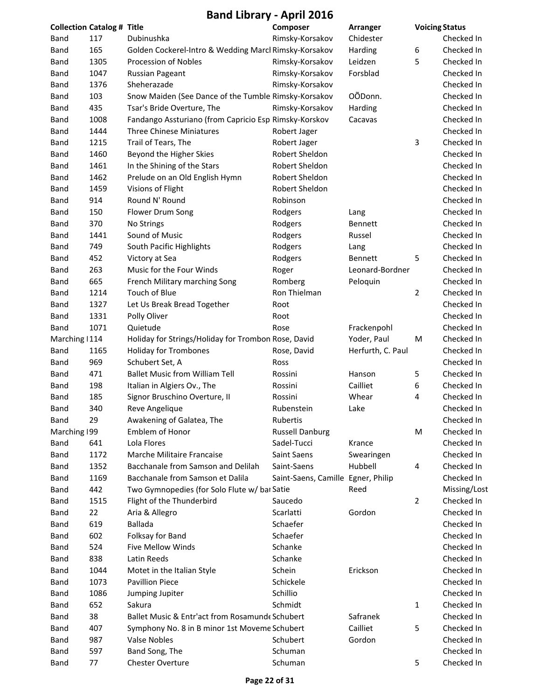| <b>Collection Catalog # Title</b> |      |                                                       | Composer                           | <b>Arranger</b>   | <b>Voicing Status</b> |              |
|-----------------------------------|------|-------------------------------------------------------|------------------------------------|-------------------|-----------------------|--------------|
| Band                              | 117  | Dubinushka                                            | Rimsky-Korsakov                    | Chidester         |                       | Checked In   |
| Band                              | 165  | Golden Cockerel-Intro & Wedding Marcl Rimsky-Korsakov |                                    | Harding           | 6                     | Checked In   |
| Band                              | 1305 | Procession of Nobles                                  | Rimsky-Korsakov                    | Leidzen           | 5                     | Checked In   |
| Band                              | 1047 | <b>Russian Pageant</b>                                | Rimsky-Korsakov                    | Forsblad          |                       | Checked In   |
| Band                              | 1376 | Sheherazade                                           | Rimsky-Korsakov                    |                   |                       | Checked In   |
| Band                              | 103  | Snow Maiden (See Dance of the Tumble Rimsky-Korsakov  |                                    | OÕDonn.           |                       | Checked In   |
| Band                              | 435  | Tsar's Bride Overture, The                            | Rimsky-Korsakov                    | Harding           |                       | Checked In   |
| Band                              | 1008 | Fandango Assturiano (from Capricio Esp Rimsky-Korskov |                                    | Cacavas           |                       | Checked In   |
| Band                              | 1444 | <b>Three Chinese Miniatures</b>                       | Robert Jager                       |                   |                       | Checked In   |
| Band                              | 1215 | Trail of Tears, The                                   | Robert Jager                       |                   | 3                     | Checked In   |
| Band                              | 1460 | Beyond the Higher Skies                               | Robert Sheldon                     |                   |                       | Checked In   |
| Band                              | 1461 | In the Shining of the Stars                           | Robert Sheldon                     |                   |                       | Checked In   |
| Band                              | 1462 | Prelude on an Old English Hymn                        | Robert Sheldon                     |                   |                       | Checked In   |
| Band                              | 1459 | Visions of Flight                                     | Robert Sheldon                     |                   |                       | Checked In   |
| Band                              | 914  | Round N' Round                                        | Robinson                           |                   |                       | Checked In   |
| Band                              | 150  | Flower Drum Song                                      | Rodgers                            | Lang              |                       | Checked In   |
| Band                              | 370  | No Strings                                            | Rodgers                            | <b>Bennett</b>    |                       | Checked In   |
| Band                              | 1441 | Sound of Music                                        | Rodgers                            | Russel            |                       | Checked In   |
| Band                              | 749  | South Pacific Highlights                              | Rodgers                            | Lang              |                       | Checked In   |
| Band                              | 452  | Victory at Sea                                        | Rodgers                            | <b>Bennett</b>    | 5                     | Checked In   |
| Band                              | 263  | Music for the Four Winds                              | Roger                              | Leonard-Bordner   |                       | Checked In   |
| Band                              | 665  | French Military marching Song                         | Romberg                            | Peloquin          |                       | Checked In   |
| Band                              | 1214 | Touch of Blue                                         | Ron Thielman                       |                   | $\overline{2}$        | Checked In   |
| Band                              | 1327 | Let Us Break Bread Together                           | Root                               |                   |                       | Checked In   |
| Band                              | 1331 | Polly Oliver                                          | Root                               |                   |                       | Checked In   |
| Band                              | 1071 | Quietude                                              | Rose                               | Frackenpohl       |                       | Checked In   |
| Marching   114                    |      | Holiday for Strings/Holiday for Trombon Rose, David   |                                    | Yoder, Paul       | M                     | Checked In   |
| Band                              | 1165 | <b>Holiday for Trombones</b>                          | Rose, David                        | Herfurth, C. Paul |                       | Checked In   |
| Band                              | 969  | Schubert Set, A                                       | Ross                               |                   |                       | Checked In   |
| Band                              | 471  | <b>Ballet Music from William Tell</b>                 | Rossini                            | Hanson            | 5                     | Checked In   |
| Band                              | 198  | Italian in Algiers Ov., The                           | Rossini                            | Cailliet          | 6                     | Checked In   |
| Band                              | 185  | Signor Bruschino Overture, II                         | Rossini                            | Whear             | 4                     | Checked In   |
| Band                              | 340  | Reve Angelique                                        | Rubenstein                         | Lake              |                       | Checked In   |
| Band                              | 29   | Awakening of Galatea, The                             | Rubertis                           |                   |                       | Checked In   |
| Marching 199                      |      | Emblem of Honor                                       | <b>Russell Danburg</b>             |                   | M                     | Checked In   |
| <b>Band</b>                       | 641  | Lola Flores                                           | Sadel-Tucci                        | Krance            |                       | Checked In   |
| Band                              | 1172 | Marche Militaire Francaise                            | Saint Saens                        | Swearingen        |                       | Checked In   |
| Band                              | 1352 | Bacchanale from Samson and Delilah                    | Saint-Saens                        | Hubbell           | 4                     | Checked In   |
| Band                              | 1169 | Bacchanale from Samson et Dalila                      | Saint-Saens, Camille Egner, Philip |                   |                       | Checked In   |
| Band                              | 442  | Two Gymnopedies (for Solo Flute w/ bar Satie          |                                    | Reed              |                       | Missing/Lost |
| Band                              | 1515 | Flight of the Thunderbird                             | Saucedo                            |                   | $\overline{2}$        | Checked In   |
| Band                              | 22   | Aria & Allegro                                        | Scarlatti                          | Gordon            |                       | Checked In   |
| Band                              | 619  | <b>Ballada</b>                                        | Schaefer                           |                   |                       | Checked In   |
| Band                              | 602  | Folksay for Band                                      | Schaefer                           |                   |                       | Checked In   |
| Band                              | 524  | Five Mellow Winds                                     | Schanke                            |                   |                       | Checked In   |
| Band                              | 838  | Latin Reeds                                           | Schanke                            |                   |                       | Checked In   |
| Band                              | 1044 | Motet in the Italian Style                            | Schein                             | Erickson          |                       | Checked In   |
| Band                              | 1073 | <b>Pavillion Piece</b>                                | Schickele                          |                   |                       | Checked In   |
| Band                              | 1086 | Jumping Jupiter                                       | Schillio                           |                   |                       | Checked In   |
| Band                              | 652  | Sakura                                                | Schmidt                            |                   | 1                     | Checked In   |
| Band                              | 38   | Ballet Music & Entr'act from Rosamunde Schubert       |                                    | Safranek          |                       | Checked In   |
| Band                              | 407  | Symphony No. 8 in B minor 1st Moveme Schubert         |                                    | Cailliet          | 5                     | Checked In   |
| Band                              | 987  | <b>Valse Nobles</b>                                   | Schubert                           | Gordon            |                       | Checked In   |
| Band                              | 597  | Band Song, The                                        | Schuman                            |                   |                       | Checked In   |
| Band                              | 77   | <b>Chester Overture</b>                               | Schuman                            |                   | 5                     | Checked In   |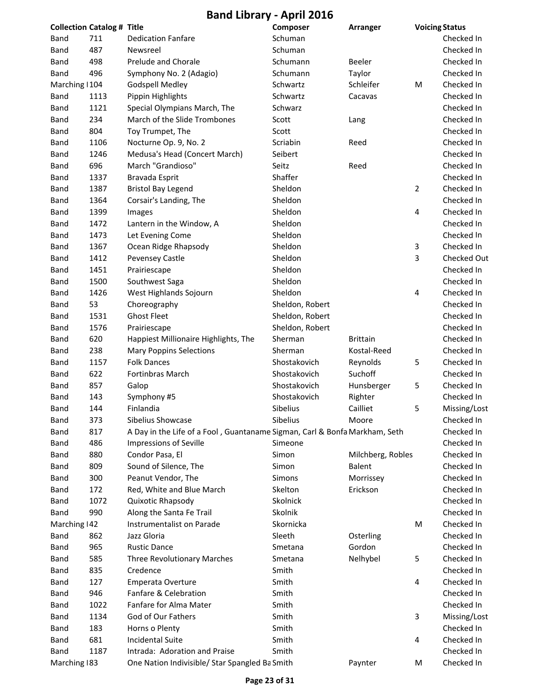| <b>Collection Catalog # Title</b> |      |                                                                            | Composer        | Arranger          | <b>Voicing Status</b> |              |
|-----------------------------------|------|----------------------------------------------------------------------------|-----------------|-------------------|-----------------------|--------------|
| Band                              | 711  | <b>Dedication Fanfare</b>                                                  | Schuman         |                   |                       | Checked In   |
| Band                              | 487  | Newsreel                                                                   | Schuman         |                   |                       | Checked In   |
| Band                              | 498  | Prelude and Chorale                                                        | Schumann        | <b>Beeler</b>     |                       | Checked In   |
| Band                              | 496  | Symphony No. 2 (Adagio)                                                    | Schumann        | Taylor            |                       | Checked In   |
| Marching   104                    |      | <b>Godspell Medley</b>                                                     | Schwartz        | Schleifer         | M                     | Checked In   |
| <b>Band</b>                       | 1113 | Pippin Highlights                                                          | Schwartz        | Cacavas           |                       | Checked In   |
| Band                              | 1121 | Special Olympians March, The                                               | Schwarz         |                   |                       | Checked In   |
| Band                              | 234  | March of the Slide Trombones                                               | Scott           | Lang              |                       | Checked In   |
| Band                              | 804  | Toy Trumpet, The                                                           | Scott           |                   |                       | Checked In   |
| Band                              | 1106 | Nocturne Op. 9, No. 2                                                      | Scriabin        | Reed              |                       | Checked In   |
| Band                              | 1246 | Medusa's Head (Concert March)                                              | Seibert         |                   |                       | Checked In   |
| <b>Band</b>                       | 696  | March "Grandioso"                                                          | Seitz           | Reed              |                       | Checked In   |
| <b>Band</b>                       | 1337 | Bravada Esprit                                                             | Shaffer         |                   |                       | Checked In   |
| Band                              | 1387 | <b>Bristol Bay Legend</b>                                                  | Sheldon         |                   | 2                     | Checked In   |
| Band                              | 1364 | Corsair's Landing, The                                                     | Sheldon         |                   |                       | Checked In   |
| <b>Band</b>                       | 1399 | Images                                                                     | Sheldon         |                   | 4                     | Checked In   |
| Band                              | 1472 | Lantern in the Window, A                                                   | Sheldon         |                   |                       | Checked In   |
| <b>Band</b>                       | 1473 | Let Evening Come                                                           | Sheldon         |                   |                       | Checked In   |
| <b>Band</b>                       | 1367 | Ocean Ridge Rhapsody                                                       | Sheldon         |                   | 3                     | Checked In   |
| Band                              | 1412 | Pevensey Castle                                                            | Sheldon         |                   | 3                     | Checked Out  |
| Band                              | 1451 | Prairiescape                                                               | Sheldon         |                   |                       | Checked In   |
| <b>Band</b>                       | 1500 | Southwest Saga                                                             | Sheldon         |                   |                       | Checked In   |
| <b>Band</b>                       | 1426 | West Highlands Sojourn                                                     | Sheldon         |                   | 4                     | Checked In   |
| <b>Band</b>                       | 53   | Choreography                                                               | Sheldon, Robert |                   |                       | Checked In   |
| Band                              | 1531 | <b>Ghost Fleet</b>                                                         | Sheldon, Robert |                   |                       | Checked In   |
| Band                              | 1576 | Prairiescape                                                               | Sheldon, Robert |                   |                       | Checked In   |
| <b>Band</b>                       | 620  | Happiest Millionaire Highlights, The                                       | Sherman         | <b>Brittain</b>   |                       | Checked In   |
| <b>Band</b>                       | 238  | <b>Mary Poppins Selections</b>                                             | Sherman         | Kostal-Reed       |                       | Checked In   |
| <b>Band</b>                       | 1157 | <b>Folk Dances</b>                                                         | Shostakovich    | Reynolds          | 5                     | Checked In   |
| <b>Band</b>                       | 622  | <b>Fortinbras March</b>                                                    | Shostakovich    | Suchoff           |                       | Checked In   |
| Band                              | 857  | Galop                                                                      | Shostakovich    | Hunsberger        | 5                     | Checked In   |
| Band                              | 143  | Symphony #5                                                                | Shostakovich    | Righter           |                       | Checked In   |
| Band                              | 144  | Finlandia                                                                  | Sibelius        | Cailliet          | 5                     | Missing/Lost |
| Band                              | 373  | Sibelius Showcase                                                          | Sibelius        | Moore             |                       | Checked In   |
| Band                              | 817  | A Day in the Life of a Fool, Guantaname Sigman, Carl & Bonfa Markham, Seth |                 |                   |                       | Checked In   |
| Band                              | 486  | <b>Impressions of Seville</b>                                              | Simeone         |                   |                       | Checked In   |
| Band                              | 880  | Condor Pasa, El                                                            | Simon           | Milchberg, Robles |                       | Checked In   |
| Band                              | 809  | Sound of Silence, The                                                      | Simon           | <b>Balent</b>     |                       | Checked In   |
| Band                              | 300  | Peanut Vendor, The                                                         | Simons          | Morrissey         |                       | Checked In   |
| <b>Band</b>                       | 172  | Red, White and Blue March                                                  | Skelton         | Erickson          |                       | Checked In   |
| Band                              | 1072 | Quixotic Rhapsody                                                          | Skolnick        |                   |                       | Checked In   |
|                                   | 990  |                                                                            | Skolnik         |                   |                       | Checked In   |
| Band                              |      | Along the Santa Fe Trail                                                   |                 |                   |                       |              |
| Marching   42                     |      | Instrumentalist on Parade                                                  | Skornicka       |                   | M                     | Checked In   |
| Band                              | 862  | Jazz Gloria                                                                | Sleeth          | Osterling         |                       | Checked In   |
| Band                              | 965  | <b>Rustic Dance</b>                                                        | Smetana         | Gordon            |                       | Checked In   |
| Band                              | 585  | Three Revolutionary Marches                                                | Smetana         | Nelhybel          | 5                     | Checked In   |
| Band                              | 835  | Credence                                                                   | Smith           |                   |                       | Checked In   |
| Band                              | 127  | Emperata Overture                                                          | Smith           |                   | 4                     | Checked In   |
| Band                              | 946  | Fanfare & Celebration                                                      | Smith           |                   |                       | Checked In   |
| Band                              | 1022 | Fanfare for Alma Mater                                                     | Smith           |                   |                       | Checked In   |
| Band                              | 1134 | God of Our Fathers                                                         | Smith           |                   | 3                     | Missing/Lost |
| Band                              | 183  | Horns o Plenty                                                             | Smith           |                   |                       | Checked In   |
| Band                              | 681  | <b>Incidental Suite</b>                                                    | Smith           |                   | 4                     | Checked In   |
| Band                              | 1187 | Intrada: Adoration and Praise                                              | Smith           |                   |                       | Checked In   |
| Marching 183                      |      | One Nation Indivisible/ Star Spangled Ba Smith                             |                 | Paynter           | M                     | Checked In   |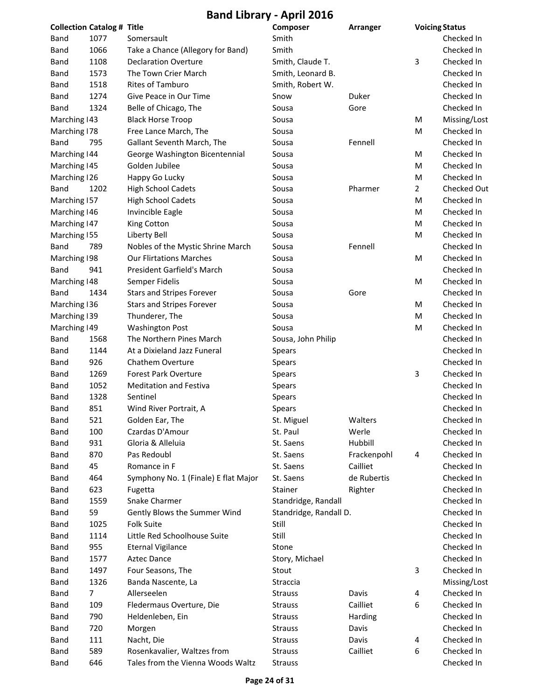| <b>Collection Catalog # Title</b> |      |                                      | Composer               | Arranger    |                | <b>Voicing Status</b> |
|-----------------------------------|------|--------------------------------------|------------------------|-------------|----------------|-----------------------|
| Band                              | 1077 | Somersault                           | Smith                  |             |                | Checked In            |
| Band                              | 1066 | Take a Chance (Allegory for Band)    | Smith                  |             |                | Checked In            |
| Band                              | 1108 | <b>Declaration Overture</b>          | Smith, Claude T.       |             | 3              | Checked In            |
| Band                              | 1573 | The Town Crier March                 | Smith, Leonard B.      |             |                | Checked In            |
| Band                              | 1518 | Rites of Tamburo                     | Smith, Robert W.       |             |                | Checked In            |
| Band                              | 1274 | Give Peace in Our Time               | Snow                   | Duker       |                | Checked In            |
| Band                              | 1324 | Belle of Chicago, The                | Sousa                  | Gore        |                | Checked In            |
| Marching   43                     |      | <b>Black Horse Troop</b>             | Sousa                  |             | M              | Missing/Lost          |
| Marching 178                      |      | Free Lance March, The                | Sousa                  |             | M              | Checked In            |
| Band                              | 795  | Gallant Seventh March, The           | Sousa                  | Fennell     |                | Checked In            |
| Marching   44                     |      | George Washington Bicentennial       | Sousa                  |             | M              | Checked In            |
| Marching   45                     |      | Golden Jubilee                       | Sousa                  |             | M              | Checked In            |
| Marching 126                      |      | Happy Go Lucky                       | Sousa                  |             | M              | Checked In            |
| Band                              | 1202 | <b>High School Cadets</b>            | Sousa                  | Pharmer     | $\overline{2}$ | Checked Out           |
| Marching 157                      |      | <b>High School Cadets</b>            | Sousa                  |             | M              | Checked In            |
| Marching   46                     |      | Invincible Eagle                     | Sousa                  |             | M              | Checked In            |
| Marching   47                     |      | King Cotton                          | Sousa                  |             | M              | Checked In            |
| Marching 155                      |      | Liberty Bell                         | Sousa                  |             | M              | Checked In            |
| Band                              | 789  | Nobles of the Mystic Shrine March    | Sousa                  | Fennell     |                | Checked In            |
| Marching 198                      |      | <b>Our Flirtations Marches</b>       | Sousa                  |             | M              | Checked In            |
| Band                              | 941  | President Garfield's March           | Sousa                  |             |                | Checked In            |
| Marching   48                     |      | Semper Fidelis                       | Sousa                  |             | M              | Checked In            |
| Band                              | 1434 | <b>Stars and Stripes Forever</b>     | Sousa                  | Gore        |                | Checked In            |
| Marching 136                      |      | <b>Stars and Stripes Forever</b>     | Sousa                  |             | M              | Checked In            |
| Marching 139                      |      | Thunderer, The                       | Sousa                  |             | M              | Checked In            |
| Marching 149                      |      | <b>Washington Post</b>               | Sousa                  |             | м              | Checked In            |
| Band                              | 1568 | The Northern Pines March             | Sousa, John Philip     |             |                | Checked In            |
| Band                              | 1144 | At a Dixieland Jazz Funeral          | Spears                 |             |                | Checked In            |
| Band                              | 926  | <b>Chathem Overture</b>              | <b>Spears</b>          |             |                | Checked In            |
| Band                              | 1269 | <b>Forest Park Overture</b>          | Spears                 |             | 3              | Checked In            |
| Band                              | 1052 | <b>Meditation and Festiva</b>        | <b>Spears</b>          |             |                | Checked In            |
| Band                              | 1328 | Sentinel                             | <b>Spears</b>          |             |                | Checked In            |
| Band                              | 851  | Wind River Portrait, A               | Spears                 |             |                | Checked In            |
| Band                              | 521  | Golden Ear, The                      | St. Miguel             | Walters     |                | Checked In            |
| Band                              | 100  | Czardas D'Amour                      | St. Paul               | Werle       |                | Checked In            |
| Band                              | 931  | Gloria & Alleluia                    | St. Saens              | Hubbill     |                | Checked In            |
| Band                              | 870  | Pas Redoubl                          | St. Saens              | Frackenpohl | 4              | Checked In            |
| Band                              | 45   | Romance in F                         | St. Saens              | Cailliet    |                | Checked In            |
| Band                              | 464  | Symphony No. 1 (Finale) E flat Major | St. Saens              | de Rubertis |                | Checked In            |
| Band                              | 623  | Fugetta                              | Stainer                | Righter     |                | Checked In            |
| Band                              | 1559 | Snake Charmer                        | Standridge, Randall    |             |                | Checked In            |
| Band                              | 59   | Gently Blows the Summer Wind         | Standridge, Randall D. |             |                | Checked In            |
| Band                              | 1025 | <b>Folk Suite</b>                    | Still                  |             |                | Checked In            |
| Band                              | 1114 | Little Red Schoolhouse Suite         | Still                  |             |                | Checked In            |
| Band                              | 955  | <b>Eternal Vigilance</b>             | Stone                  |             |                | Checked In            |
| Band                              | 1577 | <b>Aztec Dance</b>                   | Story, Michael         |             |                | Checked In            |
| Band                              | 1497 | Four Seasons, The                    | Stout                  |             | 3              | Checked In            |
| Band                              | 1326 | Banda Nascente, La                   | Straccia               |             |                | Missing/Lost          |
| Band                              | 7    | Allerseelen                          | <b>Strauss</b>         | Davis       | 4              | Checked In            |
| Band                              | 109  | Fledermaus Overture, Die             | <b>Strauss</b>         | Cailliet    | 6              | Checked In            |
| Band                              | 790  | Heldenleben, Ein                     | <b>Strauss</b>         | Harding     |                | Checked In            |
| Band                              | 720  | Morgen                               | <b>Strauss</b>         | Davis       |                | Checked In            |
| Band                              | 111  | Nacht, Die                           | <b>Strauss</b>         | Davis       | 4              | Checked In            |
| <b>Band</b>                       | 589  | Rosenkavalier, Waltzes from          | <b>Strauss</b>         | Cailliet    | 6              | Checked In            |
| <b>Band</b>                       | 646  | Tales from the Vienna Woods Waltz    | <b>Strauss</b>         |             |                | Checked In            |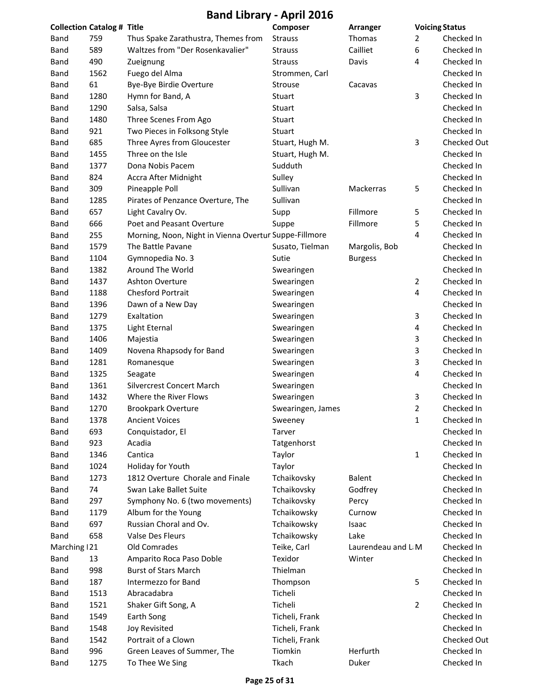|               | <b>Collection Catalog # Title</b> |                                                       | Composer          | <b>Arranger</b>    |                | <b>Voicing Status</b> |
|---------------|-----------------------------------|-------------------------------------------------------|-------------------|--------------------|----------------|-----------------------|
| <b>Band</b>   | 759                               | Thus Spake Zarathustra, Themes from                   | <b>Strauss</b>    | Thomas             | $\overline{2}$ | Checked In            |
| <b>Band</b>   | 589                               | Waltzes from "Der Rosenkavalier"                      | <b>Strauss</b>    | Cailliet           | 6              | Checked In            |
| <b>Band</b>   | 490                               | Zueignung                                             | <b>Strauss</b>    | Davis              | 4              | Checked In            |
| Band          | 1562                              | Fuego del Alma                                        | Strommen, Carl    |                    |                | Checked In            |
| Band          | 61                                | Bye-Bye Birdie Overture                               | Strouse           | Cacavas            |                | Checked In            |
| Band          | 1280                              | Hymn for Band, A                                      | Stuart            |                    | 3              | Checked In            |
| Band          | 1290                              | Salsa, Salsa                                          | Stuart            |                    |                | Checked In            |
| Band          | 1480                              | Three Scenes From Ago                                 | Stuart            |                    |                | Checked In            |
| Band          | 921                               | Two Pieces in Folksong Style                          | <b>Stuart</b>     |                    |                | Checked In            |
| Band          | 685                               | Three Ayres from Gloucester                           | Stuart, Hugh M.   |                    | 3              | Checked Out           |
| Band          | 1455                              | Three on the Isle                                     | Stuart, Hugh M.   |                    |                | Checked In            |
| <b>Band</b>   | 1377                              | Dona Nobis Pacem                                      | Sudduth           |                    |                | Checked In            |
| <b>Band</b>   | 824                               | Accra After Midnight                                  | Sulley            |                    |                | Checked In            |
| <b>Band</b>   | 309                               | Pineapple Poll                                        | Sullivan          | Mackerras          | 5              | Checked In            |
| <b>Band</b>   | 1285                              | Pirates of Penzance Overture, The                     | Sullivan          |                    |                | Checked In            |
| <b>Band</b>   | 657                               | Light Cavalry Ov.                                     | Supp              | Fillmore           | 5              | Checked In            |
| <b>Band</b>   | 666                               | Poet and Peasant Overture                             | Suppe             | Fillmore           | 5              | Checked In            |
| Band          | 255                               | Morning, Noon, Night in Vienna Overtur Suppe-Fillmore |                   |                    | 4              | Checked In            |
| <b>Band</b>   | 1579                              | The Battle Pavane                                     | Susato, Tielman   | Margolis, Bob      |                | Checked In            |
| <b>Band</b>   | 1104                              | Gymnopedia No. 3                                      | Sutie             | <b>Burgess</b>     |                | Checked In            |
| <b>Band</b>   | 1382                              | Around The World                                      | Swearingen        |                    |                | Checked In            |
| <b>Band</b>   | 1437                              | <b>Ashton Overture</b>                                | Swearingen        |                    | $\overline{2}$ | Checked In            |
| Band          | 1188                              | <b>Chesford Portrait</b>                              | Swearingen        |                    | 4              | Checked In            |
| Band          | 1396                              | Dawn of a New Day                                     | Swearingen        |                    |                | Checked In            |
| Band          | 1279                              | Exaltation                                            | Swearingen        |                    | 3              | Checked In            |
| Band          | 1375                              | Light Eternal                                         | Swearingen        |                    | 4              | Checked In            |
| Band          | 1406                              | Majestia                                              | Swearingen        |                    | 3              | Checked In            |
| Band          | 1409                              | Novena Rhapsody for Band                              | Swearingen        |                    | 3              | Checked In            |
| Band          | 1281                              | Romanesque                                            | Swearingen        |                    | 3              | Checked In            |
| Band          | 1325                              | Seagate                                               | Swearingen        |                    | 4              | Checked In            |
| Band          | 1361                              | <b>Silvercrest Concert March</b>                      | Swearingen        |                    |                | Checked In            |
| Band          | 1432                              | Where the River Flows                                 | Swearingen        |                    | 3              | Checked In            |
| Band          | 1270                              | <b>Brookpark Overture</b>                             | Swearingen, James |                    | $\overline{2}$ | Checked In            |
| Band          | 1378                              | <b>Ancient Voices</b>                                 | Sweeney           |                    | 1              | Checked In            |
| <b>Band</b>   | 693                               | Conquistador, El                                      | Tarver            |                    |                | Checked In            |
| Band          | 923                               | Acadia                                                | Tatgenhorst       |                    |                | Checked In            |
| Band          | 1346                              | Cantica                                               | Taylor            |                    | $\mathbf{1}$   | Checked In            |
| <b>Band</b>   | 1024                              | Holiday for Youth                                     | Taylor            |                    |                | Checked In            |
| Band          | 1273                              | 1812 Overture Chorale and Finale                      | Tchaikovsky       | <b>Balent</b>      |                | Checked In            |
| Band          | 74                                | Swan Lake Ballet Suite                                | Tchaikovsky       | Godfrey            |                | Checked In            |
| Band          | 297                               | Symphony No. 6 (two movements)                        | Tchaikovsky       | Percy              |                | Checked In            |
| Band          | 1179                              | Album for the Young                                   | Tchaikowsky       | Curnow             |                | Checked In            |
| Band          | 697                               | Russian Choral and Ov.                                | Tchaikowsky       | Isaac              |                | Checked In            |
| Band          | 658                               | Valse Des Fleurs                                      | Tchaikowsky       | Lake               |                | Checked In            |
| Marching   21 |                                   | Old Comrades                                          | Teike, Carl       | Laurendeau and L M |                | Checked In            |
| Band          | 13                                | Amparito Roca Paso Doble                              | Texidor           | Winter             |                | Checked In            |
| <b>Band</b>   | 998                               | <b>Burst of Stars March</b>                           | Thielman          |                    |                | Checked In            |
| Band          | 187                               | Intermezzo for Band                                   | Thompson          |                    | 5              | Checked In            |
| <b>Band</b>   | 1513                              | Abracadabra                                           | Ticheli           |                    |                | Checked In            |
| Band          | 1521                              | Shaker Gift Song, A                                   | Ticheli           |                    | $\overline{2}$ | Checked In            |
| Band          | 1549                              | Earth Song                                            | Ticheli, Frank    |                    |                | Checked In            |
| Band          | 1548                              | <b>Joy Revisited</b>                                  | Ticheli, Frank    |                    |                | Checked In            |
| Band          | 1542                              | Portrait of a Clown                                   | Ticheli, Frank    |                    |                | Checked Out           |
| Band          | 996                               | Green Leaves of Summer, The                           | Tiomkin           | Herfurth           |                | Checked In            |
| <b>Band</b>   | 1275                              | To Thee We Sing                                       | Tkach             | Duker              |                | Checked In            |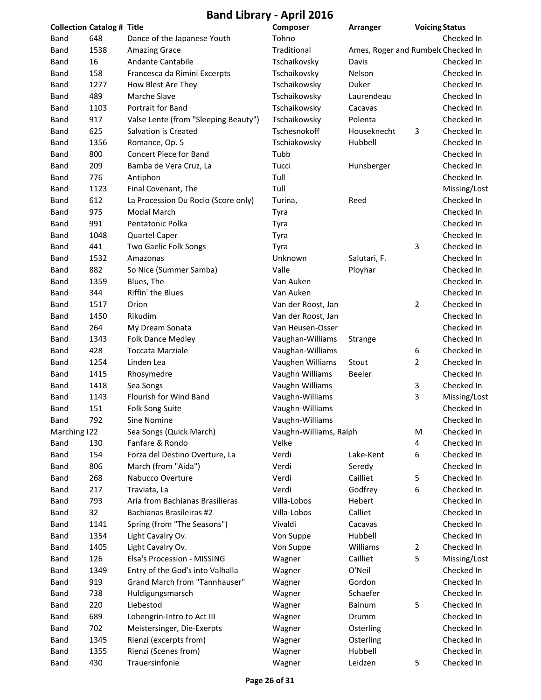| <b>Collection Catalog # Title</b> |      |                                      | Composer               | Arranger                           | <b>Voicing Status</b> |              |
|-----------------------------------|------|--------------------------------------|------------------------|------------------------------------|-----------------------|--------------|
| Band                              | 648  | Dance of the Japanese Youth          | Tohno                  |                                    |                       | Checked In   |
| Band                              | 1538 | <b>Amazing Grace</b>                 | Traditional            | Ames, Roger and Rumbelc Checked In |                       |              |
| Band                              | 16   | Andante Cantabile                    | Tschaikovsky           | Davis                              |                       | Checked In   |
| Band                              | 158  | Francesca da Rimini Excerpts         | Tschaikovsky           | Nelson                             |                       | Checked In   |
| <b>Band</b>                       | 1277 | How Blest Are They                   | Tschaikowsky           | Duker                              |                       | Checked In   |
| <b>Band</b>                       | 489  | Marche Slave                         | Tschaikowsky           | Laurendeau                         |                       | Checked In   |
| Band                              | 1103 | Portrait for Band                    | Tschaikowsky           | Cacavas                            |                       | Checked In   |
| Band                              | 917  | Valse Lente (from "Sleeping Beauty") | Tschaikowsky           | Polenta                            |                       | Checked In   |
| Band                              | 625  | Salvation is Created                 | Tschesnokoff           | Houseknecht                        | 3                     | Checked In   |
| Band                              | 1356 | Romance, Op. 5                       | Tschiakowsky           | Hubbell                            |                       | Checked In   |
| Band                              | 800  | Concert Piece for Band               | Tubb                   |                                    |                       | Checked In   |
| Band                              | 209  | Bamba de Vera Cruz, La               | Tucci                  | Hunsberger                         |                       | Checked In   |
| Band                              | 776  | Antiphon                             | Tull                   |                                    |                       | Checked In   |
| Band                              | 1123 | Final Covenant, The                  | Tull                   |                                    |                       | Missing/Lost |
| Band                              | 612  | La Procession Du Rocio (Score only)  | Turina,                | Reed                               |                       | Checked In   |
| Band                              | 975  | Modal March                          |                        |                                    |                       | Checked In   |
|                                   |      |                                      | Tyra                   |                                    |                       |              |
| <b>Band</b>                       | 991  | Pentatonic Polka                     | Tyra                   |                                    |                       | Checked In   |
| <b>Band</b>                       | 1048 | <b>Quartel Caper</b>                 | Tyra                   |                                    |                       | Checked In   |
| Band                              | 441  | Two Gaelic Folk Songs                | Tyra                   |                                    | 3                     | Checked In   |
| Band                              | 1532 | Amazonas                             | Unknown                | Salutari, F.                       |                       | Checked In   |
| Band                              | 882  | So Nice (Summer Samba)               | Valle                  | Ployhar                            |                       | Checked In   |
| Band                              | 1359 | Blues, The                           | Van Auken              |                                    |                       | Checked In   |
| Band                              | 344  | Riffin' the Blues                    | Van Auken              |                                    |                       | Checked In   |
| Band                              | 1517 | Orion                                | Van der Roost, Jan     |                                    | $\overline{2}$        | Checked In   |
| Band                              | 1450 | Rikudim                              | Van der Roost, Jan     |                                    |                       | Checked In   |
| Band                              | 264  | My Dream Sonata                      | Van Heusen-Osser       |                                    |                       | Checked In   |
| Band                              | 1343 | <b>Folk Dance Medley</b>             | Vaughan-Williams       | Strange                            |                       | Checked In   |
| Band                              | 428  | <b>Toccata Marziale</b>              | Vaughan-Williams       |                                    | 6                     | Checked In   |
| <b>Band</b>                       | 1254 | Linden Lea                           | Vaughen Williams       | Stout                              | 2                     | Checked In   |
| Band                              | 1415 | Rhosymedre                           | Vaughn Williams        | Beeler                             |                       | Checked In   |
| Band                              | 1418 | Sea Songs                            | Vaughn Williams        |                                    | 3                     | Checked In   |
| Band                              | 1143 | Flourish for Wind Band               | Vaughn-Williams        |                                    | 3                     | Missing/Lost |
| Band                              | 151  | Folk Song Suite                      | Vaughn-Williams        |                                    |                       | Checked In   |
| Band                              | 792  | Sine Nomine                          | Vaughn-Williams        |                                    |                       | Checked In   |
| Marching 122                      |      | Sea Songs (Quick March)              | Vaughn-Williams, Ralph |                                    | M                     | Checked In   |
| Band                              | 130  | Fanfare & Rondo                      | Velke                  |                                    | 4                     | Checked In   |
| Band                              | 154  | Forza del Destino Overture, La       | Verdi                  | Lake-Kent                          | 6                     | Checked In   |
| Band                              | 806  | March (from "Aida")                  | Verdi                  | Seredy                             |                       | Checked In   |
| Band                              | 268  | Nabucco Overture                     | Verdi                  | Cailliet                           | 5                     | Checked In   |
| Band                              | 217  | Traviata, La                         | Verdi                  | Godfrey                            | 6                     | Checked In   |
| Band                              | 793  | Aria from Bachianas Brasilieras      | Villa-Lobos            | Hebert                             |                       | Checked In   |
| Band                              | 32   | Bachianas Brasileiras #2             | Villa-Lobos            | Calliet                            |                       | Checked In   |
| Band                              | 1141 | Spring (from "The Seasons")          | Vivaldi                | Cacavas                            |                       | Checked In   |
| Band                              | 1354 | Light Cavalry Ov.                    | Von Suppe              | Hubbell                            |                       | Checked In   |
| Band                              | 1405 | Light Cavalry Ov.                    | Von Suppe              | Williams                           | $\overline{2}$        | Checked In   |
| Band                              | 126  | Elsa's Procession - MISSING          | Wagner                 | Cailliet                           | 5                     | Missing/Lost |
|                                   | 1349 | Entry of the God's into Valhalla     |                        | O'Neil                             |                       | Checked In   |
| Band<br>Band                      | 919  | Grand March from "Tannhauser"        | Wagner                 | Gordon                             |                       | Checked In   |
|                                   |      |                                      | Wagner                 |                                    |                       |              |
| Band                              | 738  | Huldigungsmarsch                     | Wagner                 | Schaefer                           |                       | Checked In   |
| Band                              | 220  | Liebestod                            | Wagner                 | <b>Bainum</b>                      | 5                     | Checked In   |
| Band                              | 689  | Lohengrin-Intro to Act III           | Wagner                 | Drumm                              |                       | Checked In   |
| Band                              | 702  | Meistersinger, Die-Exerpts           | Wagner                 | Osterling                          |                       | Checked In   |
| Band                              | 1345 | Rienzi (excerpts from)               | Wagner                 | Osterling                          |                       | Checked In   |
| Band                              | 1355 | Rienzi (Scenes from)                 | Wagner                 | Hubbell                            |                       | Checked In   |
| Band                              | 430  | Trauersinfonie                       | Wagner                 | Leidzen                            | 5                     | Checked In   |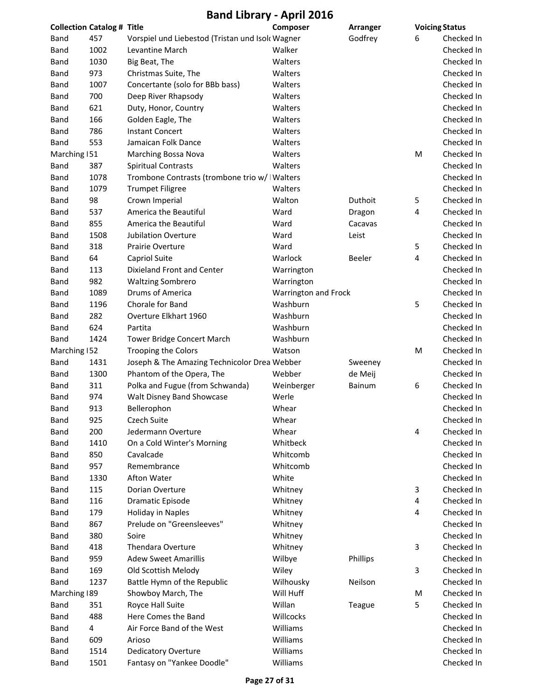| <b>Collection Catalog # Title</b> |      |                                                  | <b>Composer</b>      | Arranger      | <b>Voicing Status</b> |            |
|-----------------------------------|------|--------------------------------------------------|----------------------|---------------|-----------------------|------------|
| Band                              | 457  | Vorspiel und Liebestod (Tristan und Isolc Wagner |                      | Godfrey       | 6                     | Checked In |
| Band                              | 1002 | Levantine March                                  | Walker               |               |                       | Checked In |
| Band                              | 1030 | Big Beat, The                                    | Walters              |               |                       | Checked In |
| Band                              | 973  | Christmas Suite, The                             | Walters              |               |                       | Checked In |
| <b>Band</b>                       | 1007 | Concertante (solo for BBb bass)                  | Walters              |               |                       | Checked In |
| Band                              | 700  | Deep River Rhapsody                              | Walters              |               |                       | Checked In |
| Band                              | 621  | Duty, Honor, Country                             | Walters              |               |                       | Checked In |
| Band                              | 166  | Golden Eagle, The                                | Walters              |               |                       | Checked In |
| Band                              | 786  | <b>Instant Concert</b>                           | Walters              |               |                       | Checked In |
| Band                              | 553  | Jamaican Folk Dance                              | Walters              |               |                       | Checked In |
| Marching 151                      |      | <b>Marching Bossa Nova</b>                       | Walters              |               | M                     | Checked In |
| Band                              | 387  | <b>Spiritual Contrasts</b>                       | Walters              |               |                       | Checked In |
| Band                              | 1078 | Trombone Contrasts (trombone trio w/ I Walters   |                      |               |                       | Checked In |
| Band                              | 1079 | <b>Trumpet Filigree</b>                          | Walters              |               |                       | Checked In |
| Band                              | 98   | Crown Imperial                                   | Walton               | Duthoit       | 5                     | Checked In |
| Band                              | 537  | America the Beautiful                            | Ward                 | Dragon        | 4                     | Checked In |
| Band                              | 855  | America the Beautiful                            | Ward                 | Cacavas       |                       | Checked In |
| <b>Band</b>                       | 1508 | <b>Jubilation Overture</b>                       | Ward                 | Leist         |                       | Checked In |
| Band                              | 318  | <b>Prairie Overture</b>                          | Ward                 |               | 5                     | Checked In |
| Band                              | 64   | Capriol Suite                                    | Warlock              | Beeler        | 4                     | Checked In |
| Band                              | 113  | Dixieland Front and Center                       | Warrington           |               |                       | Checked In |
| Band                              | 982  | <b>Waltzing Sombrero</b>                         | Warrington           |               |                       | Checked In |
| Band                              | 1089 | Drums of America                                 | Warrington and Frock |               |                       | Checked In |
| Band                              | 1196 | Chorale for Band                                 | Washburn             |               | 5                     | Checked In |
| Band                              | 282  | Overture Elkhart 1960                            | Washburn             |               |                       | Checked In |
| Band                              | 624  | Partita                                          | Washburn             |               |                       | Checked In |
| Band                              | 1424 | <b>Tower Bridge Concert March</b>                | Washburn             |               |                       | Checked In |
| Marching 152                      |      | <b>Trooping the Colors</b>                       | Watson               |               | M                     | Checked In |
| Band                              | 1431 | Joseph & The Amazing Technicolor Drea Webber     |                      | Sweeney       |                       | Checked In |
| Band                              | 1300 | Phantom of the Opera, The                        | Webber               | de Meij       |                       | Checked In |
| Band                              | 311  | Polka and Fugue (from Schwanda)                  | Weinberger           | <b>Bainum</b> | 6                     | Checked In |
| Band                              | 974  | Walt Disney Band Showcase                        | Werle                |               |                       | Checked In |
| Band                              | 913  | Bellerophon                                      | Whear                |               |                       | Checked In |
| Band                              | 925  | Czech Suite                                      | Whear                |               |                       | Checked In |
| Band                              | 200  | Jedermann Overture                               | Whear                |               | 4                     | Checked In |
| Band                              | 1410 | On a Cold Winter's Morning                       | Whitbeck             |               |                       | Checked In |
| Band                              | 850  | Cavalcade                                        | Whitcomb             |               |                       | Checked In |
| Band                              | 957  | Remembrance                                      | Whitcomb             |               |                       | Checked In |
| Band                              | 1330 | Afton Water                                      | White                |               |                       | Checked In |
| Band                              | 115  | Dorian Overture                                  | Whitney              |               | 3                     | Checked In |
| Band                              | 116  | Dramatic Episode                                 | Whitney              |               | 4                     | Checked In |
| Band                              | 179  | Holiday in Naples                                | Whitney              |               | 4                     | Checked In |
| Band                              | 867  | Prelude on "Greensleeves"                        | Whitney              |               |                       | Checked In |
| Band                              | 380  | Soire                                            | Whitney              |               |                       | Checked In |
| Band                              | 418  | <b>Thendara Overture</b>                         | Whitney              |               | 3                     | Checked In |
| Band                              | 959  | <b>Adew Sweet Amarillis</b>                      | Wilbye               | Phillips      |                       | Checked In |
| Band                              | 169  | Old Scottish Melody                              | Wiley                |               | 3                     | Checked In |
| Band                              | 1237 | Battle Hymn of the Republic                      | Wilhousky            | Neilson       |                       | Checked In |
| Marching 189                      |      | Showboy March, The                               | Will Huff            |               | M                     | Checked In |
| Band                              | 351  | Royce Hall Suite                                 | Willan               | Teague        | 5                     | Checked In |
| Band                              | 488  | Here Comes the Band                              | Willcocks            |               |                       | Checked In |
| Band                              | 4    | Air Force Band of the West                       | Williams             |               |                       | Checked In |
| Band                              | 609  | Arioso                                           | Williams             |               |                       | Checked In |
| Band                              | 1514 | <b>Dedicatory Overture</b>                       | Williams             |               |                       | Checked In |
| Band                              | 1501 | Fantasy on "Yankee Doodle"                       | Williams             |               |                       | Checked In |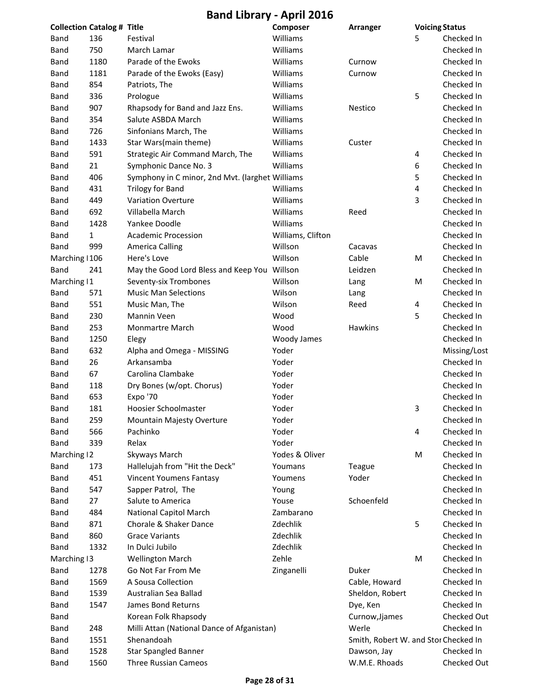**Band Library ‐ April 2016**

| <b>Collection Catalog # Title</b> |              |                                                 | Composer          | Arranger                             | <b>Voicing Status</b> |              |
|-----------------------------------|--------------|-------------------------------------------------|-------------------|--------------------------------------|-----------------------|--------------|
| Band                              | 136          | Festival                                        | Williams          |                                      | 5                     | Checked In   |
| Band                              | 750          | March Lamar                                     | Williams          |                                      |                       | Checked In   |
| Band                              | 1180         | Parade of the Ewoks                             | Williams          | Curnow                               |                       | Checked In   |
| Band                              | 1181         | Parade of the Ewoks (Easy)                      | Williams          | Curnow                               |                       | Checked In   |
| Band                              | 854          | Patriots, The                                   | Williams          |                                      |                       | Checked In   |
| Band                              | 336          | Prologue                                        | Williams          |                                      | 5                     | Checked In   |
| Band                              | 907          | Rhapsody for Band and Jazz Ens.                 | Williams          | Nestico                              |                       | Checked In   |
| Band                              | 354          | Salute ASBDA March                              | Williams          |                                      |                       | Checked In   |
| Band                              | 726          | Sinfonians March, The                           | Williams          |                                      |                       | Checked In   |
| Band                              | 1433         | Star Wars(main theme)                           | Williams          | Custer                               |                       | Checked In   |
| Band                              | 591          | Strategic Air Command March, The                | Williams          |                                      | 4                     | Checked In   |
| Band                              | 21           | Symphonic Dance No. 3                           | Williams          |                                      | 6                     | Checked In   |
| Band                              | 406          | Symphony in C minor, 2nd Mvt. (larghet Williams |                   |                                      | 5                     | Checked In   |
| Band                              | 431          | <b>Trilogy for Band</b>                         | Williams          |                                      | 4                     | Checked In   |
| Band                              | 449          | <b>Variation Overture</b>                       | Williams          |                                      | 3                     | Checked In   |
| Band                              | 692          | Villabella March                                | Williams          | Reed                                 |                       | Checked In   |
| Band                              | 1428         | Yankee Doodle                                   | Williams          |                                      |                       | Checked In   |
| <b>Band</b>                       | $\mathbf{1}$ | <b>Academic Procession</b>                      | Williams, Clifton |                                      |                       | Checked In   |
| Band                              | 999          | <b>America Calling</b>                          | Willson           | Cacavas                              |                       | Checked In   |
| Marching   106                    |              | Here's Love                                     | Willson           | Cable                                | M                     | Checked In   |
| Band                              | 241          | May the Good Lord Bless and Keep You Willson    |                   | Leidzen                              |                       | Checked In   |
| Marching   1                      |              | Seventy-six Trombones                           | Willson           | Lang                                 | M                     | Checked In   |
| Band                              | 571          | <b>Music Man Selections</b>                     | Wilson            | Lang                                 |                       | Checked In   |
| Band                              | 551          | Music Man, The                                  | Wilson            | Reed                                 | 4                     | Checked In   |
| Band                              | 230          | Mannin Veen                                     | Wood              |                                      | 5                     | Checked In   |
| Band                              | 253          | Monmartre March                                 | Wood              | Hawkins                              |                       | Checked In   |
| Band                              | 1250         | Elegy                                           | Woody James       |                                      |                       | Checked In   |
| Band                              | 632          | Alpha and Omega - MISSING                       | Yoder             |                                      |                       | Missing/Lost |
| Band                              | 26           | Arkansamba                                      | Yoder             |                                      |                       | Checked In   |
| Band                              | 67           | Carolina Clambake                               | Yoder             |                                      |                       | Checked In   |
| Band                              | 118          | Dry Bones (w/opt. Chorus)                       | Yoder             |                                      |                       | Checked In   |
| Band                              | 653          | Expo '70                                        | Yoder             |                                      |                       | Checked In   |
| Band                              | 181          | Hoosier Schoolmaster                            | Yoder             |                                      | 3                     | Checked In   |
| Band                              | 259          | Mountain Majesty Overture                       | Yoder             |                                      |                       | Checked In   |
| Band                              | 566          | Pachinko                                        | Yoder             |                                      | 4                     | Checked In   |
| Band                              | 339          | Relax                                           | Yoder             |                                      |                       | Checked In   |
| Marching 12                       |              | Skyways March                                   | Yodes & Oliver    |                                      | M                     | Checked In   |
| Band                              | 173          | Hallelujah from "Hit the Deck"                  | Youmans           | Teague                               |                       | Checked In   |
| Band                              | 451          | <b>Vincent Youmens Fantasy</b>                  | Youmens           | Yoder                                |                       | Checked In   |
| Band                              | 547          | Sapper Patrol, The                              | Young             |                                      |                       | Checked In   |
| Band                              | 27           | Salute to America                               | Youse             | Schoenfeld                           |                       | Checked In   |
| Band                              | 484          | <b>National Capitol March</b>                   | Zambarano         |                                      |                       | Checked In   |
| Band                              | 871          | Chorale & Shaker Dance                          | Zdechlik          |                                      | 5                     | Checked In   |
| Band                              | 860          | <b>Grace Variants</b>                           | Zdechlik          |                                      |                       | Checked In   |
| Band                              | 1332         | In Dulci Jubilo                                 | Zdechlik          |                                      |                       | Checked In   |
| Marching 13                       |              | <b>Wellington March</b>                         | Zehle             |                                      | M                     | Checked In   |
| Band                              | 1278         | Go Not Far From Me                              | Zinganelli        | Duker                                |                       | Checked In   |
| Band                              | 1569         | A Sousa Collection                              |                   | Cable, Howard                        |                       | Checked In   |
| Band                              | 1539         | Australian Sea Ballad                           |                   | Sheldon, Robert                      |                       | Checked In   |
| Band                              | 1547         | James Bond Returns                              |                   | Dye, Ken                             |                       | Checked In   |
| Band                              |              | Korean Folk Rhapsody                            |                   | Curnow, Jjames                       |                       | Checked Out  |
| Band                              | 248          | Milli Attan (National Dance of Afganistan)      |                   | Werle                                |                       | Checked In   |
| Band                              | 1551         | Shenandoah                                      |                   | Smith, Robert W. and Stor Checked In |                       |              |
| Band                              | 1528         | <b>Star Spangled Banner</b>                     |                   | Dawson, Jay                          |                       | Checked In   |
| Band                              | 1560         | Three Russian Cameos                            |                   | W.M.E. Rhoads                        |                       | Checked Out  |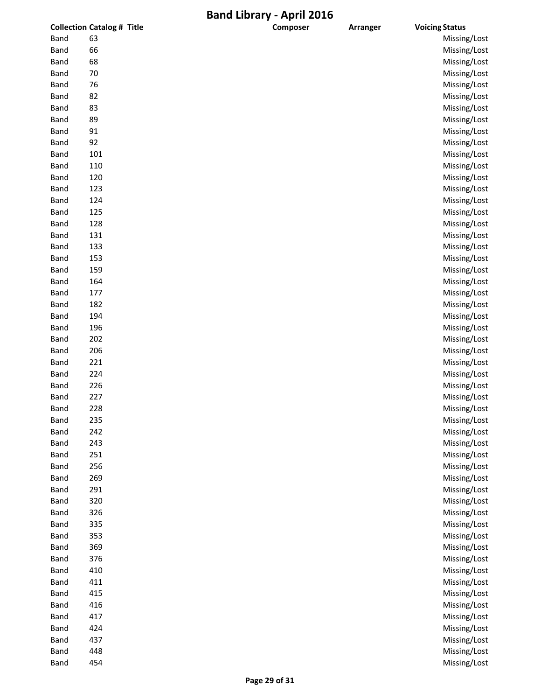| 63<br><b>Band</b><br>Missing/Lost<br>66<br>Missing/Lost<br>Band<br>68<br>Missing/Lost<br>Band<br>70<br>Missing/Lost<br>Band<br>Missing/Lost<br>76<br>Band<br>Missing/Lost<br>82<br>Band<br>83<br>Missing/Lost<br>Band<br>89<br>Missing/Lost<br>Band<br>Missing/Lost<br>91<br><b>Band</b><br>92<br>Missing/Lost<br><b>Band</b><br>Missing/Lost<br>101<br><b>Band</b><br>110<br>Missing/Lost<br><b>Band</b><br>120<br>Missing/Lost<br><b>Band</b><br>Missing/Lost<br>123<br><b>Band</b><br>124<br>Missing/Lost<br><b>Band</b><br>125<br>Missing/Lost<br><b>Band</b><br>Missing/Lost<br>128<br><b>Band</b><br>131<br>Missing/Lost<br><b>Band</b><br>133<br>Missing/Lost<br><b>Band</b><br>Missing/Lost<br>153<br>Band<br>Missing/Lost<br>159<br><b>Band</b><br>Missing/Lost<br>164<br><b>Band</b><br>Missing/Lost<br>177<br><b>Band</b><br>182<br>Missing/Lost<br><b>Band</b><br>Missing/Lost<br>194<br><b>Band</b><br>196<br>Missing/Lost<br><b>Band</b><br>Missing/Lost<br>202<br><b>Band</b><br>Missing/Lost<br>206<br><b>Band</b><br>221<br>Missing/Lost<br>Band<br>Missing/Lost<br>224<br><b>Band</b><br>Missing/Lost<br>226<br>Band<br>Missing/Lost<br>227<br>Missing/Lost<br>228<br><b>Band</b><br><b>Band</b><br>235<br>Missing/Lost<br>Missing/Lost<br>242<br><b>Band</b><br>243<br>Missing/Lost<br><b>Band</b><br>251<br>Missing/Lost<br><b>Band</b><br>Missing/Lost<br><b>Band</b><br>256<br>Missing/Lost<br>269<br><b>Band</b><br>291<br>Missing/Lost<br><b>Band</b><br>320<br>Missing/Lost<br><b>Band</b><br>326<br>Missing/Lost<br><b>Band</b><br>335<br><b>Band</b><br>Missing/Lost<br>353<br>Missing/Lost<br><b>Band</b><br>Missing/Lost<br>369<br><b>Band</b><br>376<br>Missing/Lost<br><b>Band</b><br>410<br>Missing/Lost<br><b>Band</b><br>411<br>Missing/Lost<br><b>Band</b><br>Missing/Lost<br>415<br><b>Band</b><br>Missing/Lost<br>416<br>417<br>Missing/Lost<br><b>Band</b><br>424<br>Missing/Lost<br><b>Band</b><br>437<br>Missing/Lost<br><b>Band</b><br>448<br>Missing/Lost<br><b>Band</b><br>454<br>Missing/Lost<br>Band |             | <b>Collection Catalog # Title</b> | Composer | Arranger | <b>Voicing Status</b> |
|---------------------------------------------------------------------------------------------------------------------------------------------------------------------------------------------------------------------------------------------------------------------------------------------------------------------------------------------------------------------------------------------------------------------------------------------------------------------------------------------------------------------------------------------------------------------------------------------------------------------------------------------------------------------------------------------------------------------------------------------------------------------------------------------------------------------------------------------------------------------------------------------------------------------------------------------------------------------------------------------------------------------------------------------------------------------------------------------------------------------------------------------------------------------------------------------------------------------------------------------------------------------------------------------------------------------------------------------------------------------------------------------------------------------------------------------------------------------------------------------------------------------------------------------------------------------------------------------------------------------------------------------------------------------------------------------------------------------------------------------------------------------------------------------------------------------------------------------------------------------------------------------------------------------------------------------------------------------------------------------------------------------------------------------------|-------------|-----------------------------------|----------|----------|-----------------------|
|                                                                                                                                                                                                                                                                                                                                                                                                                                                                                                                                                                                                                                                                                                                                                                                                                                                                                                                                                                                                                                                                                                                                                                                                                                                                                                                                                                                                                                                                                                                                                                                                                                                                                                                                                                                                                                                                                                                                                                                                                                                   |             |                                   |          |          |                       |
|                                                                                                                                                                                                                                                                                                                                                                                                                                                                                                                                                                                                                                                                                                                                                                                                                                                                                                                                                                                                                                                                                                                                                                                                                                                                                                                                                                                                                                                                                                                                                                                                                                                                                                                                                                                                                                                                                                                                                                                                                                                   |             |                                   |          |          |                       |
|                                                                                                                                                                                                                                                                                                                                                                                                                                                                                                                                                                                                                                                                                                                                                                                                                                                                                                                                                                                                                                                                                                                                                                                                                                                                                                                                                                                                                                                                                                                                                                                                                                                                                                                                                                                                                                                                                                                                                                                                                                                   |             |                                   |          |          |                       |
|                                                                                                                                                                                                                                                                                                                                                                                                                                                                                                                                                                                                                                                                                                                                                                                                                                                                                                                                                                                                                                                                                                                                                                                                                                                                                                                                                                                                                                                                                                                                                                                                                                                                                                                                                                                                                                                                                                                                                                                                                                                   |             |                                   |          |          |                       |
|                                                                                                                                                                                                                                                                                                                                                                                                                                                                                                                                                                                                                                                                                                                                                                                                                                                                                                                                                                                                                                                                                                                                                                                                                                                                                                                                                                                                                                                                                                                                                                                                                                                                                                                                                                                                                                                                                                                                                                                                                                                   |             |                                   |          |          |                       |
|                                                                                                                                                                                                                                                                                                                                                                                                                                                                                                                                                                                                                                                                                                                                                                                                                                                                                                                                                                                                                                                                                                                                                                                                                                                                                                                                                                                                                                                                                                                                                                                                                                                                                                                                                                                                                                                                                                                                                                                                                                                   |             |                                   |          |          |                       |
|                                                                                                                                                                                                                                                                                                                                                                                                                                                                                                                                                                                                                                                                                                                                                                                                                                                                                                                                                                                                                                                                                                                                                                                                                                                                                                                                                                                                                                                                                                                                                                                                                                                                                                                                                                                                                                                                                                                                                                                                                                                   |             |                                   |          |          |                       |
|                                                                                                                                                                                                                                                                                                                                                                                                                                                                                                                                                                                                                                                                                                                                                                                                                                                                                                                                                                                                                                                                                                                                                                                                                                                                                                                                                                                                                                                                                                                                                                                                                                                                                                                                                                                                                                                                                                                                                                                                                                                   |             |                                   |          |          |                       |
|                                                                                                                                                                                                                                                                                                                                                                                                                                                                                                                                                                                                                                                                                                                                                                                                                                                                                                                                                                                                                                                                                                                                                                                                                                                                                                                                                                                                                                                                                                                                                                                                                                                                                                                                                                                                                                                                                                                                                                                                                                                   |             |                                   |          |          |                       |
|                                                                                                                                                                                                                                                                                                                                                                                                                                                                                                                                                                                                                                                                                                                                                                                                                                                                                                                                                                                                                                                                                                                                                                                                                                                                                                                                                                                                                                                                                                                                                                                                                                                                                                                                                                                                                                                                                                                                                                                                                                                   |             |                                   |          |          |                       |
|                                                                                                                                                                                                                                                                                                                                                                                                                                                                                                                                                                                                                                                                                                                                                                                                                                                                                                                                                                                                                                                                                                                                                                                                                                                                                                                                                                                                                                                                                                                                                                                                                                                                                                                                                                                                                                                                                                                                                                                                                                                   |             |                                   |          |          |                       |
|                                                                                                                                                                                                                                                                                                                                                                                                                                                                                                                                                                                                                                                                                                                                                                                                                                                                                                                                                                                                                                                                                                                                                                                                                                                                                                                                                                                                                                                                                                                                                                                                                                                                                                                                                                                                                                                                                                                                                                                                                                                   |             |                                   |          |          |                       |
|                                                                                                                                                                                                                                                                                                                                                                                                                                                                                                                                                                                                                                                                                                                                                                                                                                                                                                                                                                                                                                                                                                                                                                                                                                                                                                                                                                                                                                                                                                                                                                                                                                                                                                                                                                                                                                                                                                                                                                                                                                                   |             |                                   |          |          |                       |
|                                                                                                                                                                                                                                                                                                                                                                                                                                                                                                                                                                                                                                                                                                                                                                                                                                                                                                                                                                                                                                                                                                                                                                                                                                                                                                                                                                                                                                                                                                                                                                                                                                                                                                                                                                                                                                                                                                                                                                                                                                                   |             |                                   |          |          |                       |
|                                                                                                                                                                                                                                                                                                                                                                                                                                                                                                                                                                                                                                                                                                                                                                                                                                                                                                                                                                                                                                                                                                                                                                                                                                                                                                                                                                                                                                                                                                                                                                                                                                                                                                                                                                                                                                                                                                                                                                                                                                                   |             |                                   |          |          |                       |
|                                                                                                                                                                                                                                                                                                                                                                                                                                                                                                                                                                                                                                                                                                                                                                                                                                                                                                                                                                                                                                                                                                                                                                                                                                                                                                                                                                                                                                                                                                                                                                                                                                                                                                                                                                                                                                                                                                                                                                                                                                                   |             |                                   |          |          |                       |
|                                                                                                                                                                                                                                                                                                                                                                                                                                                                                                                                                                                                                                                                                                                                                                                                                                                                                                                                                                                                                                                                                                                                                                                                                                                                                                                                                                                                                                                                                                                                                                                                                                                                                                                                                                                                                                                                                                                                                                                                                                                   |             |                                   |          |          |                       |
|                                                                                                                                                                                                                                                                                                                                                                                                                                                                                                                                                                                                                                                                                                                                                                                                                                                                                                                                                                                                                                                                                                                                                                                                                                                                                                                                                                                                                                                                                                                                                                                                                                                                                                                                                                                                                                                                                                                                                                                                                                                   |             |                                   |          |          |                       |
|                                                                                                                                                                                                                                                                                                                                                                                                                                                                                                                                                                                                                                                                                                                                                                                                                                                                                                                                                                                                                                                                                                                                                                                                                                                                                                                                                                                                                                                                                                                                                                                                                                                                                                                                                                                                                                                                                                                                                                                                                                                   |             |                                   |          |          |                       |
|                                                                                                                                                                                                                                                                                                                                                                                                                                                                                                                                                                                                                                                                                                                                                                                                                                                                                                                                                                                                                                                                                                                                                                                                                                                                                                                                                                                                                                                                                                                                                                                                                                                                                                                                                                                                                                                                                                                                                                                                                                                   |             |                                   |          |          |                       |
|                                                                                                                                                                                                                                                                                                                                                                                                                                                                                                                                                                                                                                                                                                                                                                                                                                                                                                                                                                                                                                                                                                                                                                                                                                                                                                                                                                                                                                                                                                                                                                                                                                                                                                                                                                                                                                                                                                                                                                                                                                                   |             |                                   |          |          |                       |
|                                                                                                                                                                                                                                                                                                                                                                                                                                                                                                                                                                                                                                                                                                                                                                                                                                                                                                                                                                                                                                                                                                                                                                                                                                                                                                                                                                                                                                                                                                                                                                                                                                                                                                                                                                                                                                                                                                                                                                                                                                                   |             |                                   |          |          |                       |
|                                                                                                                                                                                                                                                                                                                                                                                                                                                                                                                                                                                                                                                                                                                                                                                                                                                                                                                                                                                                                                                                                                                                                                                                                                                                                                                                                                                                                                                                                                                                                                                                                                                                                                                                                                                                                                                                                                                                                                                                                                                   |             |                                   |          |          |                       |
|                                                                                                                                                                                                                                                                                                                                                                                                                                                                                                                                                                                                                                                                                                                                                                                                                                                                                                                                                                                                                                                                                                                                                                                                                                                                                                                                                                                                                                                                                                                                                                                                                                                                                                                                                                                                                                                                                                                                                                                                                                                   |             |                                   |          |          |                       |
|                                                                                                                                                                                                                                                                                                                                                                                                                                                                                                                                                                                                                                                                                                                                                                                                                                                                                                                                                                                                                                                                                                                                                                                                                                                                                                                                                                                                                                                                                                                                                                                                                                                                                                                                                                                                                                                                                                                                                                                                                                                   |             |                                   |          |          |                       |
|                                                                                                                                                                                                                                                                                                                                                                                                                                                                                                                                                                                                                                                                                                                                                                                                                                                                                                                                                                                                                                                                                                                                                                                                                                                                                                                                                                                                                                                                                                                                                                                                                                                                                                                                                                                                                                                                                                                                                                                                                                                   |             |                                   |          |          |                       |
|                                                                                                                                                                                                                                                                                                                                                                                                                                                                                                                                                                                                                                                                                                                                                                                                                                                                                                                                                                                                                                                                                                                                                                                                                                                                                                                                                                                                                                                                                                                                                                                                                                                                                                                                                                                                                                                                                                                                                                                                                                                   |             |                                   |          |          |                       |
|                                                                                                                                                                                                                                                                                                                                                                                                                                                                                                                                                                                                                                                                                                                                                                                                                                                                                                                                                                                                                                                                                                                                                                                                                                                                                                                                                                                                                                                                                                                                                                                                                                                                                                                                                                                                                                                                                                                                                                                                                                                   |             |                                   |          |          |                       |
|                                                                                                                                                                                                                                                                                                                                                                                                                                                                                                                                                                                                                                                                                                                                                                                                                                                                                                                                                                                                                                                                                                                                                                                                                                                                                                                                                                                                                                                                                                                                                                                                                                                                                                                                                                                                                                                                                                                                                                                                                                                   |             |                                   |          |          |                       |
|                                                                                                                                                                                                                                                                                                                                                                                                                                                                                                                                                                                                                                                                                                                                                                                                                                                                                                                                                                                                                                                                                                                                                                                                                                                                                                                                                                                                                                                                                                                                                                                                                                                                                                                                                                                                                                                                                                                                                                                                                                                   |             |                                   |          |          |                       |
|                                                                                                                                                                                                                                                                                                                                                                                                                                                                                                                                                                                                                                                                                                                                                                                                                                                                                                                                                                                                                                                                                                                                                                                                                                                                                                                                                                                                                                                                                                                                                                                                                                                                                                                                                                                                                                                                                                                                                                                                                                                   |             |                                   |          |          |                       |
|                                                                                                                                                                                                                                                                                                                                                                                                                                                                                                                                                                                                                                                                                                                                                                                                                                                                                                                                                                                                                                                                                                                                                                                                                                                                                                                                                                                                                                                                                                                                                                                                                                                                                                                                                                                                                                                                                                                                                                                                                                                   | <b>Band</b> |                                   |          |          |                       |
|                                                                                                                                                                                                                                                                                                                                                                                                                                                                                                                                                                                                                                                                                                                                                                                                                                                                                                                                                                                                                                                                                                                                                                                                                                                                                                                                                                                                                                                                                                                                                                                                                                                                                                                                                                                                                                                                                                                                                                                                                                                   |             |                                   |          |          |                       |
|                                                                                                                                                                                                                                                                                                                                                                                                                                                                                                                                                                                                                                                                                                                                                                                                                                                                                                                                                                                                                                                                                                                                                                                                                                                                                                                                                                                                                                                                                                                                                                                                                                                                                                                                                                                                                                                                                                                                                                                                                                                   |             |                                   |          |          |                       |
|                                                                                                                                                                                                                                                                                                                                                                                                                                                                                                                                                                                                                                                                                                                                                                                                                                                                                                                                                                                                                                                                                                                                                                                                                                                                                                                                                                                                                                                                                                                                                                                                                                                                                                                                                                                                                                                                                                                                                                                                                                                   |             |                                   |          |          |                       |
|                                                                                                                                                                                                                                                                                                                                                                                                                                                                                                                                                                                                                                                                                                                                                                                                                                                                                                                                                                                                                                                                                                                                                                                                                                                                                                                                                                                                                                                                                                                                                                                                                                                                                                                                                                                                                                                                                                                                                                                                                                                   |             |                                   |          |          |                       |
|                                                                                                                                                                                                                                                                                                                                                                                                                                                                                                                                                                                                                                                                                                                                                                                                                                                                                                                                                                                                                                                                                                                                                                                                                                                                                                                                                                                                                                                                                                                                                                                                                                                                                                                                                                                                                                                                                                                                                                                                                                                   |             |                                   |          |          |                       |
|                                                                                                                                                                                                                                                                                                                                                                                                                                                                                                                                                                                                                                                                                                                                                                                                                                                                                                                                                                                                                                                                                                                                                                                                                                                                                                                                                                                                                                                                                                                                                                                                                                                                                                                                                                                                                                                                                                                                                                                                                                                   |             |                                   |          |          |                       |
|                                                                                                                                                                                                                                                                                                                                                                                                                                                                                                                                                                                                                                                                                                                                                                                                                                                                                                                                                                                                                                                                                                                                                                                                                                                                                                                                                                                                                                                                                                                                                                                                                                                                                                                                                                                                                                                                                                                                                                                                                                                   |             |                                   |          |          |                       |
|                                                                                                                                                                                                                                                                                                                                                                                                                                                                                                                                                                                                                                                                                                                                                                                                                                                                                                                                                                                                                                                                                                                                                                                                                                                                                                                                                                                                                                                                                                                                                                                                                                                                                                                                                                                                                                                                                                                                                                                                                                                   |             |                                   |          |          |                       |
|                                                                                                                                                                                                                                                                                                                                                                                                                                                                                                                                                                                                                                                                                                                                                                                                                                                                                                                                                                                                                                                                                                                                                                                                                                                                                                                                                                                                                                                                                                                                                                                                                                                                                                                                                                                                                                                                                                                                                                                                                                                   |             |                                   |          |          |                       |
|                                                                                                                                                                                                                                                                                                                                                                                                                                                                                                                                                                                                                                                                                                                                                                                                                                                                                                                                                                                                                                                                                                                                                                                                                                                                                                                                                                                                                                                                                                                                                                                                                                                                                                                                                                                                                                                                                                                                                                                                                                                   |             |                                   |          |          |                       |
|                                                                                                                                                                                                                                                                                                                                                                                                                                                                                                                                                                                                                                                                                                                                                                                                                                                                                                                                                                                                                                                                                                                                                                                                                                                                                                                                                                                                                                                                                                                                                                                                                                                                                                                                                                                                                                                                                                                                                                                                                                                   |             |                                   |          |          |                       |
|                                                                                                                                                                                                                                                                                                                                                                                                                                                                                                                                                                                                                                                                                                                                                                                                                                                                                                                                                                                                                                                                                                                                                                                                                                                                                                                                                                                                                                                                                                                                                                                                                                                                                                                                                                                                                                                                                                                                                                                                                                                   |             |                                   |          |          |                       |
|                                                                                                                                                                                                                                                                                                                                                                                                                                                                                                                                                                                                                                                                                                                                                                                                                                                                                                                                                                                                                                                                                                                                                                                                                                                                                                                                                                                                                                                                                                                                                                                                                                                                                                                                                                                                                                                                                                                                                                                                                                                   |             |                                   |          |          |                       |
|                                                                                                                                                                                                                                                                                                                                                                                                                                                                                                                                                                                                                                                                                                                                                                                                                                                                                                                                                                                                                                                                                                                                                                                                                                                                                                                                                                                                                                                                                                                                                                                                                                                                                                                                                                                                                                                                                                                                                                                                                                                   |             |                                   |          |          |                       |
|                                                                                                                                                                                                                                                                                                                                                                                                                                                                                                                                                                                                                                                                                                                                                                                                                                                                                                                                                                                                                                                                                                                                                                                                                                                                                                                                                                                                                                                                                                                                                                                                                                                                                                                                                                                                                                                                                                                                                                                                                                                   |             |                                   |          |          |                       |
|                                                                                                                                                                                                                                                                                                                                                                                                                                                                                                                                                                                                                                                                                                                                                                                                                                                                                                                                                                                                                                                                                                                                                                                                                                                                                                                                                                                                                                                                                                                                                                                                                                                                                                                                                                                                                                                                                                                                                                                                                                                   |             |                                   |          |          |                       |
|                                                                                                                                                                                                                                                                                                                                                                                                                                                                                                                                                                                                                                                                                                                                                                                                                                                                                                                                                                                                                                                                                                                                                                                                                                                                                                                                                                                                                                                                                                                                                                                                                                                                                                                                                                                                                                                                                                                                                                                                                                                   |             |                                   |          |          |                       |
|                                                                                                                                                                                                                                                                                                                                                                                                                                                                                                                                                                                                                                                                                                                                                                                                                                                                                                                                                                                                                                                                                                                                                                                                                                                                                                                                                                                                                                                                                                                                                                                                                                                                                                                                                                                                                                                                                                                                                                                                                                                   | <b>Band</b> |                                   |          |          |                       |
|                                                                                                                                                                                                                                                                                                                                                                                                                                                                                                                                                                                                                                                                                                                                                                                                                                                                                                                                                                                                                                                                                                                                                                                                                                                                                                                                                                                                                                                                                                                                                                                                                                                                                                                                                                                                                                                                                                                                                                                                                                                   |             |                                   |          |          |                       |
|                                                                                                                                                                                                                                                                                                                                                                                                                                                                                                                                                                                                                                                                                                                                                                                                                                                                                                                                                                                                                                                                                                                                                                                                                                                                                                                                                                                                                                                                                                                                                                                                                                                                                                                                                                                                                                                                                                                                                                                                                                                   |             |                                   |          |          |                       |
|                                                                                                                                                                                                                                                                                                                                                                                                                                                                                                                                                                                                                                                                                                                                                                                                                                                                                                                                                                                                                                                                                                                                                                                                                                                                                                                                                                                                                                                                                                                                                                                                                                                                                                                                                                                                                                                                                                                                                                                                                                                   |             |                                   |          |          |                       |
|                                                                                                                                                                                                                                                                                                                                                                                                                                                                                                                                                                                                                                                                                                                                                                                                                                                                                                                                                                                                                                                                                                                                                                                                                                                                                                                                                                                                                                                                                                                                                                                                                                                                                                                                                                                                                                                                                                                                                                                                                                                   |             |                                   |          |          |                       |
|                                                                                                                                                                                                                                                                                                                                                                                                                                                                                                                                                                                                                                                                                                                                                                                                                                                                                                                                                                                                                                                                                                                                                                                                                                                                                                                                                                                                                                                                                                                                                                                                                                                                                                                                                                                                                                                                                                                                                                                                                                                   |             |                                   |          |          |                       |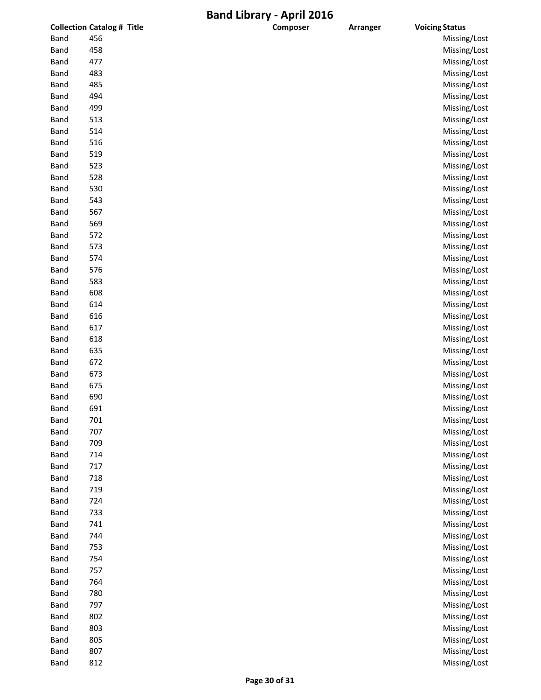|             | <b>Collection Catalog # Title</b> | Composer | <b>Arranger</b> | <b>Voicing Status</b> |
|-------------|-----------------------------------|----------|-----------------|-----------------------|
| <b>Band</b> | 456                               |          |                 | Missing/Lost          |
| Band        | 458                               |          |                 | Missing/Lost          |
| Band        | 477                               |          |                 | Missing/Lost          |
| <b>Band</b> | 483                               |          |                 | Missing/Lost          |
| <b>Band</b> | 485                               |          |                 | Missing/Lost          |
| <b>Band</b> | 494                               |          |                 | Missing/Lost          |
| <b>Band</b> | 499                               |          |                 | Missing/Lost          |
| Band        | 513                               |          |                 | Missing/Lost          |
| Band        | 514                               |          |                 | Missing/Lost          |
| <b>Band</b> | 516                               |          |                 | Missing/Lost          |
| <b>Band</b> | 519                               |          |                 | Missing/Lost          |
| <b>Band</b> | 523                               |          |                 | Missing/Lost          |
| Band        | 528                               |          |                 | Missing/Lost          |
| Band        | 530                               |          |                 | Missing/Lost          |
| <b>Band</b> | 543                               |          |                 | Missing/Lost          |
| Band        | 567                               |          |                 | Missing/Lost          |
|             | 569                               |          |                 | Missing/Lost          |
| Band        |                                   |          |                 |                       |
| <b>Band</b> | 572                               |          |                 | Missing/Lost          |
| Band        | 573                               |          |                 | Missing/Lost          |
| <b>Band</b> | 574                               |          |                 | Missing/Lost          |
| Band        | 576                               |          |                 | Missing/Lost          |
| Band        | 583                               |          |                 | Missing/Lost          |
| <b>Band</b> | 608                               |          |                 | Missing/Lost          |
| Band        | 614                               |          |                 | Missing/Lost          |
| <b>Band</b> | 616                               |          |                 | Missing/Lost          |
| <b>Band</b> | 617                               |          |                 | Missing/Lost          |
| Band        | 618                               |          |                 | Missing/Lost          |
| <b>Band</b> | 635                               |          |                 | Missing/Lost          |
| <b>Band</b> | 672                               |          |                 | Missing/Lost          |
| Band        | 673                               |          |                 | Missing/Lost          |
| Band        | 675                               |          |                 | Missing/Lost          |
| <b>Band</b> | 690                               |          |                 | Missing/Lost          |
| <b>Band</b> | 691                               |          |                 | Missing/Lost          |
| <b>Band</b> | 701                               |          |                 | Missing/Lost          |
| <b>Band</b> | 707                               |          |                 | Missing/Lost          |
| Band        | 709                               |          |                 | Missing/Lost          |
| <b>Band</b> | 714                               |          |                 | Missing/Lost          |
| <b>Band</b> | 717                               |          |                 | Missing/Lost          |
| <b>Band</b> | 718                               |          |                 | Missing/Lost          |
| <b>Band</b> | 719                               |          |                 | Missing/Lost          |
| <b>Band</b> | 724                               |          |                 | Missing/Lost          |
| <b>Band</b> | 733                               |          |                 | Missing/Lost          |
| <b>Band</b> | 741                               |          |                 | Missing/Lost          |
| <b>Band</b> | 744                               |          |                 | Missing/Lost          |
| <b>Band</b> | 753                               |          |                 | Missing/Lost          |
| <b>Band</b> | 754                               |          |                 | Missing/Lost          |
| Band        | 757                               |          |                 | Missing/Lost          |
| <b>Band</b> | 764                               |          |                 | Missing/Lost          |
| <b>Band</b> | 780                               |          |                 | Missing/Lost          |
| <b>Band</b> | 797                               |          |                 | Missing/Lost          |
|             |                                   |          |                 |                       |
| <b>Band</b> | 802                               |          |                 | Missing/Lost          |
| <b>Band</b> | 803                               |          |                 | Missing/Lost          |
| <b>Band</b> | 805                               |          |                 | Missing/Lost          |
| <b>Band</b> | 807                               |          |                 | Missing/Lost          |
| <b>Band</b> | 812                               |          |                 | Missing/Lost          |